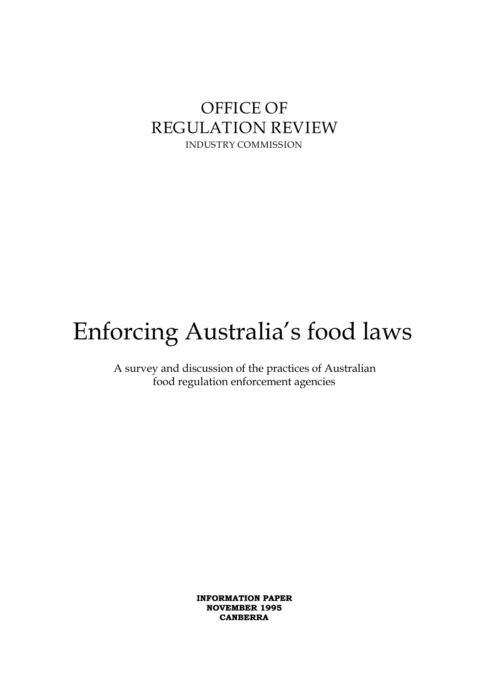## **OFFICE OF REGULATION REVIEW INDUSTRY COMMISSION**

# Enforcing Australia's food laws

A survey and discussion of the practices of Australian food regulation enforcement agencies

> INFORMATION PAPER NOVEMBER 1995 CANBERRA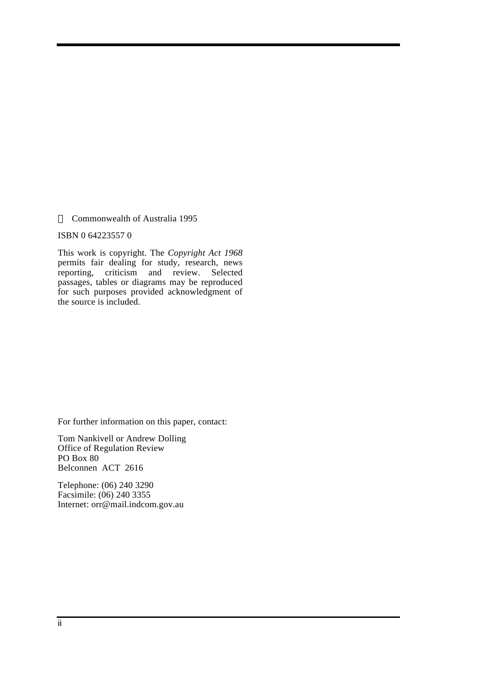Commonwealth of Australia 1995

ISBN 0 64223557 0

This work is copyright. The *Copyright Act 1968* permits fair dealing for study, research, news reporting, criticism and review. Selected passages, tables or diagrams may be reproduced for such purposes provided acknowledgment of the source is included.

For further information on this paper, contact:

Tom Nankivell or Andrew Dolling Office of Regulation Review PO Box 80 Belconnen ACT 2616

Telephone: (06) 240 3290 Facsimile: (06) 240 3355 Internet: orr@mail.indcom.gov.au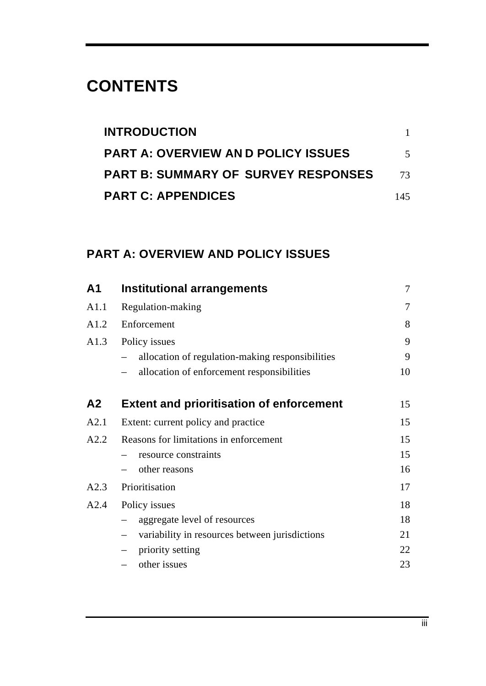## **CONTENTS**

| <b>INTRODUCTION</b>                        |                          |
|--------------------------------------------|--------------------------|
| <b>PART A: OVERVIEW AND POLICY ISSUES</b>  | $\overline{\mathcal{L}}$ |
| <b>PART B: SUMMARY OF SURVEY RESPONSES</b> | 73                       |
| <b>PART C: APPENDICES</b>                  | 145                      |

### **PART A: OVERVIEW AND POLICY ISSUES**

| A <sub>1</sub> | <b>Institutional arrangements</b>                | $\overline{7}$ |
|----------------|--------------------------------------------------|----------------|
| A1.1           | Regulation-making                                | $\tau$         |
| A1.2           | Enforcement                                      | 8              |
| A1.3           | Policy issues                                    | 9              |
|                | allocation of regulation-making responsibilities | 9              |
|                | allocation of enforcement responsibilities       | 10             |
| A <sub>2</sub> | <b>Extent and prioritisation of enforcement</b>  | 15             |
| A2.1           | Extent: current policy and practice              | 15             |
| A2.2           | Reasons for limitations in enforcement           | 15             |
|                | resource constraints                             | 15             |
|                | other reasons                                    | 16             |
| A2.3           | Prioritisation                                   | 17             |
| A2.4           | Policy issues                                    | 18             |
|                | aggregate level of resources                     | 18             |
|                | variability in resources between jurisdictions   | 21             |
|                | priority setting                                 | 22             |
|                | other issues                                     | 23             |
|                |                                                  |                |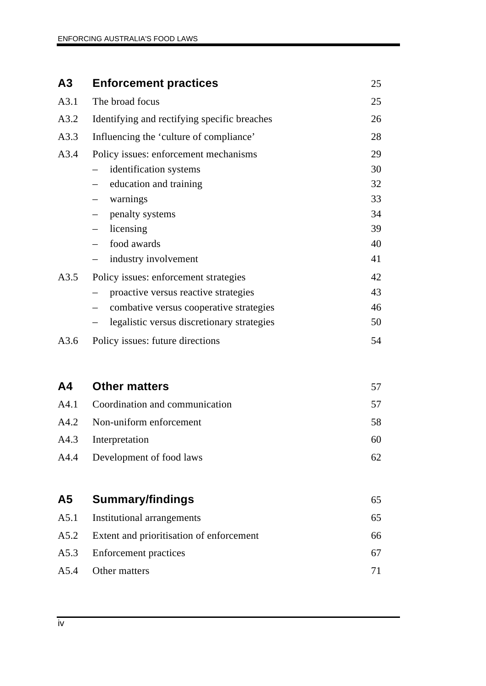## **A3 Enforcement practices** 25

| A3.1 | The broad focus                              | 25 |
|------|----------------------------------------------|----|
| A3.2 | Identifying and rectifying specific breaches | 26 |
| A3.3 | Influencing the 'culture of compliance'      | 28 |
| A3.4 | Policy issues: enforcement mechanisms        | 29 |
|      | identification systems                       | 30 |
|      | education and training                       | 32 |
|      | warnings                                     | 33 |
|      | penalty systems                              | 34 |
|      | licensing                                    | 39 |
|      | food awards                                  | 40 |
|      | industry involvement                         | 41 |
| A3.5 | Policy issues: enforcement strategies        | 42 |
|      | proactive versus reactive strategies         | 43 |
|      | combative versus cooperative strategies      | 46 |
|      | legalistic versus discretionary strategies   | 50 |
| A3.6 | Policy issues: future directions             | 54 |

| A4 | <b>Other matters</b>                |    |
|----|-------------------------------------|----|
|    | A4.1 Coordination and communication | 57 |
|    | A4.2 Non-uniform enforcement        | 58 |
|    | A4.3 Interpretation                 | 60 |
|    | A4.4 Development of food laws       | 62 |
|    |                                     |    |

| A5 | <b>Summary/findings</b>                       | 65 |
|----|-----------------------------------------------|----|
|    | A5.1 Institutional arrangements               | 65 |
|    | A5.2 Extent and prioritisation of enforcement | 66 |
|    | A5.3 Enforcement practices                    | 67 |
|    | A5.4 Other matters                            | 71 |
|    |                                               |    |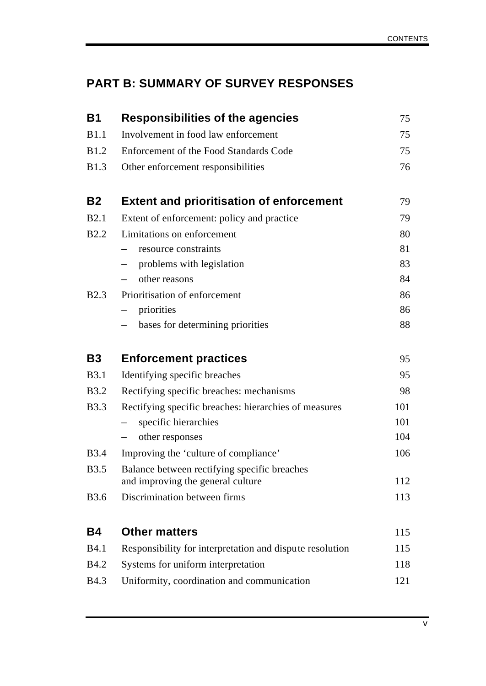## **PART B: SUMMARY OF SURVEY RESPONSES**

| <b>B1</b>    | <b>Responsibilities of the agencies</b>                                           | 75  |
|--------------|-----------------------------------------------------------------------------------|-----|
| <b>B1.1</b>  | Involvement in food law enforcement                                               | 75  |
| <b>B</b> 1.2 | Enforcement of the Food Standards Code                                            | 75  |
| <b>B</b> 1.3 | Other enforcement responsibilities                                                | 76  |
| <b>B2</b>    | <b>Extent and prioritisation of enforcement</b>                                   | 79  |
| <b>B2.1</b>  | Extent of enforcement: policy and practice                                        | 79  |
| <b>B2.2</b>  | Limitations on enforcement                                                        | 80  |
|              | resource constraints                                                              | 81  |
|              | problems with legislation                                                         | 83  |
|              | other reasons                                                                     | 84  |
| <b>B2.3</b>  | Prioritisation of enforcement                                                     | 86  |
|              | priorities                                                                        | 86  |
|              | bases for determining priorities                                                  | 88  |
| <b>B3</b>    | <b>Enforcement practices</b>                                                      | 95  |
| <b>B</b> 3.1 | Identifying specific breaches                                                     | 95  |
| <b>B</b> 3.2 | Rectifying specific breaches: mechanisms                                          | 98  |
| <b>B</b> 3.3 | Rectifying specific breaches: hierarchies of measures                             | 101 |
|              | specific hierarchies                                                              | 101 |
|              | other responses                                                                   | 104 |
| <b>B</b> 3.4 | Improving the 'culture of compliance'                                             | 106 |
| <b>B</b> 3.5 | Balance between rectifying specific breaches<br>and improving the general culture | 112 |
| <b>B</b> 3.6 | Discrimination between firms                                                      | 113 |
| <b>B4</b>    | <b>Other matters</b>                                                              | 115 |
| <b>B4.1</b>  | Responsibility for interpretation and dispute resolution                          | 115 |
| <b>B4.2</b>  | Systems for uniform interpretation                                                | 118 |
| <b>B4.3</b>  | Uniformity, coordination and communication                                        | 121 |
|              |                                                                                   |     |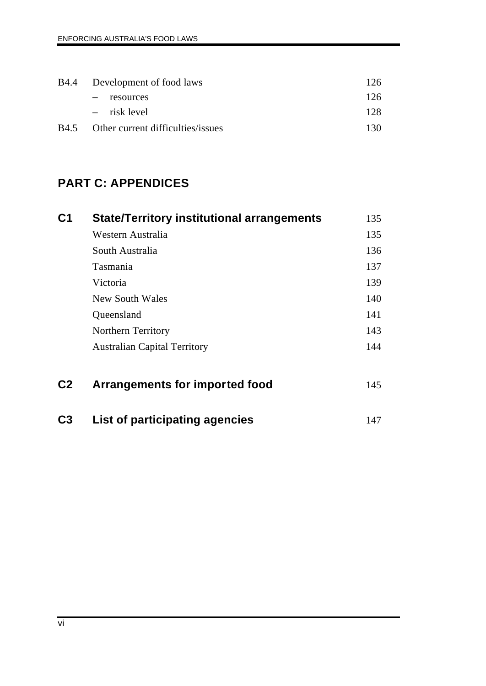|      | B4.4 Development of food laws     | 126. |
|------|-----------------------------------|------|
|      | - resources                       | 126  |
|      | $-$ risk level                    | 12.8 |
| B4.5 | Other current difficulties/issues | 130. |

### **PART C: APPENDICES**

| C <sub>1</sub> | <b>State/Territory institutional arrangements</b> | 135 |
|----------------|---------------------------------------------------|-----|
|                | Western Australia                                 | 135 |
|                | South Australia                                   | 136 |
|                | Tasmania                                          | 137 |
|                | Victoria                                          | 139 |
|                | New South Wales                                   | 140 |
|                | Queensland                                        | 141 |
|                | <b>Northern Territory</b>                         | 143 |
|                | <b>Australian Capital Territory</b>               | 144 |
| C <sub>2</sub> | Arrangements for imported food                    | 145 |
| C3             | List of participating agencies                    | 147 |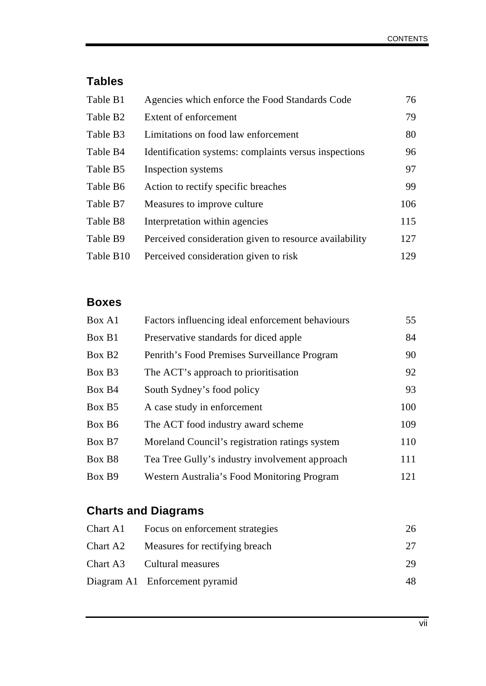### **Tables**

| Table B1             | Agencies which enforce the Food Standards Code         | 76  |
|----------------------|--------------------------------------------------------|-----|
| Table B <sub>2</sub> | Extent of enforcement                                  | 79  |
| Table B3             | Limitations on food law enforcement                    | 80  |
| Table B4             | Identification systems: complaints versus inspections  | 96  |
| Table B5             | Inspection systems                                     | 97  |
| Table B6             | Action to rectify specific breaches                    | 99  |
| Table B7             | Measures to improve culture.                           | 106 |
| Table B8             | Interpretation within agencies                         | 115 |
| Table B9             | Perceived consideration given to resource availability | 127 |
| Table B10            | Perceived consideration given to risk                  | 129 |

### **Boxes**

| Box A1             | Factors influencing ideal enforcement behaviours | 55  |
|--------------------|--------------------------------------------------|-----|
| Box B1             | Preservative standards for diced apple           | 84  |
| Box B <sub>2</sub> | Penrith's Food Premises Surveillance Program     | 90  |
| Box B <sub>3</sub> | The ACT's approach to prioritisation             | 92  |
| Box B4             | South Sydney's food policy                       | 93  |
| Box B <sub>5</sub> | A case study in enforcement                      | 100 |
| Box B <sub>6</sub> | The ACT food industry award scheme               | 109 |
| Box B7             | Moreland Council's registration ratings system   | 110 |
| Box B <sub>8</sub> | Tea Tree Gully's industry involvement approach   | 111 |
| Box B9             | Western Australia's Food Monitoring Program      | 121 |
|                    |                                                  |     |

## **Charts and Diagrams**

| Chart A1 Focus on enforcement strategies | 26  |
|------------------------------------------|-----|
| Chart A2 Measures for rectifying breach  | 27  |
| Chart A3 Cultural measures               | 29  |
| Diagram A1 Enforcement pyramid           | 48. |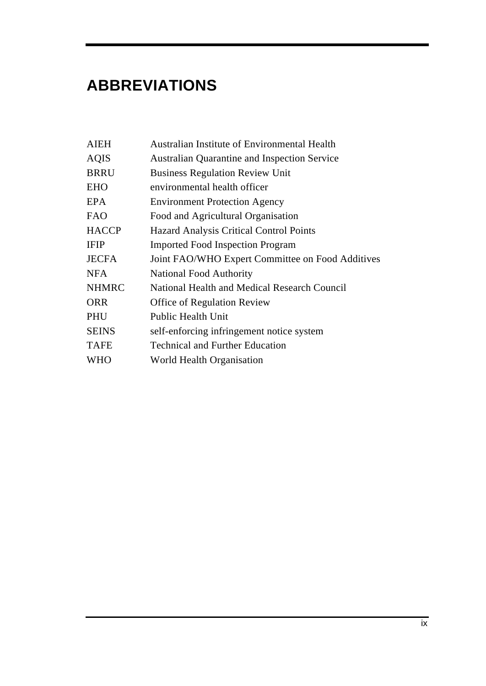## **ABBREVIATIONS**

| <b>AIEH</b>  | Australian Institute of Environmental Health        |
|--------------|-----------------------------------------------------|
| <b>AQIS</b>  | <b>Australian Quarantine and Inspection Service</b> |
| <b>BRRU</b>  | <b>Business Regulation Review Unit</b>              |
| <b>EHO</b>   | environmental health officer                        |
| EPA          | <b>Environment Protection Agency</b>                |
| <b>FAO</b>   | Food and Agricultural Organisation                  |
| <b>HACCP</b> | <b>Hazard Analysis Critical Control Points</b>      |
| <b>IFIP</b>  | <b>Imported Food Inspection Program</b>             |
| <b>JECFA</b> | Joint FAO/WHO Expert Committee on Food Additives    |
| <b>NFA</b>   | <b>National Food Authority</b>                      |
| <b>NHMRC</b> | National Health and Medical Research Council        |
| <b>ORR</b>   | Office of Regulation Review                         |
| <b>PHU</b>   | <b>Public Health Unit</b>                           |
| <b>SEINS</b> | self-enforcing infringement notice system           |
| <b>TAFE</b>  | <b>Technical and Further Education</b>              |
| WHO          | World Health Organisation                           |
|              |                                                     |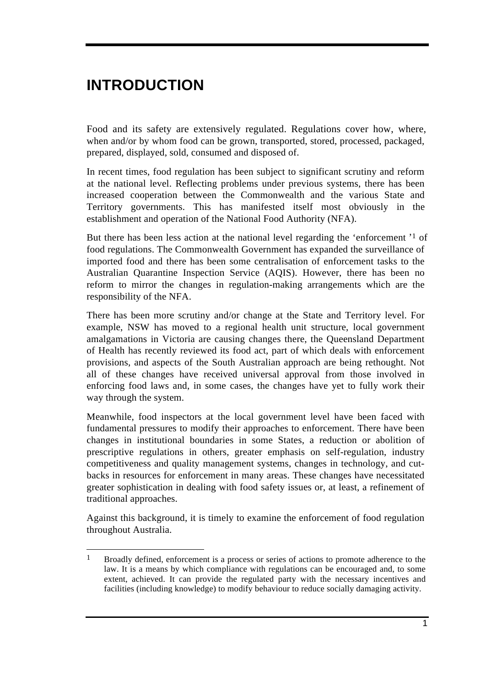## **INTRODUCTION**

Food and its safety are extensively regulated. Regulations cover how, where, when and/or by whom food can be grown, transported, stored, processed, packaged, prepared, displayed, sold, consumed and disposed of.

In recent times, food regulation has been subject to significant scrutiny and reform at the national level. Reflecting problems under previous systems, there has been increased cooperation between the Commonwealth and the various State and Territory governments. This has manifested itself most obviously in the establishment and operation of the National Food Authority (NFA).

But there has been less action at the national level regarding the 'enforcement'<sup>1</sup> of food regulations. The Commonwealth Government has expanded the surveillance of imported food and there has been some centralisation of enforcement tasks to the Australian Quarantine Inspection Service (AQIS). However, there has been no reform to mirror the changes in regulation-making arrangements which are the responsibility of the NFA.

There has been more scrutiny and/or change at the State and Territory level. For example, NSW has moved to a regional health unit structure, local government amalgamations in Victoria are causing changes there, the Queensland Department of Health has recently reviewed its food act, part of which deals with enforcement provisions, and aspects of the South Australian approach are being rethought. Not all of these changes have received universal approval from those involved in enforcing food laws and, in some cases, the changes have yet to fully work their way through the system.

Meanwhile, food inspectors at the local government level have been faced with fundamental pressures to modify their approaches to enforcement. There have been changes in institutional boundaries in some States, a reduction or abolition of prescriptive regulations in others, greater emphasis on self-regulation, industry competitiveness and quality management systems, changes in technology, and cutbacks in resources for enforcement in many areas. These changes have necessitated greater sophistication in dealing with food safety issues or, at least, a refinement of traditional approaches.

Against this background, it is timely to examine the enforcement of food regulation throughout Australia.

 $\mathbf{1}$ 1 Broadly defined, enforcement is a process or series of actions to promote adherence to the law. It is a means by which compliance with regulations can be encouraged and, to some extent, achieved. It can provide the regulated party with the necessary incentives and facilities (including knowledge) to modify behaviour to reduce socially damaging activity.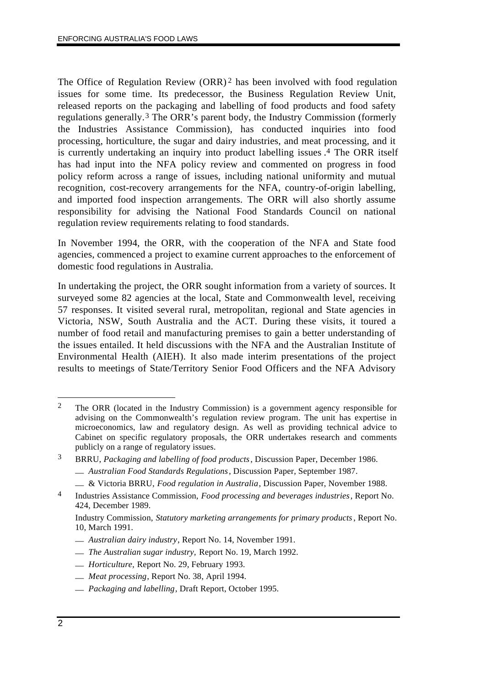The Office of Regulation Review (ORR)<sup>2</sup> has been involved with food regulation issues for some time. Its predecessor, the Business Regulation Review Unit, released reports on the packaging and labelling of food products and food safety regulations generally.3 The ORR's parent body, the Industry Commission (formerly the Industries Assistance Commission), has conducted inquiries into food processing, horticulture, the sugar and dairy industries, and meat processing, and it is currently undertaking an inquiry into product labelling issues . 4 The ORR itself has had input into the NFA policy review and commented on progress in food policy reform across a range of issues, including national uniformity and mutual recognition, cost-recovery arrangements for the NFA, country-of-origin labelling, and imported food inspection arrangements. The ORR will also shortly assume responsibility for advising the National Food Standards Council on national regulation review requirements relating to food standards.

In November 1994, the ORR, with the cooperation of the NFA and State food agencies, commenced a project to examine current approaches to the enforcement of domestic food regulations in Australia.

In undertaking the project, the ORR sought information from a variety of sources. It surveyed some 82 agencies at the local, State and Commonwealth level, receiving 57 responses. It visited several rural, metropolitan, regional and State agencies in Victoria, NSW, South Australia and the ACT. During these visits, it toured a number of food retail and manufacturing premises to gain a better understanding of the issues entailed. It held discussions with the NFA and the Australian Institute of Environmental Health (AIEH). It also made interim presentations of the project results to meetings of State/Territory Senior Food Officers and the NFA Advisory

- \_\_ *Australian dairy industry*, Report No. 14, November 1991.
- \_\_ *The Australian sugar industry,* Report No. 19, March 1992.
- \_\_ *Horticulture,* Report No. 29, February 1993.
- \_\_ *Meat processing*, Report No. 38, April 1994.
- \_\_ *Packaging and labelling*, Draft Report, October 1995.

 $\mathcal{L}$ 2 The ORR (located in the Industry Commission) is a government agency responsible for advising on the Commonwealth's regulation review program. The unit has expertise in microeconomics, law and regulatory design. As well as providing technical advice to Cabinet on specific regulatory proposals, the ORR undertakes research and comments publicly on a range of regulatory issues.

<sup>3</sup> BRRU, *Packaging and labelling of food products*, Discussion Paper, December 1986.

\_\_ *Australian Food Standards Regulations*, Discussion Paper, September 1987.

\_\_ & Victoria BRRU, *Food regulation in Australia*, Discussion Paper, November 1988.

<sup>4</sup> Industries Assistance Commission, *Food processing and beverages industries*, Report No. 424, December 1989.

Industry Commission, *Statutory marketing arrangements for primary products*, Report No. 10, March 1991.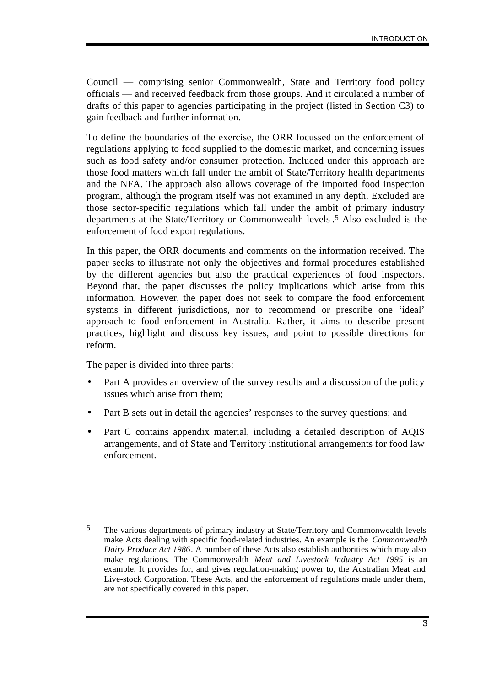Council — comprising senior Commonwealth, State and Territory food policy officials — and received feedback from those groups. And it circulated a number of drafts of this paper to agencies participating in the project (listed in Section C3) to gain feedback and further information.

To define the boundaries of the exercise, the ORR focussed on the enforcement of regulations applying to food supplied to the domestic market, and concerning issues such as food safety and/or consumer protection. Included under this approach are those food matters which fall under the ambit of State/Territory health departments and the NFA. The approach also allows coverage of the imported food inspection program, although the program itself was not examined in any depth. Excluded are those sector-specific regulations which fall under the ambit of primary industry departments at the State/Territory or Commonwealth levels . 5 Also excluded is the enforcement of food export regulations.

In this paper, the ORR documents and comments on the information received. The paper seeks to illustrate not only the objectives and formal procedures established by the different agencies but also the practical experiences of food inspectors. Beyond that, the paper discusses the policy implications which arise from this information. However, the paper does not seek to compare the food enforcement systems in different jurisdictions, nor to recommend or prescribe one 'ideal' approach to food enforcement in Australia. Rather, it aims to describe present practices, highlight and discuss key issues, and point to possible directions for reform.

The paper is divided into three parts:

- Part A provides an overview of the survey results and a discussion of the policy issues which arise from them;
- Part B sets out in detail the agencies' responses to the survey questions; and
- Part C contains appendix material, including a detailed description of AQIS arrangements, and of State and Territory institutional arrangements for food law enforcement.

 $\overline{a}$ 5 The various departments of primary industry at State/Territory and Commonwealth levels make Acts dealing with specific food-related industries. An example is the *Commonwealth Dairy Produce Act 1986*. A number of these Acts also establish authorities which may also make regulations. The Commonwealth *Meat and Livestock Industry Act 1995* is an example. It provides for, and gives regulation-making power to, the Australian Meat and Live-stock Corporation. These Acts, and the enforcement of regulations made under them, are not specifically covered in this paper.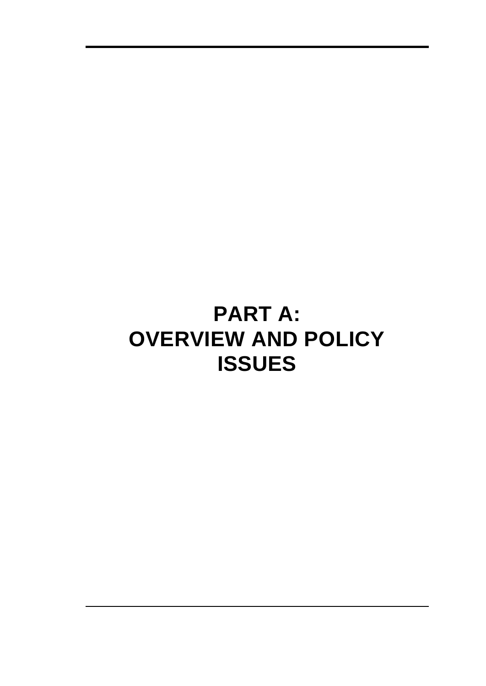# **PART A: OVERVIEW AND POLICY ISSUES**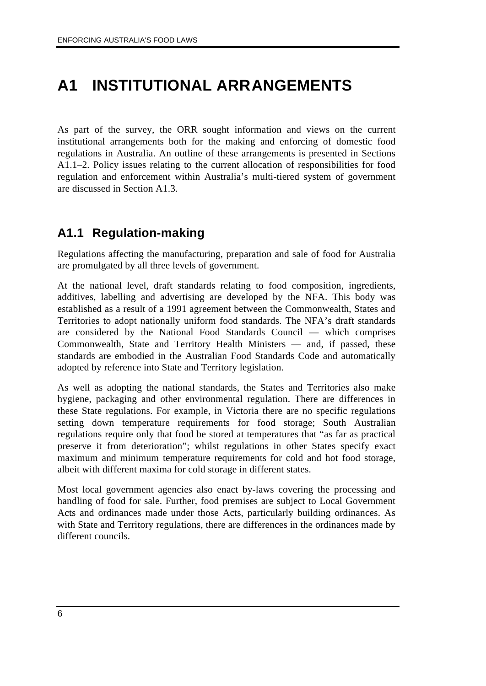## **A1 INSTITUTIONAL ARRANGEMENTS**

As part of the survey, the ORR sought information and views on the current institutional arrangements both for the making and enforcing of domestic food regulations in Australia. An outline of these arrangements is presented in Sections A1.1–2. Policy issues relating to the current allocation of responsibilities for food regulation and enforcement within Australia's multi-tiered system of government are discussed in Section A1.3.

### **A1.1 Regulation-making**

Regulations affecting the manufacturing, preparation and sale of food for Australia are promulgated by all three levels of government.

At the national level, draft standards relating to food composition, ingredients, additives, labelling and advertising are developed by the NFA. This body was established as a result of a 1991 agreement between the Commonwealth, States and Territories to adopt nationally uniform food standards. The NFA's draft standards are considered by the National Food Standards Council — which comprises Commonwealth, State and Territory Health Ministers — and, if passed, these standards are embodied in the Australian Food Standards Code and automatically adopted by reference into State and Territory legislation.

As well as adopting the national standards, the States and Territories also make hygiene, packaging and other environmental regulation. There are differences in these State regulations. For example, in Victoria there are no specific regulations setting down temperature requirements for food storage; South Australian regulations require only that food be stored at temperatures that "as far as practical preserve it from deterioration"; whilst regulations in other States specify exact maximum and minimum temperature requirements for cold and hot food storage, albeit with different maxima for cold storage in different states.

Most local government agencies also enact by-laws covering the processing and handling of food for sale. Further, food premises are subject to Local Government Acts and ordinances made under those Acts, particularly building ordinances. As with State and Territory regulations, there are differences in the ordinances made by different councils.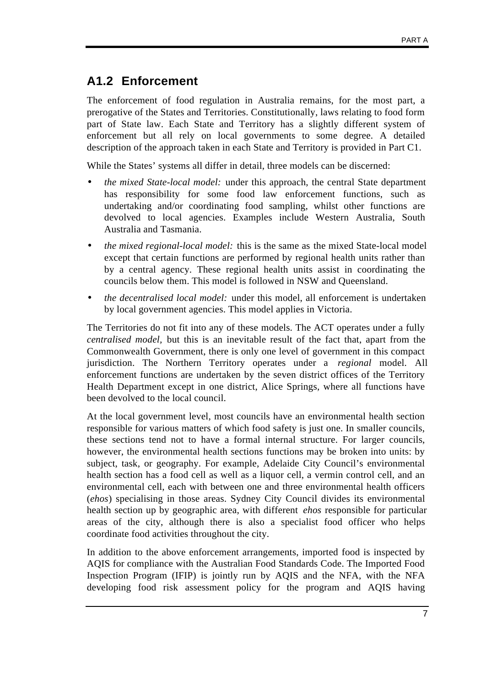### **A1.2 Enforcement**

The enforcement of food regulation in Australia remains, for the most part, a prerogative of the States and Territories. Constitutionally, laws relating to food form part of State law. Each State and Territory has a slightly different system of enforcement but all rely on local governments to some degree. A detailed description of the approach taken in each State and Territory is provided in Part C1.

While the States' systems all differ in detail, three models can be discerned:

- *the mixed State-local model:* under this approach, the central State department has responsibility for some food law enforcement functions, such as undertaking and/or coordinating food sampling, whilst other functions are devolved to local agencies. Examples include Western Australia, South Australia and Tasmania.
- *the mixed regional-local model:* this is the same as the mixed State-local model except that certain functions are performed by regional health units rather than by a central agency. These regional health units assist in coordinating the councils below them. This model is followed in NSW and Queensland.
- *the decentralised local model:* under this model, all enforcement is undertaken by local government agencies. This model applies in Victoria.

The Territories do not fit into any of these models. The ACT operates under a fully *centralised model,* but this is an inevitable result of the fact that, apart from the Commonwealth Government, there is only one level of government in this compact jurisdiction. The Northern Territory operates under a *regional* model. All enforcement functions are undertaken by the seven district offices of the Territory Health Department except in one district, Alice Springs, where all functions have been devolved to the local council.

At the local government level, most councils have an environmental health section responsible for various matters of which food safety is just one. In smaller councils, these sections tend not to have a formal internal structure. For larger councils, however, the environmental health sections functions may be broken into units: by subject, task, or geography. For example, Adelaide City Council's environmental health section has a food cell as well as a liquor cell, a vermin control cell, and an environmental cell, each with between one and three environmental health officers (*ehos*) specialising in those areas. Sydney City Council divides its environmental health section up by geographic area, with different *ehos* responsible for particular areas of the city, although there is also a specialist food officer who helps coordinate food activities throughout the city.

In addition to the above enforcement arrangements, imported food is inspected by AQIS for compliance with the Australian Food Standards Code. The Imported Food Inspection Program (IFIP) is jointly run by AQIS and the NFA, with the NFA developing food risk assessment policy for the program and AQIS having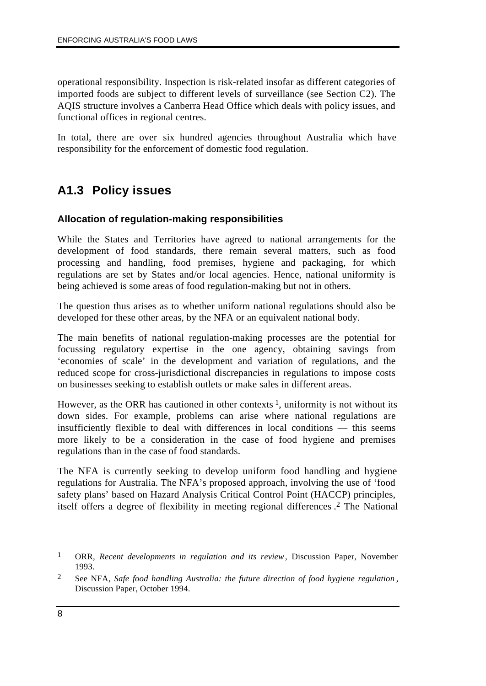operational responsibility. Inspection is risk-related insofar as different categories of imported foods are subject to different levels of surveillance (see Section C2). The AQIS structure involves a Canberra Head Office which deals with policy issues, and functional offices in regional centres.

In total, there are over six hundred agencies throughout Australia which have responsibility for the enforcement of domestic food regulation.

### **A1.3 Policy issues**

### **Allocation of regulation-making responsibilities**

While the States and Territories have agreed to national arrangements for the development of food standards, there remain several matters, such as food processing and handling, food premises, hygiene and packaging, for which regulations are set by States and/or local agencies. Hence, national uniformity is being achieved is some areas of food regulation-making but not in others.

The question thus arises as to whether uniform national regulations should also be developed for these other areas, by the NFA or an equivalent national body.

The main benefits of national regulation-making processes are the potential for focussing regulatory expertise in the one agency, obtaining savings from 'economies of scale' in the development and variation of regulations, and the reduced scope for cross-jurisdictional discrepancies in regulations to impose costs on businesses seeking to establish outlets or make sales in different areas.

However, as the ORR has cautioned in other contexts  $\frac{1}{1}$ , uniformity is not without its down sides. For example, problems can arise where national regulations are insufficiently flexible to deal with differences in local conditions — this seems more likely to be a consideration in the case of food hygiene and premises regulations than in the case of food standards.

The NFA is currently seeking to develop uniform food handling and hygiene regulations for Australia. The NFA's proposed approach, involving the use of 'food safety plans' based on Hazard Analysis Critical Control Point (HACCP) principles, itself offers a degree of flexibility in meeting regional differences . 2 The National

 $\overline{a}$ 

<sup>1</sup> ORR, *Recent developments in regulation and its review*, Discussion Paper, November 1993.

<sup>2</sup> See NFA, *Safe food handling Australia: the future direction of food hygiene regulation* , Discussion Paper, October 1994.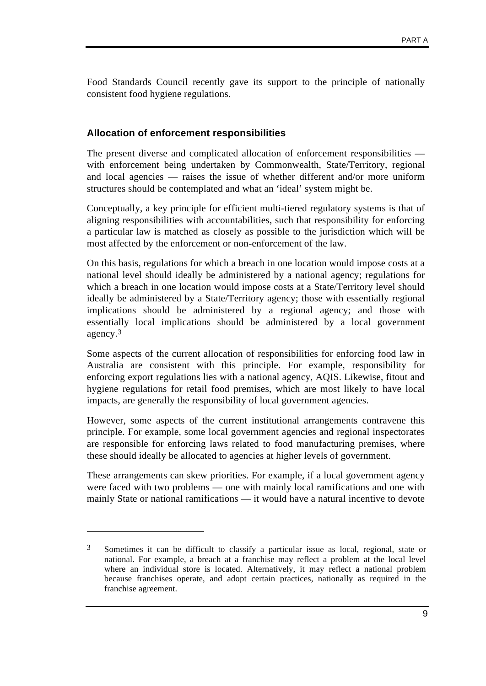Food Standards Council recently gave its support to the principle of nationally consistent food hygiene regulations.

#### **Allocation of enforcement responsibilities**

The present diverse and complicated allocation of enforcement responsibilities with enforcement being undertaken by Commonwealth, State/Territory, regional and local agencies — raises the issue of whether different and/or more uniform structures should be contemplated and what an 'ideal' system might be.

Conceptually, a key principle for efficient multi-tiered regulatory systems is that of aligning responsibilities with accountabilities, such that responsibility for enforcing a particular law is matched as closely as possible to the jurisdiction which will be most affected by the enforcement or non-enforcement of the law.

On this basis, regulations for which a breach in one location would impose costs at a national level should ideally be administered by a national agency; regulations for which a breach in one location would impose costs at a State/Territory level should ideally be administered by a State/Territory agency; those with essentially regional implications should be administered by a regional agency; and those with essentially local implications should be administered by a local government agency.3

Some aspects of the current allocation of responsibilities for enforcing food law in Australia are consistent with this principle. For example, responsibility for enforcing export regulations lies with a national agency, AQIS. Likewise, fitout and hygiene regulations for retail food premises, which are most likely to have local impacts, are generally the responsibility of local government agencies.

However, some aspects of the current institutional arrangements contravene this principle. For example, some local government agencies and regional inspectorates are responsible for enforcing laws related to food manufacturing premises, where these should ideally be allocated to agencies at higher levels of government.

These arrangements can skew priorities. For example, if a local government agency were faced with two problems — one with mainly local ramifications and one with mainly State or national ramifications — it would have a natural incentive to devote

 $\overline{a}$ 

<sup>3</sup> Sometimes it can be difficult to classify a particular issue as local, regional, state or national. For example, a breach at a franchise may reflect a problem at the local level where an individual store is located. Alternatively, it may reflect a national problem because franchises operate, and adopt certain practices, nationally as required in the franchise agreement.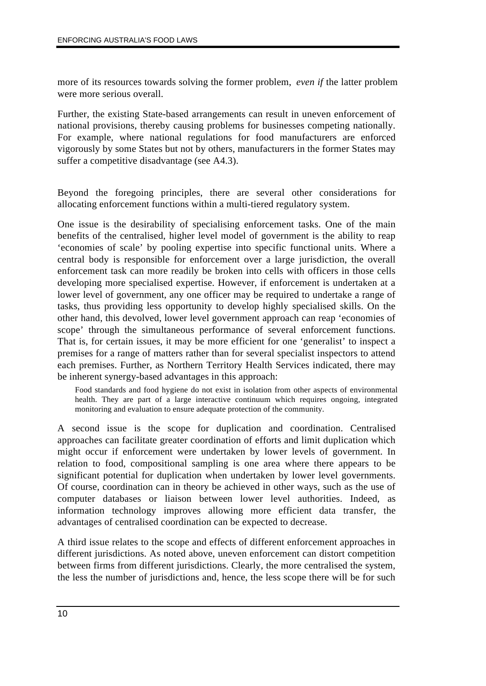more of its resources towards solving the former problem, *even if* the latter problem were more serious overall.

Further, the existing State-based arrangements can result in uneven enforcement of national provisions, thereby causing problems for businesses competing nationally. For example, where national regulations for food manufacturers are enforced vigorously by some States but not by others, manufacturers in the former States may suffer a competitive disadvantage (see A4.3).

Beyond the foregoing principles, there are several other considerations for allocating enforcement functions within a multi-tiered regulatory system.

One issue is the desirability of specialising enforcement tasks. One of the main benefits of the centralised, higher level model of government is the ability to reap 'economies of scale' by pooling expertise into specific functional units. Where a central body is responsible for enforcement over a large jurisdiction, the overall enforcement task can more readily be broken into cells with officers in those cells developing more specialised expertise. However, if enforcement is undertaken at a lower level of government, any one officer may be required to undertake a range of tasks, thus providing less opportunity to develop highly specialised skills. On the other hand, this devolved, lower level government approach can reap 'economies of scope' through the simultaneous performance of several enforcement functions. That is, for certain issues, it may be more efficient for one 'generalist' to inspect a premises for a range of matters rather than for several specialist inspectors to attend each premises. Further, as Northern Territory Health Services indicated, there may be inherent synergy-based advantages in this approach:

Food standards and food hygiene do not exist in isolation from other aspects of environmental health. They are part of a large interactive continuum which requires ongoing, integrated monitoring and evaluation to ensure adequate protection of the community.

A second issue is the scope for duplication and coordination. Centralised approaches can facilitate greater coordination of efforts and limit duplication which might occur if enforcement were undertaken by lower levels of government. In relation to food, compositional sampling is one area where there appears to be significant potential for duplication when undertaken by lower level governments. Of course, coordination can in theory be achieved in other ways, such as the use of computer databases or liaison between lower level authorities. Indeed, as information technology improves allowing more efficient data transfer, the advantages of centralised coordination can be expected to decrease.

A third issue relates to the scope and effects of different enforcement approaches in different jurisdictions. As noted above, uneven enforcement can distort competition between firms from different jurisdictions. Clearly, the more centralised the system, the less the number of jurisdictions and, hence, the less scope there will be for such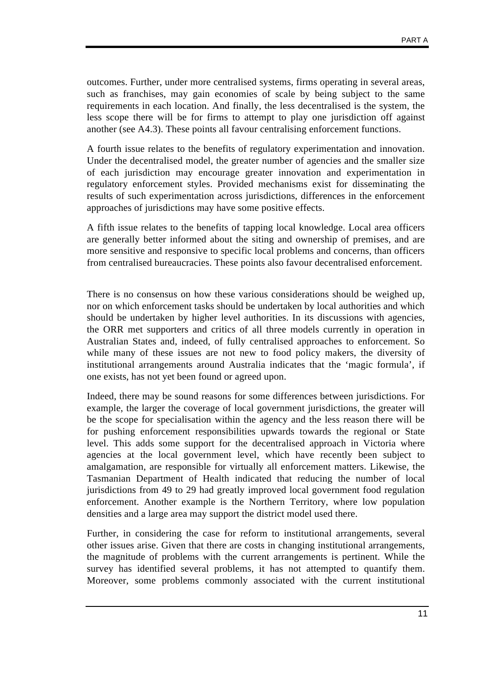outcomes. Further, under more centralised systems, firms operating in several areas, such as franchises, may gain economies of scale by being subject to the same requirements in each location. And finally, the less decentralised is the system, the less scope there will be for firms to attempt to play one jurisdiction off against another (see A4.3). These points all favour centralising enforcement functions.

A fourth issue relates to the benefits of regulatory experimentation and innovation. Under the decentralised model, the greater number of agencies and the smaller size of each jurisdiction may encourage greater innovation and experimentation in regulatory enforcement styles. Provided mechanisms exist for disseminating the results of such experimentation across jurisdictions, differences in the enforcement approaches of jurisdictions may have some positive effects.

A fifth issue relates to the benefits of tapping local knowledge. Local area officers are generally better informed about the siting and ownership of premises, and are more sensitive and responsive to specific local problems and concerns, than officers from centralised bureaucracies. These points also favour decentralised enforcement.

There is no consensus on how these various considerations should be weighed up, nor on which enforcement tasks should be undertaken by local authorities and which should be undertaken by higher level authorities. In its discussions with agencies, the ORR met supporters and critics of all three models currently in operation in Australian States and, indeed, of fully centralised approaches to enforcement. So while many of these issues are not new to food policy makers, the diversity of institutional arrangements around Australia indicates that the 'magic formula', if one exists, has not yet been found or agreed upon.

Indeed, there may be sound reasons for some differences between jurisdictions. For example, the larger the coverage of local government jurisdictions, the greater will be the scope for specialisation within the agency and the less reason there will be for pushing enforcement responsibilities upwards towards the regional or State level. This adds some support for the decentralised approach in Victoria where agencies at the local government level, which have recently been subject to amalgamation, are responsible for virtually all enforcement matters. Likewise, the Tasmanian Department of Health indicated that reducing the number of local jurisdictions from 49 to 29 had greatly improved local government food regulation enforcement. Another example is the Northern Territory, where low population densities and a large area may support the district model used there.

Further, in considering the case for reform to institutional arrangements, several other issues arise. Given that there are costs in changing institutional arrangements, the magnitude of problems with the current arrangements is pertinent. While the survey has identified several problems, it has not attempted to quantify them. Moreover, some problems commonly associated with the current institutional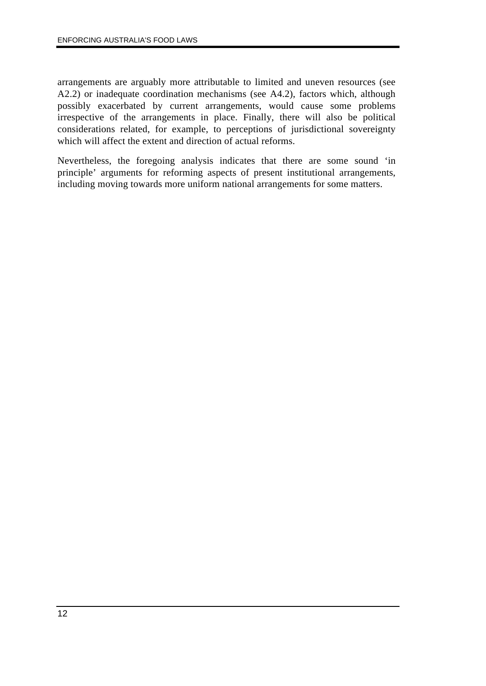arrangements are arguably more attributable to limited and uneven resources (see A2.2) or inadequate coordination mechanisms (see A4.2), factors which, although possibly exacerbated by current arrangements, would cause some problems irrespective of the arrangements in place. Finally, there will also be political considerations related, for example, to perceptions of jurisdictional sovereignty which will affect the extent and direction of actual reforms.

Nevertheless, the foregoing analysis indicates that there are some sound 'in principle' arguments for reforming aspects of present institutional arrangements, including moving towards more uniform national arrangements for some matters.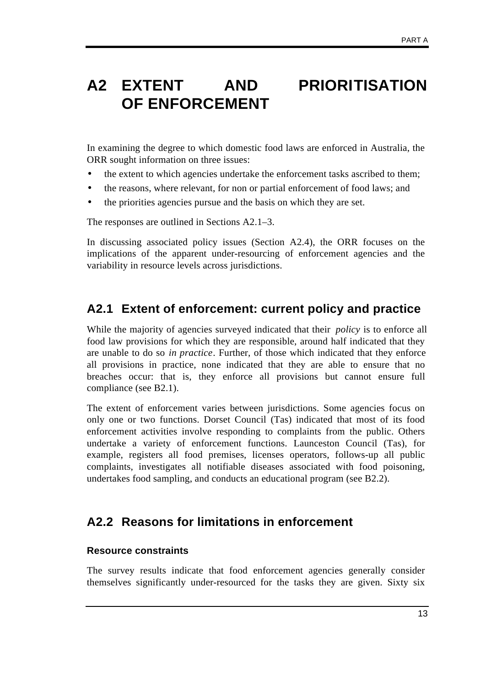## **A2 EXTENT AND PRIORITISATION OF ENFORCEMENT**

In examining the degree to which domestic food laws are enforced in Australia, the ORR sought information on three issues:

- the extent to which agencies undertake the enforcement tasks ascribed to them;
- the reasons, where relevant, for non or partial enforcement of food laws; and
- the priorities agencies pursue and the basis on which they are set.

The responses are outlined in Sections A2.1–3.

In discussing associated policy issues (Section A2.4), the ORR focuses on the implications of the apparent under-resourcing of enforcement agencies and the variability in resource levels across jurisdictions.

### **A2.1 Extent of enforcement: current policy and practice**

While the majority of agencies surveyed indicated that their *policy* is to enforce all food law provisions for which they are responsible, around half indicated that they are unable to do so *in practice*. Further, of those which indicated that they enforce all provisions in practice, none indicated that they are able to ensure that no breaches occur: that is, they enforce all provisions but cannot ensure full compliance (see B2.1).

The extent of enforcement varies between jurisdictions. Some agencies focus on only one or two functions. Dorset Council (Tas) indicated that most of its food enforcement activities involve responding to complaints from the public. Others undertake a variety of enforcement functions. Launceston Council (Tas), for example, registers all food premises, licenses operators, follows-up all public complaints, investigates all notifiable diseases associated with food poisoning, undertakes food sampling, and conducts an educational program (see B2.2).

### **A2.2 Reasons for limitations in enforcement**

#### **Resource constraints**

The survey results indicate that food enforcement agencies generally consider themselves significantly under-resourced for the tasks they are given. Sixty six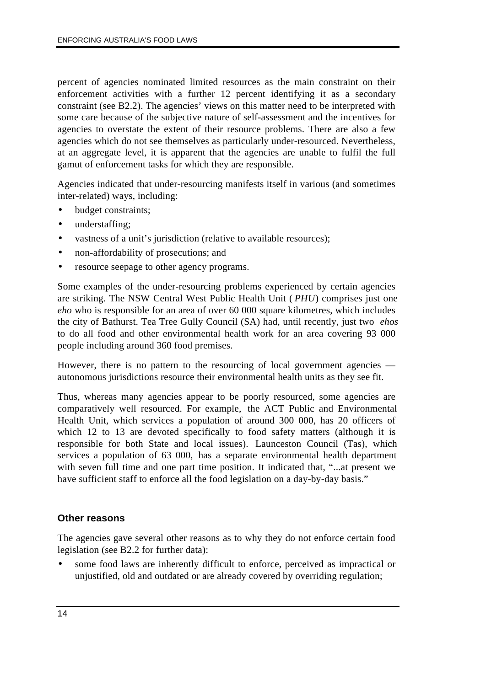percent of agencies nominated limited resources as the main constraint on their enforcement activities with a further 12 percent identifying it as a secondary constraint (see B2.2). The agencies' views on this matter need to be interpreted with some care because of the subjective nature of self-assessment and the incentives for agencies to overstate the extent of their resource problems. There are also a few agencies which do not see themselves as particularly under-resourced. Nevertheless, at an aggregate level, it is apparent that the agencies are unable to fulfil the full gamut of enforcement tasks for which they are responsible.

Agencies indicated that under-resourcing manifests itself in various (and sometimes inter-related) ways, including:

- budget constraints:
- understaffing;
- vastness of a unit's jurisdiction (relative to available resources);
- non-affordability of prosecutions; and
- resource seepage to other agency programs.

Some examples of the under-resourcing problems experienced by certain agencies are striking. The NSW Central West Public Health Unit ( *PHU*) comprises just one *eho* who is responsible for an area of over 60 000 square kilometres, which includes the city of Bathurst. Tea Tree Gully Council (SA) had, until recently, just two *ehos* to do all food and other environmental health work for an area covering 93 000 people including around 360 food premises.

However, there is no pattern to the resourcing of local government agencies autonomous jurisdictions resource their environmental health units as they see fit.

Thus, whereas many agencies appear to be poorly resourced, some agencies are comparatively well resourced. For example, the ACT Public and Environmental Health Unit, which services a population of around 300 000, has 20 officers of which 12 to 13 are devoted specifically to food safety matters (although it is responsible for both State and local issues). Launceston Council (Tas), which services a population of 63 000, has a separate environmental health department with seven full time and one part time position. It indicated that, "...at present we have sufficient staff to enforce all the food legislation on a day-by-day basis."

#### **Other reasons**

The agencies gave several other reasons as to why they do not enforce certain food legislation (see B2.2 for further data):

• some food laws are inherently difficult to enforce, perceived as impractical or unjustified, old and outdated or are already covered by overriding regulation;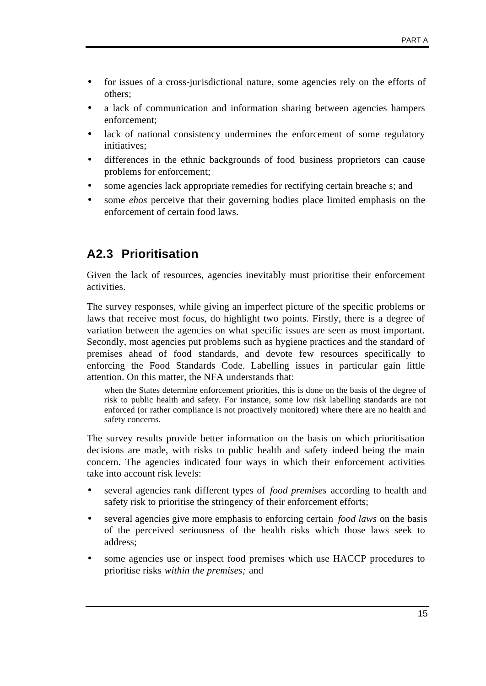- for issues of a cross-jurisdictional nature, some agencies rely on the efforts of others;
- a lack of communication and information sharing between agencies hampers enforcement;
- lack of national consistency undermines the enforcement of some regulatory initiatives;
- differences in the ethnic backgrounds of food business proprietors can cause problems for enforcement;
- some agencies lack appropriate remedies for rectifying certain breache s; and
- some *ehos* perceive that their governing bodies place limited emphasis on the enforcement of certain food laws.

### **A2.3 Prioritisation**

Given the lack of resources, agencies inevitably must prioritise their enforcement activities.

The survey responses, while giving an imperfect picture of the specific problems or laws that receive most focus, do highlight two points. Firstly, there is a degree of variation between the agencies on what specific issues are seen as most important. Secondly, most agencies put problems such as hygiene practices and the standard of premises ahead of food standards, and devote few resources specifically to enforcing the Food Standards Code. Labelling issues in particular gain little attention. On this matter, the NFA understands that:

when the States determine enforcement priorities, this is done on the basis of the degree of risk to public health and safety. For instance, some low risk labelling standards are not enforced (or rather compliance is not proactively monitored) where there are no health and safety concerns.

The survey results provide better information on the basis on which prioritisation decisions are made, with risks to public health and safety indeed being the main concern. The agencies indicated four ways in which their enforcement activities take into account risk levels:

- several agencies rank different types of *food premises* according to health and safety risk to prioritise the stringency of their enforcement efforts;
- several agencies give more emphasis to enforcing certain *food laws* on the basis of the perceived seriousness of the health risks which those laws seek to address;
- some agencies use or inspect food premises which use HACCP procedures to prioritise risks *within the premises;* and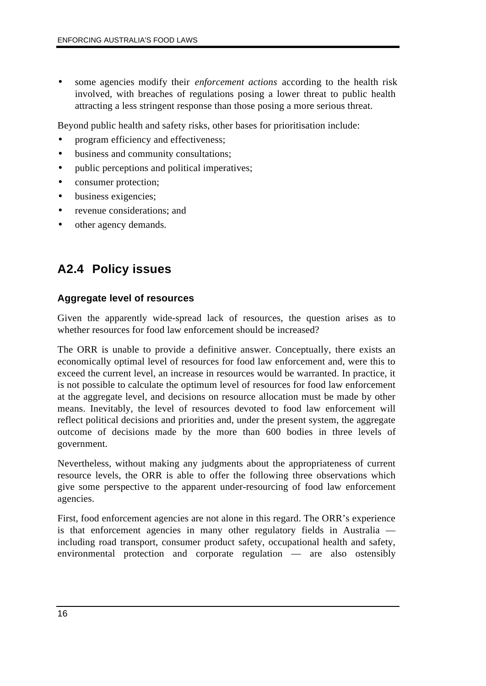• some agencies modify their *enforcement actions* according to the health risk involved, with breaches of regulations posing a lower threat to public health attracting a less stringent response than those posing a more serious threat.

Beyond public health and safety risks, other bases for prioritisation include:

- program efficiency and effectiveness;
- business and community consultations:
- public perceptions and political imperatives;
- consumer protection;
- business exigencies;
- revenue considerations; and
- other agency demands.

### **A2.4 Policy issues**

#### **Aggregate level of resources**

Given the apparently wide-spread lack of resources, the question arises as to whether resources for food law enforcement should be increased?

The ORR is unable to provide a definitive answer. Conceptually, there exists an economically optimal level of resources for food law enforcement and, were this to exceed the current level, an increase in resources would be warranted. In practice, it is not possible to calculate the optimum level of resources for food law enforcement at the aggregate level, and decisions on resource allocation must be made by other means. Inevitably, the level of resources devoted to food law enforcement will reflect political decisions and priorities and, under the present system, the aggregate outcome of decisions made by the more than 600 bodies in three levels of government.

Nevertheless, without making any judgments about the appropriateness of current resource levels, the ORR is able to offer the following three observations which give some perspective to the apparent under-resourcing of food law enforcement agencies.

First, food enforcement agencies are not alone in this regard. The ORR's experience is that enforcement agencies in many other regulatory fields in Australia including road transport, consumer product safety, occupational health and safety, environmental protection and corporate regulation — are also ostensibly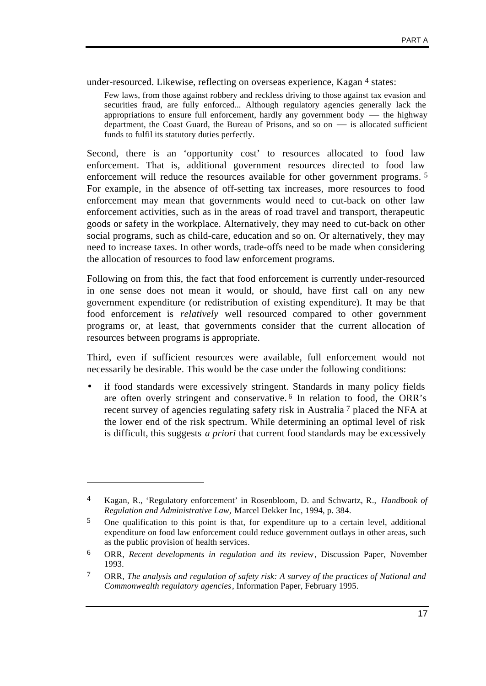under-resourced. Likewise, reflecting on overseas experience, Kagan 4 states:

Few laws, from those against robbery and reckless driving to those against tax evasion and securities fraud, are fully enforced... Although regulatory agencies generally lack the appropriations to ensure full enforcement, hardly any government body — the highway department, the Coast Guard, the Bureau of Prisons, and so on — is allocated sufficient funds to fulfil its statutory duties perfectly.

Second, there is an 'opportunity cost' to resources allocated to food law enforcement. That is, additional government resources directed to food law enforcement will reduce the resources available for other government programs. 5 For example, in the absence of off-setting tax increases, more resources to food enforcement may mean that governments would need to cut-back on other law enforcement activities, such as in the areas of road travel and transport, therapeutic goods or safety in the workplace. Alternatively, they may need to cut-back on other social programs, such as child-care, education and so on. Or alternatively, they may need to increase taxes. In other words, trade-offs need to be made when considering the allocation of resources to food law enforcement programs.

Following on from this, the fact that food enforcement is currently under-resourced in one sense does not mean it would, or should, have first call on any new government expenditure (or redistribution of existing expenditure). It may be that food enforcement is *relatively* well resourced compared to other government programs or, at least, that governments consider that the current allocation of resources between programs is appropriate.

Third, even if sufficient resources were available, full enforcement would not necessarily be desirable. This would be the case under the following conditions:

• if food standards were excessively stringent. Standards in many policy fields are often overly stringent and conservative. 6 In relation to food, the ORR's recent survey of agencies regulating safety risk in Australia 7 placed the NFA at the lower end of the risk spectrum. While determining an optimal level of risk is difficult, this suggests *a priori* that current food standards may be excessively

 $\overline{a}$ 

<sup>4</sup> Kagan, R., 'Regulatory enforcement' in Rosenbloom, D. and Schwartz, R., *Handbook of Regulation and Administrative Law,* Marcel Dekker Inc, 1994, p. 384.

<sup>5</sup> One qualification to this point is that, for expenditure up to a certain level, additional expenditure on food law enforcement could reduce government outlays in other areas, such as the public provision of health services.

<sup>6</sup> ORR, *Recent developments in regulation and its review*, Discussion Paper, November 1993.

<sup>7</sup> ORR, *The analysis and regulation of safety risk: A survey of the practices of National and Commonwealth regulatory agencies*, Information Paper, February 1995.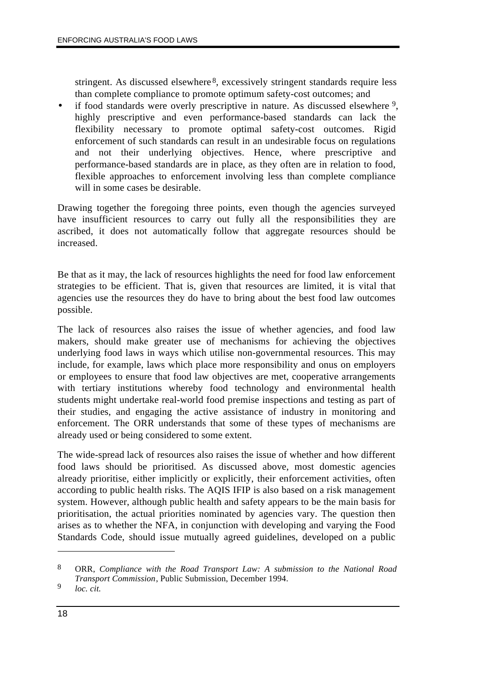stringent. As discussed elsewhere 8, excessively stringent standards require less than complete compliance to promote optimum safety-cost outcomes; and

• if food standards were overly prescriptive in nature. As discussed elsewhere  $9$ , highly prescriptive and even performance-based standards can lack the flexibility necessary to promote optimal safety-cost outcomes. Rigid enforcement of such standards can result in an undesirable focus on regulations and not their underlying objectives. Hence, where prescriptive and performance-based standards are in place, as they often are in relation to food, flexible approaches to enforcement involving less than complete compliance will in some cases be desirable.

Drawing together the foregoing three points, even though the agencies surveyed have insufficient resources to carry out fully all the responsibilities they are ascribed, it does not automatically follow that aggregate resources should be increased.

Be that as it may, the lack of resources highlights the need for food law enforcement strategies to be efficient. That is, given that resources are limited, it is vital that agencies use the resources they do have to bring about the best food law outcomes possible.

The lack of resources also raises the issue of whether agencies, and food law makers, should make greater use of mechanisms for achieving the objectives underlying food laws in ways which utilise non-governmental resources. This may include, for example, laws which place more responsibility and onus on employers or employees to ensure that food law objectives are met, cooperative arrangements with tertiary institutions whereby food technology and environmental health students might undertake real-world food premise inspections and testing as part of their studies, and engaging the active assistance of industry in monitoring and enforcement. The ORR understands that some of these types of mechanisms are already used or being considered to some extent.

The wide-spread lack of resources also raises the issue of whether and how different food laws should be prioritised. As discussed above, most domestic agencies already prioritise, either implicitly or explicitly, their enforcement activities, often according to public health risks. The AQIS IFIP is also based on a risk management system. However, although public health and safety appears to be the main basis for prioritisation, the actual priorities nominated by agencies vary. The question then arises as to whether the NFA, in conjunction with developing and varying the Food Standards Code, should issue mutually agreed guidelines, developed on a public

 $\overline{a}$ 

<sup>8</sup> ORR, *Compliance with the Road Transport Law: A submission to the National Road Transport Commission*, Public Submission, December 1994.

<sup>9</sup> *loc. cit.*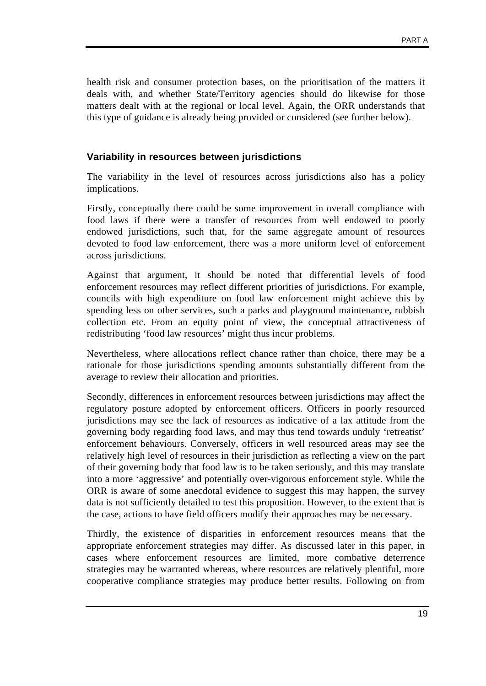health risk and consumer protection bases, on the prioritisation of the matters it deals with, and whether State/Territory agencies should do likewise for those matters dealt with at the regional or local level. Again, the ORR understands that this type of guidance is already being provided or considered (see further below).

#### **Variability in resources between jurisdictions**

The variability in the level of resources across jurisdictions also has a policy implications.

Firstly, conceptually there could be some improvement in overall compliance with food laws if there were a transfer of resources from well endowed to poorly endowed jurisdictions, such that, for the same aggregate amount of resources devoted to food law enforcement, there was a more uniform level of enforcement across jurisdictions.

Against that argument, it should be noted that differential levels of food enforcement resources may reflect different priorities of jurisdictions. For example, councils with high expenditure on food law enforcement might achieve this by spending less on other services, such a parks and playground maintenance, rubbish collection etc. From an equity point of view, the conceptual attractiveness of redistributing 'food law resources' might thus incur problems.

Nevertheless, where allocations reflect chance rather than choice, there may be a rationale for those jurisdictions spending amounts substantially different from the average to review their allocation and priorities.

Secondly, differences in enforcement resources between jurisdictions may affect the regulatory posture adopted by enforcement officers. Officers in poorly resourced jurisdictions may see the lack of resources as indicative of a lax attitude from the governing body regarding food laws, and may thus tend towards unduly 'retreatist' enforcement behaviours. Conversely, officers in well resourced areas may see the relatively high level of resources in their jurisdiction as reflecting a view on the part of their governing body that food law is to be taken seriously, and this may translate into a more 'aggressive' and potentially over-vigorous enforcement style. While the ORR is aware of some anecdotal evidence to suggest this may happen, the survey data is not sufficiently detailed to test this proposition. However, to the extent that is the case, actions to have field officers modify their approaches may be necessary.

Thirdly, the existence of disparities in enforcement resources means that the appropriate enforcement strategies may differ. As discussed later in this paper, in cases where enforcement resources are limited, more combative deterrence strategies may be warranted whereas, where resources are relatively plentiful, more cooperative compliance strategies may produce better results. Following on from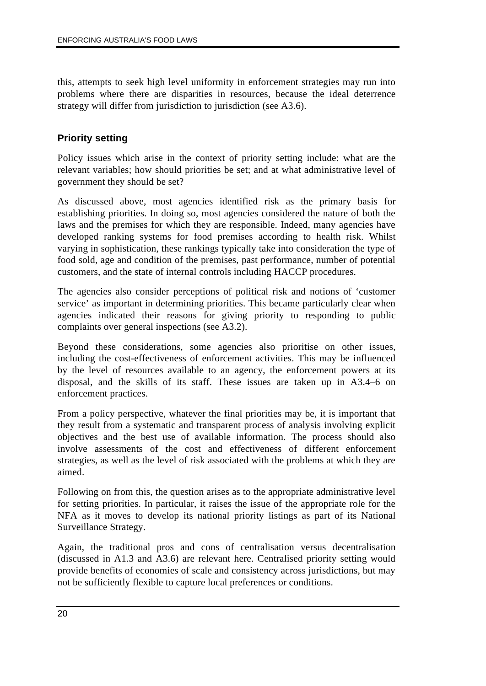this, attempts to seek high level uniformity in enforcement strategies may run into problems where there are disparities in resources, because the ideal deterrence strategy will differ from jurisdiction to jurisdiction (see A3.6).

### **Priority setting**

Policy issues which arise in the context of priority setting include: what are the relevant variables; how should priorities be set; and at what administrative level of government they should be set?

As discussed above, most agencies identified risk as the primary basis for establishing priorities. In doing so, most agencies considered the nature of both the laws and the premises for which they are responsible. Indeed, many agencies have developed ranking systems for food premises according to health risk. Whilst varying in sophistication, these rankings typically take into consideration the type of food sold, age and condition of the premises, past performance, number of potential customers, and the state of internal controls including HACCP procedures.

The agencies also consider perceptions of political risk and notions of 'customer service' as important in determining priorities. This became particularly clear when agencies indicated their reasons for giving priority to responding to public complaints over general inspections (see A3.2).

Beyond these considerations, some agencies also prioritise on other issues, including the cost-effectiveness of enforcement activities. This may be influenced by the level of resources available to an agency, the enforcement powers at its disposal, and the skills of its staff. These issues are taken up in A3.4–6 on enforcement practices.

From a policy perspective, whatever the final priorities may be, it is important that they result from a systematic and transparent process of analysis involving explicit objectives and the best use of available information. The process should also involve assessments of the cost and effectiveness of different enforcement strategies, as well as the level of risk associated with the problems at which they are aimed.

Following on from this, the question arises as to the appropriate administrative level for setting priorities. In particular, it raises the issue of the appropriate role for the NFA as it moves to develop its national priority listings as part of its National Surveillance Strategy.

Again, the traditional pros and cons of centralisation versus decentralisation (discussed in A1.3 and A3.6) are relevant here. Centralised priority setting would provide benefits of economies of scale and consistency across jurisdictions, but may not be sufficiently flexible to capture local preferences or conditions.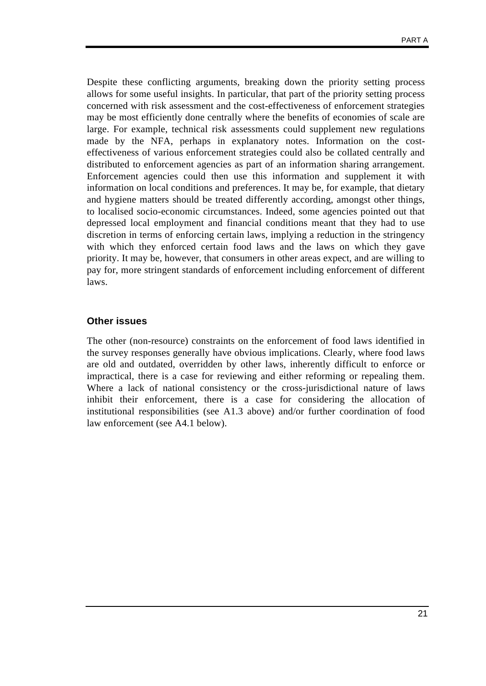Despite these conflicting arguments, breaking down the priority setting process allows for some useful insights. In particular, that part of the priority setting process concerned with risk assessment and the cost-effectiveness of enforcement strategies may be most efficiently done centrally where the benefits of economies of scale are large. For example, technical risk assessments could supplement new regulations made by the NFA, perhaps in explanatory notes. Information on the costeffectiveness of various enforcement strategies could also be collated centrally and distributed to enforcement agencies as part of an information sharing arrangement. Enforcement agencies could then use this information and supplement it with information on local conditions and preferences. It may be, for example, that dietary and hygiene matters should be treated differently according, amongst other things, to localised socio-economic circumstances. Indeed, some agencies pointed out that depressed local employment and financial conditions meant that they had to use discretion in terms of enforcing certain laws, implying a reduction in the stringency with which they enforced certain food laws and the laws on which they gave priority. It may be, however, that consumers in other areas expect, and are willing to pay for, more stringent standards of enforcement including enforcement of different laws.

#### **Other issues**

The other (non-resource) constraints on the enforcement of food laws identified in the survey responses generally have obvious implications. Clearly, where food laws are old and outdated, overridden by other laws, inherently difficult to enforce or impractical, there is a case for reviewing and either reforming or repealing them. Where a lack of national consistency or the cross-jurisdictional nature of laws inhibit their enforcement, there is a case for considering the allocation of institutional responsibilities (see A1.3 above) and/or further coordination of food law enforcement (see A4.1 below).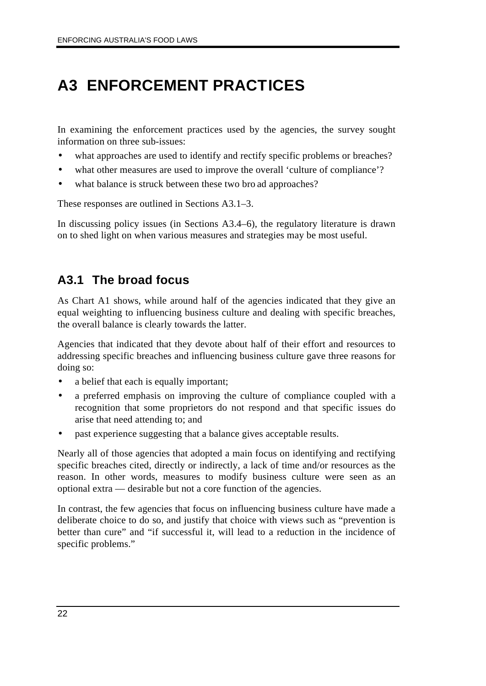## **A3 ENFORCEMENT PRACTICES**

In examining the enforcement practices used by the agencies, the survey sought information on three sub-issues:

- what approaches are used to identify and rectify specific problems or breaches?
- what other measures are used to improve the overall 'culture of compliance'?
- what balance is struck between these two bro ad approaches?

These responses are outlined in Sections A3.1–3.

In discussing policy issues (in Sections A3.4–6), the regulatory literature is drawn on to shed light on when various measures and strategies may be most useful.

### **A3.1 The broad focus**

As Chart A1 shows, while around half of the agencies indicated that they give an equal weighting to influencing business culture and dealing with specific breaches, the overall balance is clearly towards the latter.

Agencies that indicated that they devote about half of their effort and resources to addressing specific breaches and influencing business culture gave three reasons for doing so:

- a belief that each is equally important;
- a preferred emphasis on improving the culture of compliance coupled with a recognition that some proprietors do not respond and that specific issues do arise that need attending to; and
- past experience suggesting that a balance gives acceptable results.

Nearly all of those agencies that adopted a main focus on identifying and rectifying specific breaches cited, directly or indirectly, a lack of time and/or resources as the reason. In other words, measures to modify business culture were seen as an optional extra — desirable but not a core function of the agencies.

In contrast, the few agencies that focus on influencing business culture have made a deliberate choice to do so, and justify that choice with views such as "prevention is better than cure" and "if successful it, will lead to a reduction in the incidence of specific problems."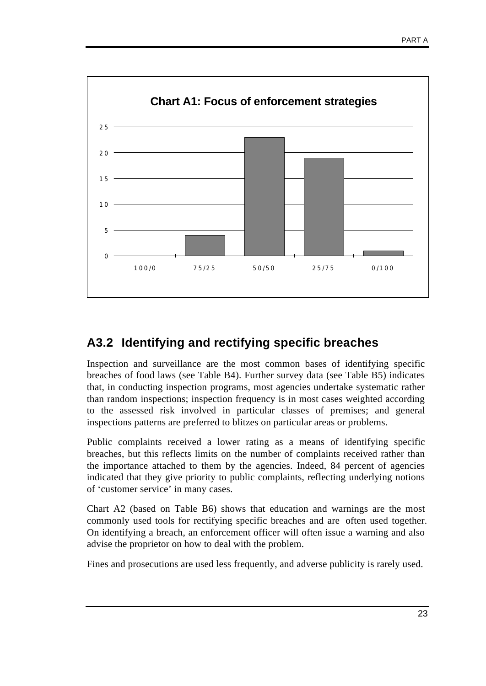

### **A3.2 Identifying and rectifying specific breaches**

Inspection and surveillance are the most common bases of identifying specific breaches of food laws (see Table B4). Further survey data (see Table B5) indicates that, in conducting inspection programs, most agencies undertake systematic rather than random inspections; inspection frequency is in most cases weighted according to the assessed risk involved in particular classes of premises; and general inspections patterns are preferred to blitzes on particular areas or problems.

Public complaints received a lower rating as a means of identifying specific breaches, but this reflects limits on the number of complaints received rather than the importance attached to them by the agencies. Indeed, 84 percent of agencies indicated that they give priority to public complaints, reflecting underlying notions of 'customer service' in many cases.

Chart A2 (based on Table B6) shows that education and warnings are the most commonly used tools for rectifying specific breaches and are often used together. On identifying a breach, an enforcement officer will often issue a warning and also advise the proprietor on how to deal with the problem.

Fines and prosecutions are used less frequently, and adverse publicity is rarely used.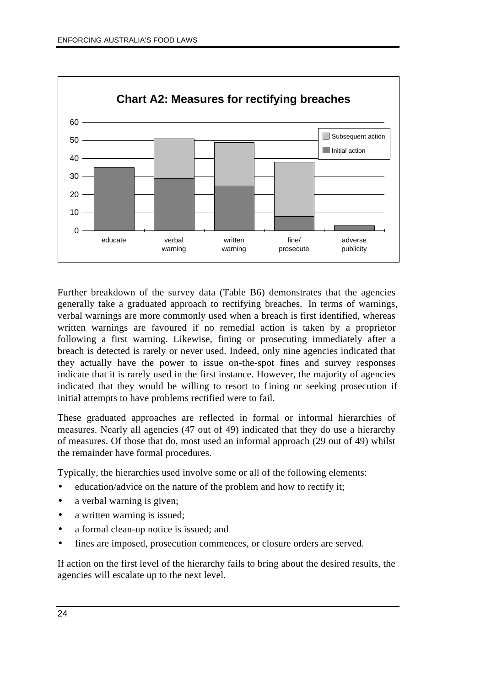

Further breakdown of the survey data (Table B6) demonstrates that the agencies generally take a graduated approach to rectifying breaches. In terms of warnings, verbal warnings are more commonly used when a breach is first identified, whereas written warnings are favoured if no remedial action is taken by a proprietor following a first warning. Likewise, fining or prosecuting immediately after a breach is detected is rarely or never used. Indeed, only nine agencies indicated that they actually have the power to issue on-the-spot fines and survey responses indicate that it is rarely used in the first instance. However, the majority of agencies indicated that they would be willing to resort to f ining or seeking prosecution if initial attempts to have problems rectified were to fail.

These graduated approaches are reflected in formal or informal hierarchies of measures. Nearly all agencies (47 out of 49) indicated that they do use a hierarchy of measures. Of those that do, most used an informal approach (29 out of 49) whilst the remainder have formal procedures.

Typically, the hierarchies used involve some or all of the following elements:

- education/advice on the nature of the problem and how to rectify it:
- a verbal warning is given;
- a written warning is issued;
- a formal clean-up notice is issued; and
- fines are imposed, prosecution commences, or closure orders are served.

If action on the first level of the hierarchy fails to bring about the desired results, the agencies will escalate up to the next level.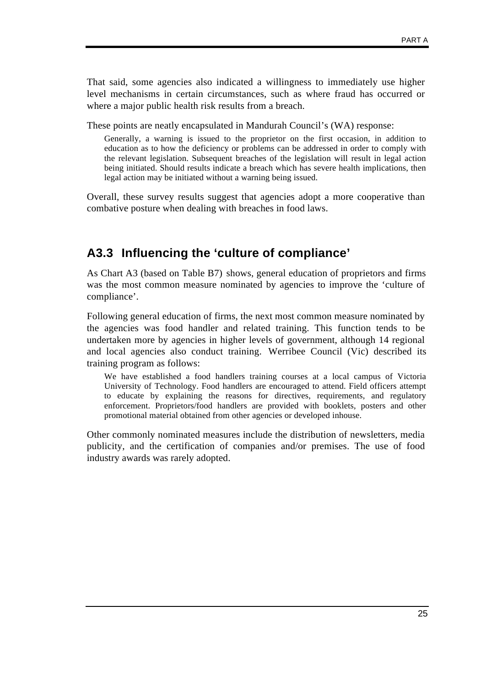That said, some agencies also indicated a willingness to immediately use higher level mechanisms in certain circumstances, such as where fraud has occurred or where a major public health risk results from a breach.

These points are neatly encapsulated in Mandurah Council's (WA) response:

Generally, a warning is issued to the proprietor on the first occasion, in addition to education as to how the deficiency or problems can be addressed in order to comply with the relevant legislation. Subsequent breaches of the legislation will result in legal action being initiated. Should results indicate a breach which has severe health implications, then legal action may be initiated without a warning being issued.

Overall, these survey results suggest that agencies adopt a more cooperative than combative posture when dealing with breaches in food laws.

### **A3.3 Influencing the 'culture of compliance'**

As Chart A3 (based on Table B7) shows, general education of proprietors and firms was the most common measure nominated by agencies to improve the 'culture of compliance'.

Following general education of firms, the next most common measure nominated by the agencies was food handler and related training. This function tends to be undertaken more by agencies in higher levels of government, although 14 regional and local agencies also conduct training. Werribee Council (Vic) described its training program as follows:

We have established a food handlers training courses at a local campus of Victoria University of Technology. Food handlers are encouraged to attend. Field officers attempt to educate by explaining the reasons for directives, requirements, and regulatory enforcement. Proprietors/food handlers are provided with booklets, posters and other promotional material obtained from other agencies or developed inhouse.

Other commonly nominated measures include the distribution of newsletters, media publicity, and the certification of companies and/or premises. The use of food industry awards was rarely adopted.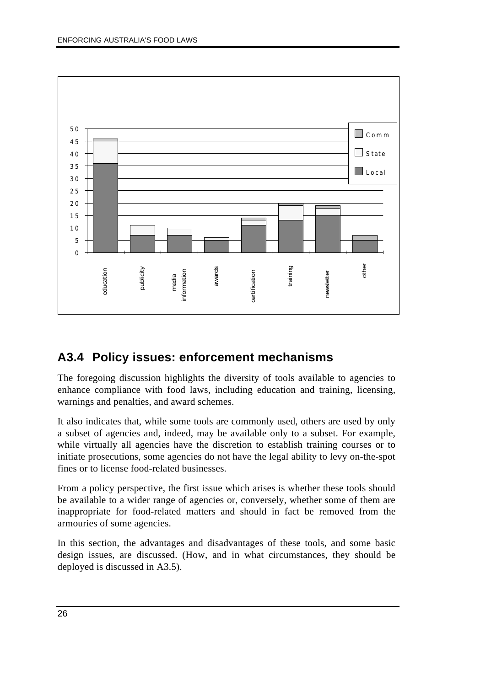

### **A3.4 Policy issues: enforcement mechanisms**

The foregoing discussion highlights the diversity of tools available to agencies to enhance compliance with food laws, including education and training, licensing, warnings and penalties, and award schemes.

It also indicates that, while some tools are commonly used, others are used by only a subset of agencies and, indeed, may be available only to a subset. For example, while virtually all agencies have the discretion to establish training courses or to initiate prosecutions, some agencies do not have the legal ability to levy on-the-spot fines or to license food-related businesses.

From a policy perspective, the first issue which arises is whether these tools should be available to a wider range of agencies or, conversely, whether some of them are inappropriate for food-related matters and should in fact be removed from the armouries of some agencies.

In this section, the advantages and disadvantages of these tools, and some basic design issues, are discussed. (How, and in what circumstances, they should be deployed is discussed in A3.5).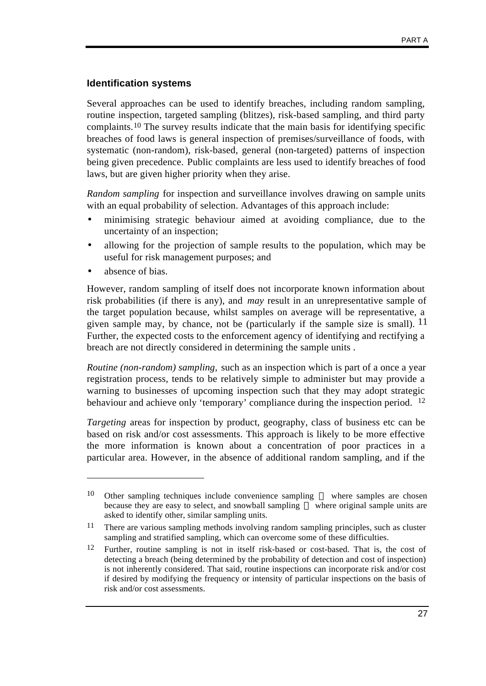#### **Identification systems**

Several approaches can be used to identify breaches, including random sampling, routine inspection, targeted sampling (blitzes), risk-based sampling, and third party complaints.10 The survey results indicate that the main basis for identifying specific breaches of food laws is general inspection of premises/surveillance of foods, with systematic (non-random), risk-based, general (non-targeted) patterns of inspection being given precedence. Public complaints are less used to identify breaches of food laws, but are given higher priority when they arise.

*Random sampling* for inspection and surveillance involves drawing on sample units with an equal probability of selection. Advantages of this approach include:

- minimising strategic behaviour aimed at avoiding compliance, due to the uncertainty of an inspection;
- allowing for the projection of sample results to the population, which may be useful for risk management purposes; and
- absence of bias.

 $\overline{a}$ 

However, random sampling of itself does not incorporate known information about risk probabilities (if there is any), and *may* result in an unrepresentative sample of the target population because, whilst samples on average will be representative, a given sample may, by chance, not be (particularly if the sample size is small).  $^{11}$ Further, the expected costs to the enforcement agency of identifying and rectifying a breach are not directly considered in determining the sample units .

*Routine (non-random) sampling,* such as an inspection which is part of a once a year registration process, tends to be relatively simple to administer but may provide a warning to businesses of upcoming inspection such that they may adopt strategic behaviour and achieve only 'temporary' compliance during the inspection period. 12

*Targeting* areas for inspection by product, geography, class of business etc can be based on risk and/or cost assessments. This approach is likely to be more effective the more information is known about a concentration of poor practices in a particular area. However, in the absence of additional random sampling, and if the

 $10$  Other sampling techniques include convenience sampling — where samples are chosen because they are easy to select, and snowball sampling — where original sample units are asked to identify other, similar sampling units.

<sup>11</sup> There are various sampling methods involving random sampling principles, such as cluster sampling and stratified sampling, which can overcome some of these difficulties.

<sup>12</sup> Further, routine sampling is not in itself risk-based or cost-based. That is, the cost of detecting a breach (being determined by the probability of detection and cost of inspection) is not inherently considered. That said, routine inspections can incorporate risk and/or cost if desired by modifying the frequency or intensity of particular inspections on the basis of risk and/or cost assessments.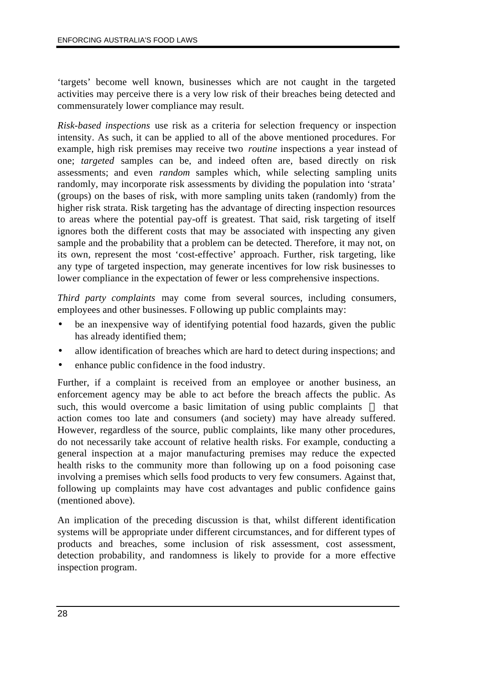'targets' become well known, businesses which are not caught in the targeted activities may perceive there is a very low risk of their breaches being detected and commensurately lower compliance may result.

*Risk-based inspections* use risk as a criteria for selection frequency or inspection intensity. As such, it can be applied to all of the above mentioned procedures. For example, high risk premises may receive two *routine* inspections a year instead of one; *targeted* samples can be, and indeed often are, based directly on risk assessments; and even *random* samples which, while selecting sampling units randomly, may incorporate risk assessments by dividing the population into 'strata' (groups) on the bases of risk, with more sampling units taken (randomly) from the higher risk strata. Risk targeting has the advantage of directing inspection resources to areas where the potential pay-off is greatest. That said, risk targeting of itself ignores both the different costs that may be associated with inspecting any given sample and the probability that a problem can be detected. Therefore, it may not, on its own, represent the most 'cost-effective' approach. Further, risk targeting, like any type of targeted inspection, may generate incentives for low risk businesses to lower compliance in the expectation of fewer or less comprehensive inspections.

*Third party complaints* may come from several sources, including consumers, employees and other businesses. Following up public complaints may:

- be an inexpensive way of identifying potential food hazards, given the public has already identified them;
- allow identification of breaches which are hard to detect during inspections; and
- enhance public confidence in the food industry.

Further, if a complaint is received from an employee or another business, an enforcement agency may be able to act before the breach affects the public. As such, this would overcome a basic limitation of using public complaints  $-$  that action comes too late and consumers (and society) may have already suffered. However, regardless of the source, public complaints, like many other procedures, do not necessarily take account of relative health risks. For example, conducting a general inspection at a major manufacturing premises may reduce the expected health risks to the community more than following up on a food poisoning case involving a premises which sells food products to very few consumers. Against that, following up complaints may have cost advantages and public confidence gains (mentioned above).

An implication of the preceding discussion is that, whilst different identification systems will be appropriate under different circumstances, and for different types of products and breaches, some inclusion of risk assessment, cost assessment, detection probability, and randomness is likely to provide for a more effective inspection program.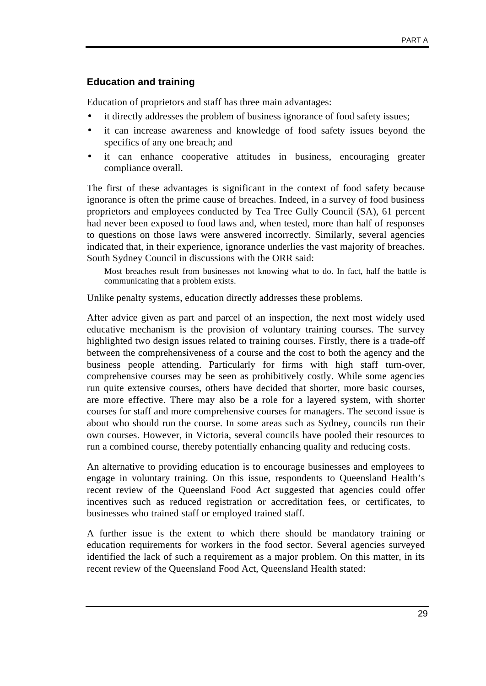#### **Education and training**

Education of proprietors and staff has three main advantages:

- it directly addresses the problem of business ignorance of food safety issues;
- it can increase awareness and knowledge of food safety issues beyond the specifics of any one breach; and
- it can enhance cooperative attitudes in business, encouraging greater compliance overall.

The first of these advantages is significant in the context of food safety because ignorance is often the prime cause of breaches. Indeed, in a survey of food business proprietors and employees conducted by Tea Tree Gully Council (SA), 61 percent had never been exposed to food laws and, when tested, more than half of responses to questions on those laws were answered incorrectly. Similarly, several agencies indicated that, in their experience, ignorance underlies the vast majority of breaches. South Sydney Council in discussions with the ORR said:

Most breaches result from businesses not knowing what to do. In fact, half the battle is communicating that a problem exists.

Unlike penalty systems, education directly addresses these problems.

After advice given as part and parcel of an inspection, the next most widely used educative mechanism is the provision of voluntary training courses. The survey highlighted two design issues related to training courses. Firstly, there is a trade-off between the comprehensiveness of a course and the cost to both the agency and the business people attending. Particularly for firms with high staff turn-over, comprehensive courses may be seen as prohibitively costly. While some agencies run quite extensive courses, others have decided that shorter, more basic courses, are more effective. There may also be a role for a layered system, with shorter courses for staff and more comprehensive courses for managers. The second issue is about who should run the course. In some areas such as Sydney, councils run their own courses. However, in Victoria, several councils have pooled their resources to run a combined course, thereby potentially enhancing quality and reducing costs.

An alternative to providing education is to encourage businesses and employees to engage in voluntary training. On this issue, respondents to Queensland Health's recent review of the Queensland Food Act suggested that agencies could offer incentives such as reduced registration or accreditation fees, or certificates, to businesses who trained staff or employed trained staff.

A further issue is the extent to which there should be mandatory training or education requirements for workers in the food sector. Several agencies surveyed identified the lack of such a requirement as a major problem. On this matter, in its recent review of the Queensland Food Act, Queensland Health stated: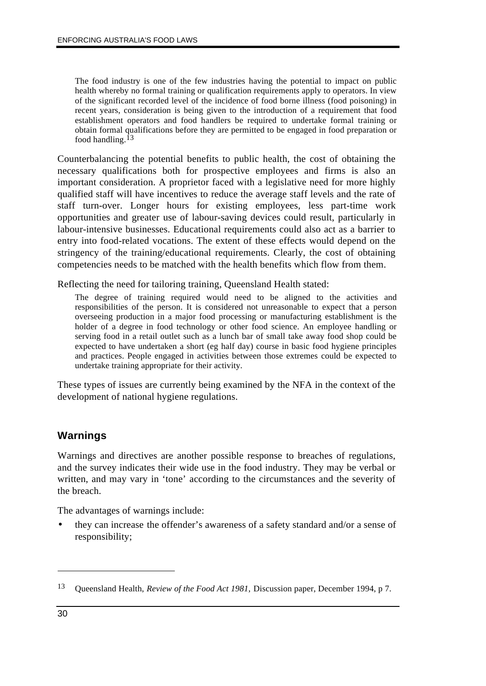The food industry is one of the few industries having the potential to impact on public health whereby no formal training or qualification requirements apply to operators. In view of the significant recorded level of the incidence of food borne illness (food poisoning) in recent years, consideration is being given to the introduction of a requirement that food establishment operators and food handlers be required to undertake formal training or obtain formal qualifications before they are permitted to be engaged in food preparation or food handling.13

Counterbalancing the potential benefits to public health, the cost of obtaining the necessary qualifications both for prospective employees and firms is also an important consideration. A proprietor faced with a legislative need for more highly qualified staff will have incentives to reduce the average staff levels and the rate of staff turn-over. Longer hours for existing employees, less part-time work opportunities and greater use of labour-saving devices could result, particularly in labour-intensive businesses. Educational requirements could also act as a barrier to entry into food-related vocations. The extent of these effects would depend on the stringency of the training/educational requirements. Clearly, the cost of obtaining competencies needs to be matched with the health benefits which flow from them.

Reflecting the need for tailoring training, Queensland Health stated:

The degree of training required would need to be aligned to the activities and responsibilities of the person. It is considered not unreasonable to expect that a person overseeing production in a major food processing or manufacturing establishment is the holder of a degree in food technology or other food science. An employee handling or serving food in a retail outlet such as a lunch bar of small take away food shop could be expected to have undertaken a short (eg half day) course in basic food hygiene principles and practices. People engaged in activities between those extremes could be expected to undertake training appropriate for their activity.

These types of issues are currently being examined by the NFA in the context of the development of national hygiene regulations.

#### **Warnings**

Warnings and directives are another possible response to breaches of regulations, and the survey indicates their wide use in the food industry. They may be verbal or written, and may vary in 'tone' according to the circumstances and the severity of the breach.

The advantages of warnings include:

• they can increase the offender's awareness of a safety standard and/or a sense of responsibility;

<sup>13</sup> Queensland Health, *Review of the Food Act 1981,* Discussion paper, December 1994, p 7.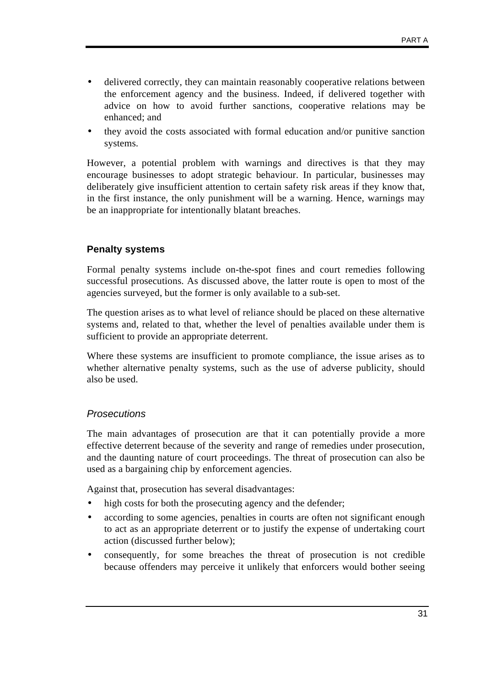- delivered correctly, they can maintain reasonably cooperative relations between the enforcement agency and the business. Indeed, if delivered together with advice on how to avoid further sanctions, cooperative relations may be enhanced; and
- they avoid the costs associated with formal education and/or punitive sanction systems.

However, a potential problem with warnings and directives is that they may encourage businesses to adopt strategic behaviour. In particular, businesses may deliberately give insufficient attention to certain safety risk areas if they know that, in the first instance, the only punishment will be a warning. Hence, warnings may be an inappropriate for intentionally blatant breaches.

#### **Penalty systems**

Formal penalty systems include on-the-spot fines and court remedies following successful prosecutions. As discussed above, the latter route is open to most of the agencies surveyed, but the former is only available to a sub-set.

The question arises as to what level of reliance should be placed on these alternative systems and, related to that, whether the level of penalties available under them is sufficient to provide an appropriate deterrent.

Where these systems are insufficient to promote compliance, the issue arises as to whether alternative penalty systems, such as the use of adverse publicity, should also be used.

#### *Prosecutions*

The main advantages of prosecution are that it can potentially provide a more effective deterrent because of the severity and range of remedies under prosecution, and the daunting nature of court proceedings. The threat of prosecution can also be used as a bargaining chip by enforcement agencies.

Against that, prosecution has several disadvantages:

- high costs for both the prosecuting agency and the defender;
- according to some agencies, penalties in courts are often not significant enough to act as an appropriate deterrent or to justify the expense of undertaking court action (discussed further below);
- consequently, for some breaches the threat of prosecution is not credible because offenders may perceive it unlikely that enforcers would bother seeing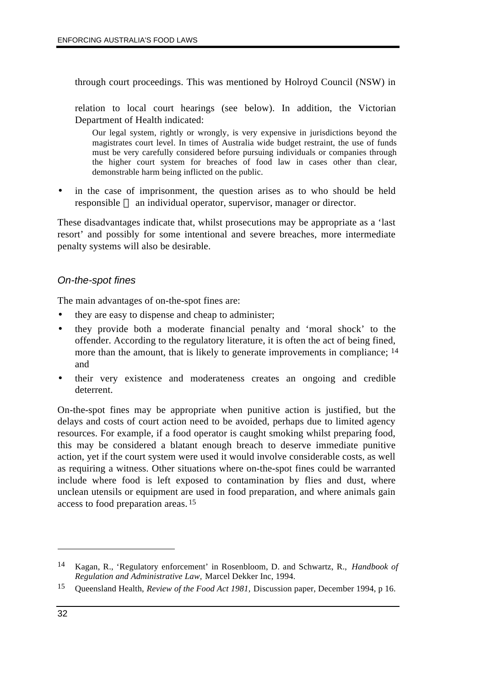through court proceedings. This was mentioned by Holroyd Council (NSW) in

relation to local court hearings (see below). In addition, the Victorian Department of Health indicated:

Our legal system, rightly or wrongly, is very expensive in jurisdictions beyond the magistrates court level. In times of Australia wide budget restraint, the use of funds must be very carefully considered before pursuing individuals or companies through the higher court system for breaches of food law in cases other than clear, demonstrable harm being inflicted on the public.

in the case of imprisonment, the question arises as to who should be held responsible — an individual operator, supervisor, manager or director.

These disadvantages indicate that, whilst prosecutions may be appropriate as a 'last resort' and possibly for some intentional and severe breaches, more intermediate penalty systems will also be desirable.

#### *On-the-spot fines*

The main advantages of on-the-spot fines are:

- they are easy to dispense and cheap to administer;
- they provide both a moderate financial penalty and 'moral shock' to the offender. According to the regulatory literature, it is often the act of being fined, more than the amount, that is likely to generate improvements in compliance; <sup>14</sup> and
- their very existence and moderateness creates an ongoing and credible deterrent.

On-the-spot fines may be appropriate when punitive action is justified, but the delays and costs of court action need to be avoided, perhaps due to limited agency resources. For example, if a food operator is caught smoking whilst preparing food, this may be considered a blatant enough breach to deserve immediate punitive action, yet if the court system were used it would involve considerable costs, as well as requiring a witness. Other situations where on-the-spot fines could be warranted include where food is left exposed to contamination by flies and dust, where unclean utensils or equipment are used in food preparation, and where animals gain access to food preparation areas. 15

<sup>14</sup> Kagan, R., 'Regulatory enforcement' in Rosenbloom, D. and Schwartz, R., *Handbook of Regulation and Administrative Law,* Marcel Dekker Inc, 1994.

<sup>15</sup> Queensland Health, *Review of the Food Act 1981,* Discussion paper, December 1994, p 16.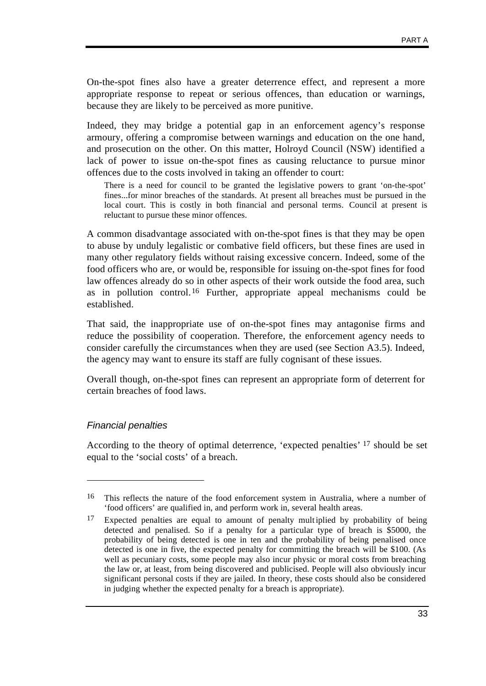On-the-spot fines also have a greater deterrence effect, and represent a more appropriate response to repeat or serious offences, than education or warnings, because they are likely to be perceived as more punitive.

Indeed, they may bridge a potential gap in an enforcement agency's response armoury, offering a compromise between warnings and education on the one hand, and prosecution on the other. On this matter, Holroyd Council (NSW) identified a lack of power to issue on-the-spot fines as causing reluctance to pursue minor offences due to the costs involved in taking an offender to court:

There is a need for council to be granted the legislative powers to grant 'on-the-spot' fines...for minor breaches of the standards. At present all breaches must be pursued in the local court. This is costly in both financial and personal terms. Council at present is reluctant to pursue these minor offences.

A common disadvantage associated with on-the-spot fines is that they may be open to abuse by unduly legalistic or combative field officers, but these fines are used in many other regulatory fields without raising excessive concern. Indeed, some of the food officers who are, or would be, responsible for issuing on-the-spot fines for food law offences already do so in other aspects of their work outside the food area, such as in pollution control.16 Further, appropriate appeal mechanisms could be established.

That said, the inappropriate use of on-the-spot fines may antagonise firms and reduce the possibility of cooperation. Therefore, the enforcement agency needs to consider carefully the circumstances when they are used (see Section A3.5). Indeed, the agency may want to ensure its staff are fully cognisant of these issues.

Overall though, on-the-spot fines can represent an appropriate form of deterrent for certain breaches of food laws.

#### *Financial penalties*

 $\overline{a}$ 

According to the theory of optimal deterrence, 'expected penalties' 17 should be set equal to the 'social costs' of a breach.

<sup>16</sup> This reflects the nature of the food enforcement system in Australia, where a number of 'food officers' are qualified in, and perform work in, several health areas.

<sup>&</sup>lt;sup>17</sup> Expected penalties are equal to amount of penalty multiplied by probability of being detected and penalised. So if a penalty for a particular type of breach is \$5000, the probability of being detected is one in ten and the probability of being penalised once detected is one in five, the expected penalty for committing the breach will be \$100. (As well as pecuniary costs, some people may also incur physic or moral costs from breaching the law or, at least, from being discovered and publicised. People will also obviously incur significant personal costs if they are jailed. In theory, these costs should also be considered in judging whether the expected penalty for a breach is appropriate).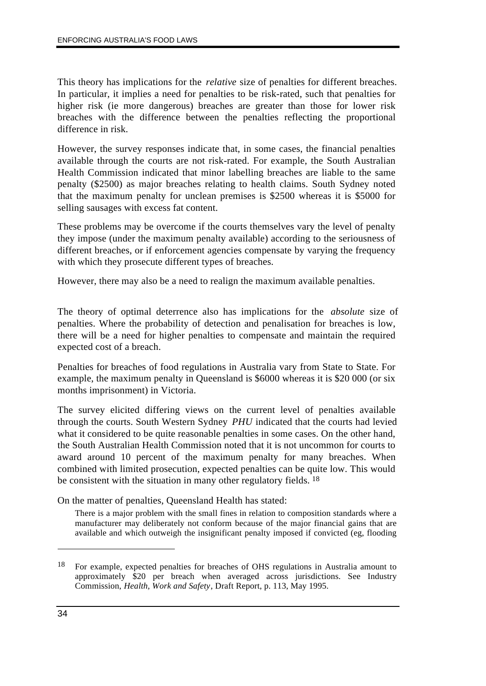This theory has implications for the *relative* size of penalties for different breaches. In particular, it implies a need for penalties to be risk-rated, such that penalties for higher risk (ie more dangerous) breaches are greater than those for lower risk breaches with the difference between the penalties reflecting the proportional difference in risk.

However, the survey responses indicate that, in some cases, the financial penalties available through the courts are not risk-rated. For example, the South Australian Health Commission indicated that minor labelling breaches are liable to the same penalty (\$2500) as major breaches relating to health claims. South Sydney noted that the maximum penalty for unclean premises is \$2500 whereas it is \$5000 for selling sausages with excess fat content.

These problems may be overcome if the courts themselves vary the level of penalty they impose (under the maximum penalty available) according to the seriousness of different breaches, or if enforcement agencies compensate by varying the frequency with which they prosecute different types of breaches.

However, there may also be a need to realign the maximum available penalties.

The theory of optimal deterrence also has implications for the *absolute* size of penalties. Where the probability of detection and penalisation for breaches is low, there will be a need for higher penalties to compensate and maintain the required expected cost of a breach.

Penalties for breaches of food regulations in Australia vary from State to State. For example, the maximum penalty in Queensland is \$6000 whereas it is \$20 000 (or six months imprisonment) in Victoria.

The survey elicited differing views on the current level of penalties available through the courts. South Western Sydney *PHU* indicated that the courts had levied what it considered to be quite reasonable penalties in some cases. On the other hand, the South Australian Health Commission noted that it is not uncommon for courts to award around 10 percent of the maximum penalty for many breaches. When combined with limited prosecution, expected penalties can be quite low. This would be consistent with the situation in many other regulatory fields. <sup>18</sup>

On the matter of penalties, Queensland Health has stated:

There is a major problem with the small fines in relation to composition standards where a manufacturer may deliberately not conform because of the major financial gains that are available and which outweigh the insignificant penalty imposed if convicted (eg, flooding

<sup>18</sup> For example, expected penalties for breaches of OHS regulations in Australia amount to approximately \$20 per breach when averaged across jurisdictions. See Industry Commission, *Health, Work and Safety*, Draft Report, p. 113, May 1995.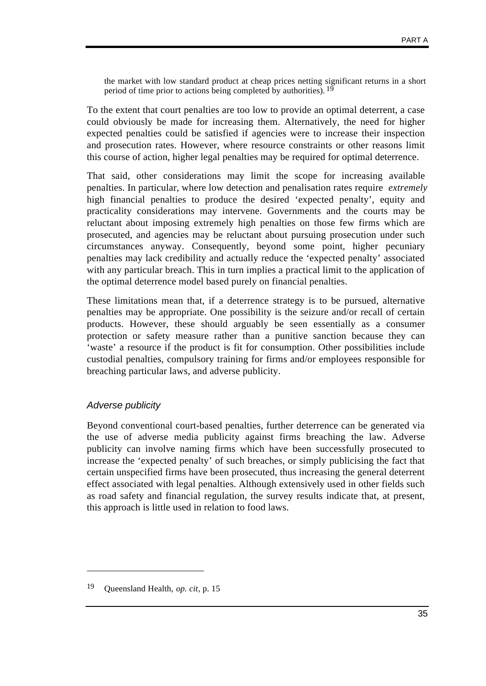the market with low standard product at cheap prices netting significant returns in a short period of time prior to actions being completed by authorities). 19

To the extent that court penalties are too low to provide an optimal deterrent, a case could obviously be made for increasing them. Alternatively, the need for higher expected penalties could be satisfied if agencies were to increase their inspection and prosecution rates. However, where resource constraints or other reasons limit this course of action, higher legal penalties may be required for optimal deterrence.

That said, other considerations may limit the scope for increasing available penalties. In particular, where low detection and penalisation rates require *extremely* high financial penalties to produce the desired 'expected penalty', equity and practicality considerations may intervene. Governments and the courts may be reluctant about imposing extremely high penalties on those few firms which are prosecuted, and agencies may be reluctant about pursuing prosecution under such circumstances anyway. Consequently, beyond some point, higher pecuniary penalties may lack credibility and actually reduce the 'expected penalty' associated with any particular breach. This in turn implies a practical limit to the application of the optimal deterrence model based purely on financial penalties.

These limitations mean that, if a deterrence strategy is to be pursued, alternative penalties may be appropriate. One possibility is the seizure and/or recall of certain products. However, these should arguably be seen essentially as a consumer protection or safety measure rather than a punitive sanction because they can 'waste' a resource if the product is fit for consumption. Other possibilities include custodial penalties, compulsory training for firms and/or employees responsible for breaching particular laws, and adverse publicity.

#### *Adverse publicity*

 $\overline{a}$ 

Beyond conventional court-based penalties, further deterrence can be generated via the use of adverse media publicity against firms breaching the law. Adverse publicity can involve naming firms which have been successfully prosecuted to increase the 'expected penalty' of such breaches, or simply publicising the fact that certain unspecified firms have been prosecuted, thus increasing the general deterrent effect associated with legal penalties. Although extensively used in other fields such as road safety and financial regulation, the survey results indicate that, at present, this approach is little used in relation to food laws.

<sup>19</sup> Queensland Health, *op. cit*, p. 15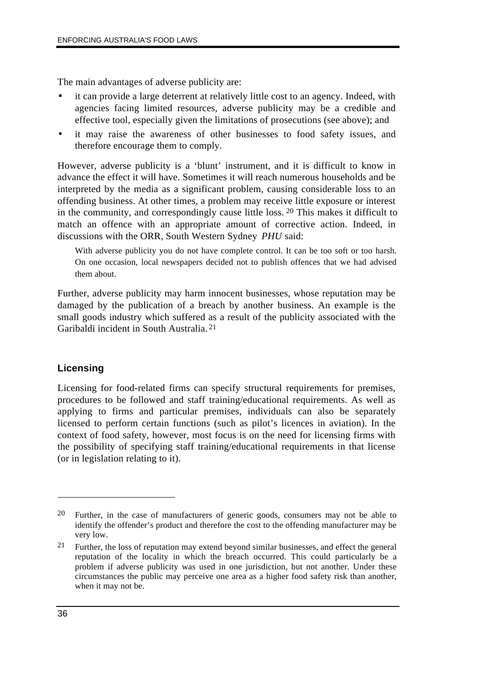The main advantages of adverse publicity are:

- it can provide a large deterrent at relatively little cost to an agency. Indeed, with agencies facing limited resources, adverse publicity may be a credible and effective tool, especially given the limitations of prosecutions (see above); and
- it may raise the awareness of other businesses to food safety issues, and therefore encourage them to comply.

However, adverse publicity is a 'blunt' instrument, and it is difficult to know in advance the effect it will have. Sometimes it will reach numerous households and be interpreted by the media as a significant problem, causing considerable loss to an offending business. At other times, a problem may receive little exposure or interest in the community, and correspondingly cause little loss. 20 This makes it difficult to match an offence with an appropriate amount of corrective action. Indeed, in discussions with the ORR, South Western Sydney *PHU* said:

With adverse publicity you do not have complete control. It can be too soft or too harsh. On one occasion, local newspapers decided not to publish offences that we had advised them about.

Further, adverse publicity may harm innocent businesses, whose reputation may be damaged by the publication of a breach by another business. An example is the small goods industry which suffered as a result of the publicity associated with the Garibaldi incident in South Australia. 21

#### **Licensing**

Licensing for food-related firms can specify structural requirements for premises, procedures to be followed and staff training/educational requirements. As well as applying to firms and particular premises, individuals can also be separately licensed to perform certain functions (such as pilot's licences in aviation). In the context of food safety, however, most focus is on the need for licensing firms with the possibility of specifying staff training/educational requirements in that license (or in legislation relating to it).

<sup>20</sup> Further, in the case of manufacturers of generic goods, consumers may not be able to identify the offender's product and therefore the cost to the offending manufacturer may be very low.

<sup>21</sup> Further, the loss of reputation may extend beyond similar businesses, and effect the general reputation of the locality in which the breach occurred. This could particularly be a problem if adverse publicity was used in one jurisdiction, but not another. Under these circumstances the public may perceive one area as a higher food safety risk than another, when it may not be.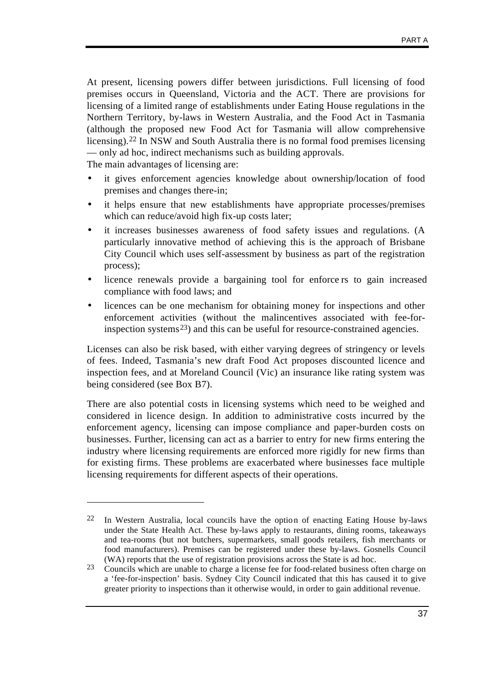At present, licensing powers differ between jurisdictions. Full licensing of food premises occurs in Queensland, Victoria and the ACT. There are provisions for licensing of a limited range of establishments under Eating House regulations in the Northern Territory, by-laws in Western Australia, and the Food Act in Tasmania (although the proposed new Food Act for Tasmania will allow comprehensive licensing).22 In NSW and South Australia there is no formal food premises licensing — only ad hoc, indirect mechanisms such as building approvals.

The main advantages of licensing are:

 $\overline{a}$ 

- it gives enforcement agencies knowledge about ownership/location of food premises and changes there-in;
- it helps ensure that new establishments have appropriate processes/premises which can reduce/avoid high fix-up costs later;
- it increases businesses awareness of food safety issues and regulations. (A particularly innovative method of achieving this is the approach of Brisbane City Council which uses self-assessment by business as part of the registration process);
- licence renewals provide a bargaining tool for enforce rs to gain increased compliance with food laws; and
- licences can be one mechanism for obtaining money for inspections and other enforcement activities (without the malincentives associated with fee-forinspection systems<sup>23</sup>) and this can be useful for resource-constrained agencies.

Licenses can also be risk based, with either varying degrees of stringency or levels of fees. Indeed, Tasmania's new draft Food Act proposes discounted licence and inspection fees, and at Moreland Council (Vic) an insurance like rating system was being considered (see Box B7).

There are also potential costs in licensing systems which need to be weighed and considered in licence design. In addition to administrative costs incurred by the enforcement agency, licensing can impose compliance and paper-burden costs on businesses. Further, licensing can act as a barrier to entry for new firms entering the industry where licensing requirements are enforced more rigidly for new firms than for existing firms. These problems are exacerbated where businesses face multiple licensing requirements for different aspects of their operations.

 $22$  In Western Australia, local councils have the option of enacting Eating House by-laws under the State Health Act. These by-laws apply to restaurants, dining rooms, takeaways and tea-rooms (but not butchers, supermarkets, small goods retailers, fish merchants or food manufacturers). Premises can be registered under these by-laws. Gosnells Council (WA) reports that the use of registration provisions across the State is ad hoc.

 $23$  Councils which are unable to charge a license fee for food-related business often charge on a 'fee-for-inspection' basis. Sydney City Council indicated that this has caused it to give greater priority to inspections than it otherwise would, in order to gain additional revenue.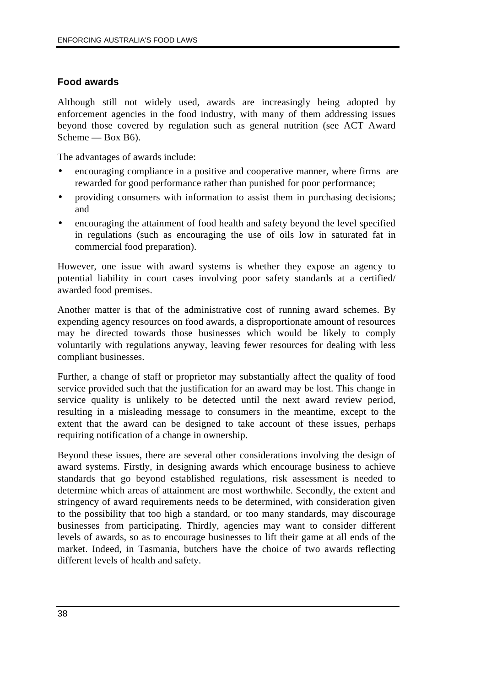#### **Food awards**

Although still not widely used, awards are increasingly being adopted by enforcement agencies in the food industry, with many of them addressing issues beyond those covered by regulation such as general nutrition (see ACT Award Scheme — Box B6).

The advantages of awards include:

- encouraging compliance in a positive and cooperative manner, where firms are rewarded for good performance rather than punished for poor performance;
- providing consumers with information to assist them in purchasing decisions; and
- encouraging the attainment of food health and safety beyond the level specified in regulations (such as encouraging the use of oils low in saturated fat in commercial food preparation).

However, one issue with award systems is whether they expose an agency to potential liability in court cases involving poor safety standards at a certified/ awarded food premises.

Another matter is that of the administrative cost of running award schemes. By expending agency resources on food awards, a disproportionate amount of resources may be directed towards those businesses which would be likely to comply voluntarily with regulations anyway, leaving fewer resources for dealing with less compliant businesses.

Further, a change of staff or proprietor may substantially affect the quality of food service provided such that the justification for an award may be lost. This change in service quality is unlikely to be detected until the next award review period, resulting in a misleading message to consumers in the meantime, except to the extent that the award can be designed to take account of these issues, perhaps requiring notification of a change in ownership.

Beyond these issues, there are several other considerations involving the design of award systems. Firstly, in designing awards which encourage business to achieve standards that go beyond established regulations, risk assessment is needed to determine which areas of attainment are most worthwhile. Secondly, the extent and stringency of award requirements needs to be determined, with consideration given to the possibility that too high a standard, or too many standards, may discourage businesses from participating. Thirdly, agencies may want to consider different levels of awards, so as to encourage businesses to lift their game at all ends of the market. Indeed, in Tasmania, butchers have the choice of two awards reflecting different levels of health and safety.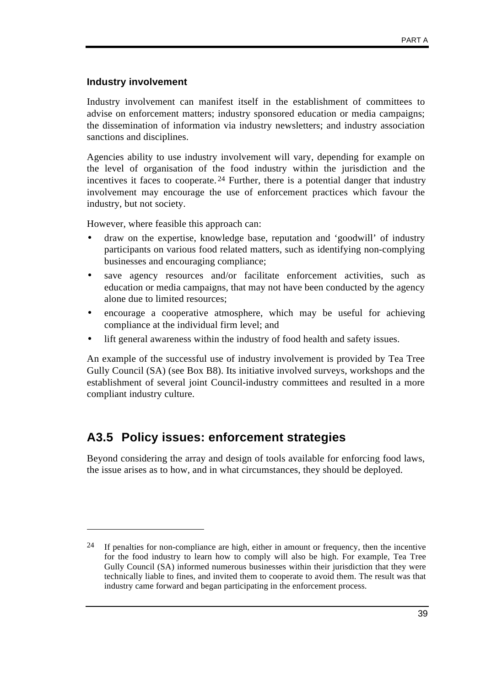#### **Industry involvement**

 $\overline{a}$ 

Industry involvement can manifest itself in the establishment of committees to advise on enforcement matters; industry sponsored education or media campaigns; the dissemination of information via industry newsletters; and industry association sanctions and disciplines.

Agencies ability to use industry involvement will vary, depending for example on the level of organisation of the food industry within the jurisdiction and the incentives it faces to cooperate.<sup>24</sup> Further, there is a potential danger that industry involvement may encourage the use of enforcement practices which favour the industry, but not society.

However, where feasible this approach can:

- draw on the expertise, knowledge base, reputation and 'goodwill' of industry participants on various food related matters, such as identifying non-complying businesses and encouraging compliance;
- save agency resources and/or facilitate enforcement activities, such as education or media campaigns, that may not have been conducted by the agency alone due to limited resources;
- encourage a cooperative atmosphere, which may be useful for achieving compliance at the individual firm level; and
- lift general awareness within the industry of food health and safety issues.

An example of the successful use of industry involvement is provided by Tea Tree Gully Council (SA) (see Box B8). Its initiative involved surveys, workshops and the establishment of several joint Council-industry committees and resulted in a more compliant industry culture.

### **A3.5 Policy issues: enforcement strategies**

Beyond considering the array and design of tools available for enforcing food laws, the issue arises as to how, and in what circumstances, they should be deployed.

<sup>&</sup>lt;sup>24</sup> If penalties for non-compliance are high, either in amount or frequency, then the incentive for the food industry to learn how to comply will also be high. For example, Tea Tree Gully Council (SA) informed numerous businesses within their jurisdiction that they were technically liable to fines, and invited them to cooperate to avoid them. The result was that industry came forward and began participating in the enforcement process.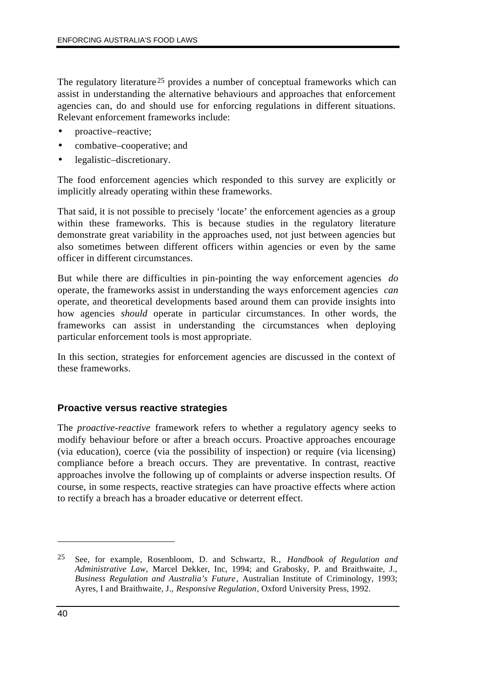The regulatory literature<sup>25</sup> provides a number of conceptual frameworks which can assist in understanding the alternative behaviours and approaches that enforcement agencies can, do and should use for enforcing regulations in different situations. Relevant enforcement frameworks include:

- proactive–reactive;
- combative–cooperative; and
- legalistic–discretionary.

The food enforcement agencies which responded to this survey are explicitly or implicitly already operating within these frameworks.

That said, it is not possible to precisely 'locate' the enforcement agencies as a group within these frameworks. This is because studies in the regulatory literature demonstrate great variability in the approaches used, not just between agencies but also sometimes between different officers within agencies or even by the same officer in different circumstances.

But while there are difficulties in pin-pointing the way enforcement agencies *do* operate, the frameworks assist in understanding the ways enforcement agencies *can* operate, and theoretical developments based around them can provide insights into how agencies *should* operate in particular circumstances. In other words, the frameworks can assist in understanding the circumstances when deploying particular enforcement tools is most appropriate.

In this section, strategies for enforcement agencies are discussed in the context of these frameworks.

#### **Proactive versus reactive strategies**

The *proactive-reactive* framework refers to whether a regulatory agency seeks to modify behaviour before or after a breach occurs. Proactive approaches encourage (via education), coerce (via the possibility of inspection) or require (via licensing) compliance before a breach occurs. They are preventative. In contrast, reactive approaches involve the following up of complaints or adverse inspection results. Of course, in some respects, reactive strategies can have proactive effects where action to rectify a breach has a broader educative or deterrent effect.

<sup>25</sup> See, for example, Rosenbloom, D. and Schwartz, R., *Handbook of Regulation and Administrative Law,* Marcel Dekker, Inc, 1994; and Grabosky, P. and Braithwaite, J., *Business Regulation and Australia's Future*, Australian Institute of Criminology, 1993; Ayres, I and Braithwaite, J., *Responsive Regulation*, Oxford University Press, 1992.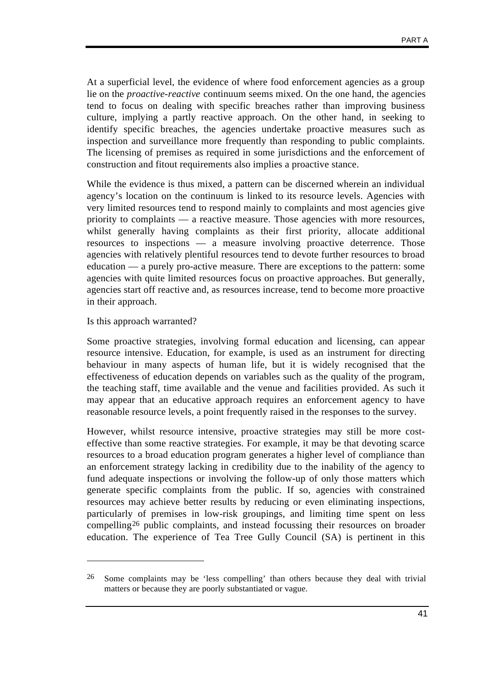At a superficial level, the evidence of where food enforcement agencies as a group lie on the *proactive-reactive* continuum seems mixed. On the one hand, the agencies tend to focus on dealing with specific breaches rather than improving business culture, implying a partly reactive approach. On the other hand, in seeking to identify specific breaches, the agencies undertake proactive measures such as inspection and surveillance more frequently than responding to public complaints. The licensing of premises as required in some jurisdictions and the enforcement of construction and fitout requirements also implies a proactive stance.

While the evidence is thus mixed, a pattern can be discerned wherein an individual agency's location on the continuum is linked to its resource levels. Agencies with very limited resources tend to respond mainly to complaints and most agencies give priority to complaints — a reactive measure. Those agencies with more resources, whilst generally having complaints as their first priority, allocate additional resources to inspections — a measure involving proactive deterrence. Those agencies with relatively plentiful resources tend to devote further resources to broad education — a purely pro-active measure. There are exceptions to the pattern: some agencies with quite limited resources focus on proactive approaches. But generally, agencies start off reactive and, as resources increase, tend to become more proactive in their approach.

Is this approach warranted?

 $\overline{a}$ 

Some proactive strategies, involving formal education and licensing, can appear resource intensive. Education, for example, is used as an instrument for directing behaviour in many aspects of human life, but it is widely recognised that the effectiveness of education depends on variables such as the quality of the program, the teaching staff, time available and the venue and facilities provided. As such it may appear that an educative approach requires an enforcement agency to have reasonable resource levels, a point frequently raised in the responses to the survey.

However, whilst resource intensive, proactive strategies may still be more costeffective than some reactive strategies. For example, it may be that devoting scarce resources to a broad education program generates a higher level of compliance than an enforcement strategy lacking in credibility due to the inability of the agency to fund adequate inspections or involving the follow-up of only those matters which generate specific complaints from the public. If so, agencies with constrained resources may achieve better results by reducing or even eliminating inspections, particularly of premises in low-risk groupings, and limiting time spent on less compelling26 public complaints, and instead focussing their resources on broader education. The experience of Tea Tree Gully Council (SA) is pertinent in this

<sup>26</sup> Some complaints may be 'less compelling' than others because they deal with trivial matters or because they are poorly substantiated or vague.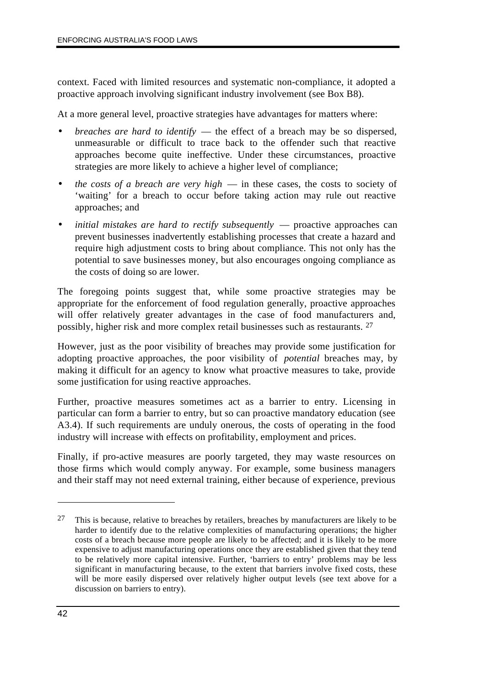context. Faced with limited resources and systematic non-compliance, it adopted a proactive approach involving significant industry involvement (see Box B8).

At a more general level, proactive strategies have advantages for matters where:

- *breaches are hard to identify* the effect of a breach may be so dispersed, unmeasurable or difficult to trace back to the offender such that reactive approaches become quite ineffective. Under these circumstances, proactive strategies are more likely to achieve a higher level of compliance;
- *the costs of a breach are very high* in these cases, the costs to society of 'waiting' for a breach to occur before taking action may rule out reactive approaches; and
- *initial mistakes are hard to rectify subsequently proactive approaches can* prevent businesses inadvertently establishing processes that create a hazard and require high adjustment costs to bring about compliance. This not only has the potential to save businesses money, but also encourages ongoing compliance as the costs of doing so are lower.

The foregoing points suggest that, while some proactive strategies may be appropriate for the enforcement of food regulation generally, proactive approaches will offer relatively greater advantages in the case of food manufacturers and, possibly, higher risk and more complex retail businesses such as restaurants. 27

However, just as the poor visibility of breaches may provide some justification for adopting proactive approaches, the poor visibility of *potential* breaches may, by making it difficult for an agency to know what proactive measures to take, provide some justification for using reactive approaches.

Further, proactive measures sometimes act as a barrier to entry. Licensing in particular can form a barrier to entry, but so can proactive mandatory education (see A3.4). If such requirements are unduly onerous, the costs of operating in the food industry will increase with effects on profitability, employment and prices.

Finally, if pro-active measures are poorly targeted, they may waste resources on those firms which would comply anyway. For example, some business managers and their staff may not need external training, either because of experience, previous

 $27$  This is because, relative to breaches by retailers, breaches by manufacturers are likely to be harder to identify due to the relative complexities of manufacturing operations; the higher costs of a breach because more people are likely to be affected; and it is likely to be more expensive to adjust manufacturing operations once they are established given that they tend to be relatively more capital intensive. Further, 'barriers to entry' problems may be less significant in manufacturing because, to the extent that barriers involve fixed costs, these will be more easily dispersed over relatively higher output levels (see text above for a discussion on barriers to entry).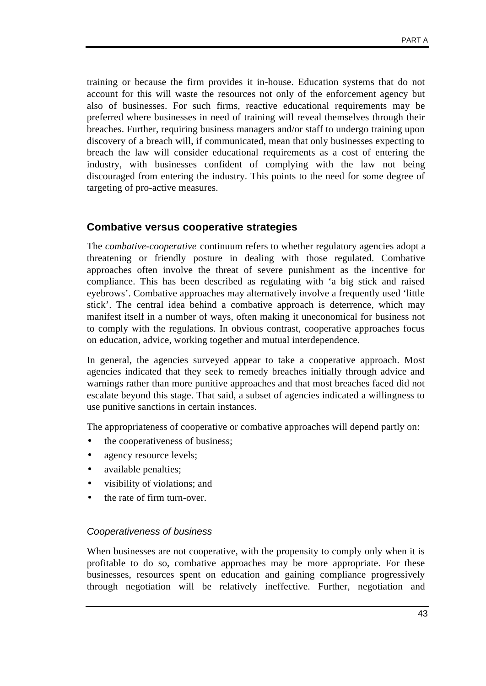training or because the firm provides it in-house. Education systems that do not account for this will waste the resources not only of the enforcement agency but also of businesses. For such firms, reactive educational requirements may be preferred where businesses in need of training will reveal themselves through their breaches. Further, requiring business managers and/or staff to undergo training upon discovery of a breach will, if communicated, mean that only businesses expecting to breach the law will consider educational requirements as a cost of entering the industry, with businesses confident of complying with the law not being discouraged from entering the industry. This points to the need for some degree of targeting of pro-active measures.

#### **Combative versus cooperative strategies**

The *combative-cooperative* continuum refers to whether regulatory agencies adopt a threatening or friendly posture in dealing with those regulated. Combative approaches often involve the threat of severe punishment as the incentive for compliance. This has been described as regulating with 'a big stick and raised eyebrows'. Combative approaches may alternatively involve a frequently used 'little stick'. The central idea behind a combative approach is deterrence, which may manifest itself in a number of ways, often making it uneconomical for business not to comply with the regulations. In obvious contrast, cooperative approaches focus on education, advice, working together and mutual interdependence.

In general, the agencies surveyed appear to take a cooperative approach. Most agencies indicated that they seek to remedy breaches initially through advice and warnings rather than more punitive approaches and that most breaches faced did not escalate beyond this stage. That said, a subset of agencies indicated a willingness to use punitive sanctions in certain instances.

The appropriateness of cooperative or combative approaches will depend partly on:

- the cooperativeness of business;
- agency resource levels;
- available penalties;
- visibility of violations; and
- the rate of firm turn-over.

#### *Cooperativeness of business*

When businesses are not cooperative, with the propensity to comply only when it is profitable to do so, combative approaches may be more appropriate. For these businesses, resources spent on education and gaining compliance progressively through negotiation will be relatively ineffective. Further, negotiation and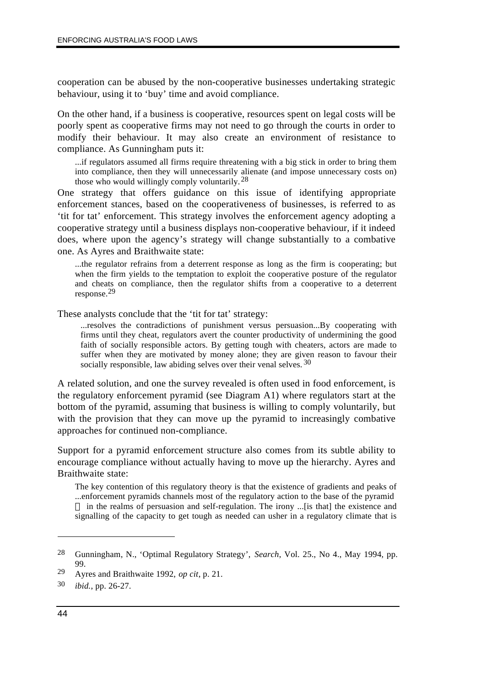cooperation can be abused by the non-cooperative businesses undertaking strategic behaviour, using it to 'buy' time and avoid compliance.

On the other hand, if a business is cooperative, resources spent on legal costs will be poorly spent as cooperative firms may not need to go through the courts in order to modify their behaviour. It may also create an environment of resistance to compliance. As Gunningham puts it:

...if regulators assumed all firms require threatening with a big stick in order to bring them into compliance, then they will unnecessarily alienate (and impose unnecessary costs on) those who would willingly comply voluntarily.28

One strategy that offers guidance on this issue of identifying appropriate enforcement stances, based on the cooperativeness of businesses, is referred to as 'tit for tat' enforcement. This strategy involves the enforcement agency adopting a cooperative strategy until a business displays non-cooperative behaviour, if it indeed does, where upon the agency's strategy will change substantially to a combative one. As Ayres and Braithwaite state:

...the regulator refrains from a deterrent response as long as the firm is cooperating; but when the firm yields to the temptation to exploit the cooperative posture of the regulator and cheats on compliance, then the regulator shifts from a cooperative to a deterrent response.29

These analysts conclude that the 'tit for tat' strategy:

...resolves the contradictions of punishment versus persuasion...By cooperating with firms until they cheat, regulators avert the counter productivity of undermining the good faith of socially responsible actors. By getting tough with cheaters, actors are made to suffer when they are motivated by money alone; they are given reason to favour their socially responsible, law abiding selves over their venal selves. 30

A related solution, and one the survey revealed is often used in food enforcement, is the regulatory enforcement pyramid (see Diagram A1) where regulators start at the bottom of the pyramid, assuming that business is willing to comply voluntarily, but with the provision that they can move up the pyramid to increasingly combative approaches for continued non-compliance.

Support for a pyramid enforcement structure also comes from its subtle ability to encourage compliance without actually having to move up the hierarchy. Ayres and Braithwaite state:

The key contention of this regulatory theory is that the existence of gradients and peaks of ...enforcement pyramids channels most of the regulatory action to the base of the pyramid in the realms of persuasion and self-regulation. The irony ...[is that] the existence and signalling of the capacity to get tough as needed can usher in a regulatory climate that is

<sup>28</sup> Gunningham, N., 'Optimal Regulatory Strategy', *Search*, Vol. 25., No 4., May 1994, pp. 99.

<sup>29</sup> Ayres and Braithwaite 1992, *op cit*, p. 21.

<sup>30</sup> *ibid.*, pp. 26-27.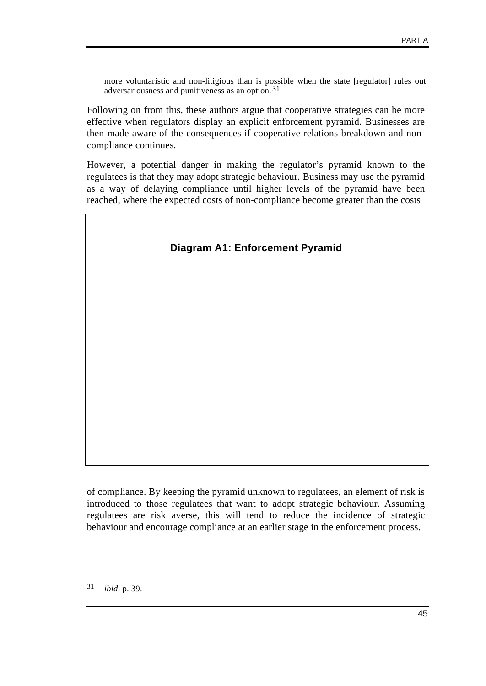more voluntaristic and non-litigious than is possible when the state [regulator] rules out adversariousness and punitiveness as an option. 31

Following on from this, these authors argue that cooperative strategies can be more effective when regulators display an explicit enforcement pyramid. Businesses are then made aware of the consequences if cooperative relations breakdown and noncompliance continues.

However, a potential danger in making the regulator's pyramid known to the regulatees is that they may adopt strategic behaviour. Business may use the pyramid as a way of delaying compliance until higher levels of the pyramid have been reached, where the expected costs of non-compliance become greater than the costs



of compliance. By keeping the pyramid unknown to regulatees, an element of risk is introduced to those regulatees that want to adopt strategic behaviour. Assuming regulatees are risk averse, this will tend to reduce the incidence of strategic behaviour and encourage compliance at an earlier stage in the enforcement process.

<sup>31</sup> *ibid*. p. 39.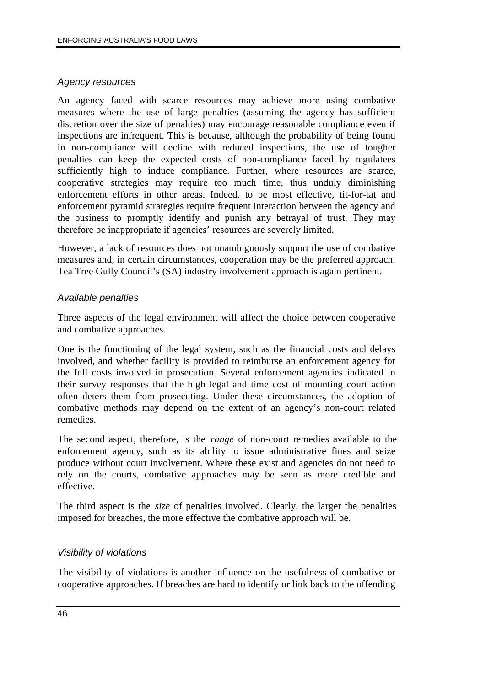#### *Agency resources*

An agency faced with scarce resources may achieve more using combative measures where the use of large penalties (assuming the agency has sufficient discretion over the size of penalties) may encourage reasonable compliance even if inspections are infrequent. This is because, although the probability of being found in non-compliance will decline with reduced inspections, the use of tougher penalties can keep the expected costs of non-compliance faced by regulatees sufficiently high to induce compliance. Further, where resources are scarce, cooperative strategies may require too much time, thus unduly diminishing enforcement efforts in other areas. Indeed, to be most effective, tit-for-tat and enforcement pyramid strategies require frequent interaction between the agency and the business to promptly identify and punish any betrayal of trust. They may therefore be inappropriate if agencies' resources are severely limited.

However, a lack of resources does not unambiguously support the use of combative measures and, in certain circumstances, cooperation may be the preferred approach. Tea Tree Gully Council's (SA) industry involvement approach is again pertinent.

#### *Available penalties*

Three aspects of the legal environment will affect the choice between cooperative and combative approaches.

One is the functioning of the legal system, such as the financial costs and delays involved, and whether facility is provided to reimburse an enforcement agency for the full costs involved in prosecution. Several enforcement agencies indicated in their survey responses that the high legal and time cost of mounting court action often deters them from prosecuting. Under these circumstances, the adoption of combative methods may depend on the extent of an agency's non-court related remedies.

The second aspect, therefore, is the *range* of non-court remedies available to the enforcement agency, such as its ability to issue administrative fines and seize produce without court involvement. Where these exist and agencies do not need to rely on the courts, combative approaches may be seen as more credible and effective.

The third aspect is the *size* of penalties involved. Clearly, the larger the penalties imposed for breaches, the more effective the combative approach will be.

#### *Visibility of violations*

The visibility of violations is another influence on the usefulness of combative or cooperative approaches. If breaches are hard to identify or link back to the offending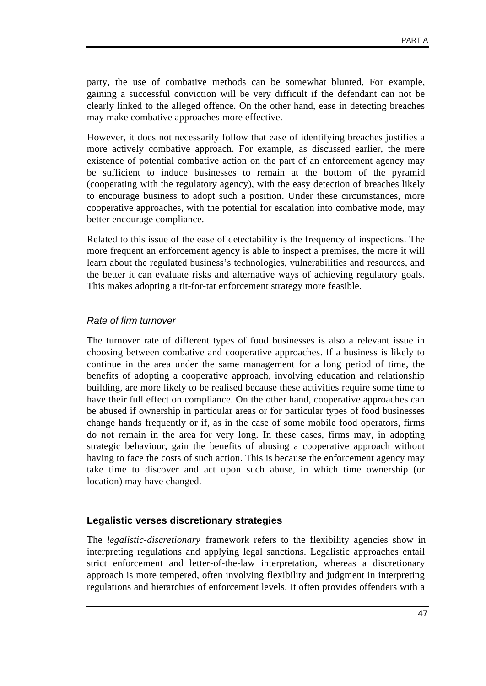party, the use of combative methods can be somewhat blunted. For example, gaining a successful conviction will be very difficult if the defendant can not be clearly linked to the alleged offence. On the other hand, ease in detecting breaches may make combative approaches more effective.

However, it does not necessarily follow that ease of identifying breaches justifies a more actively combative approach. For example, as discussed earlier, the mere existence of potential combative action on the part of an enforcement agency may be sufficient to induce businesses to remain at the bottom of the pyramid (cooperating with the regulatory agency), with the easy detection of breaches likely to encourage business to adopt such a position. Under these circumstances, more cooperative approaches, with the potential for escalation into combative mode, may better encourage compliance.

Related to this issue of the ease of detectability is the frequency of inspections. The more frequent an enforcement agency is able to inspect a premises, the more it will learn about the regulated business's technologies, vulnerabilities and resources, and the better it can evaluate risks and alternative ways of achieving regulatory goals. This makes adopting a tit-for-tat enforcement strategy more feasible.

#### *Rate of firm turnover*

The turnover rate of different types of food businesses is also a relevant issue in choosing between combative and cooperative approaches. If a business is likely to continue in the area under the same management for a long period of time, the benefits of adopting a cooperative approach, involving education and relationship building, are more likely to be realised because these activities require some time to have their full effect on compliance. On the other hand, cooperative approaches can be abused if ownership in particular areas or for particular types of food businesses change hands frequently or if, as in the case of some mobile food operators, firms do not remain in the area for very long. In these cases, firms may, in adopting strategic behaviour, gain the benefits of abusing a cooperative approach without having to face the costs of such action. This is because the enforcement agency may take time to discover and act upon such abuse, in which time ownership (or location) may have changed.

#### **Legalistic verses discretionary strategies**

The *legalistic-discretionary* framework refers to the flexibility agencies show in interpreting regulations and applying legal sanctions. Legalistic approaches entail strict enforcement and letter-of-the-law interpretation, whereas a discretionary approach is more tempered, often involving flexibility and judgment in interpreting regulations and hierarchies of enforcement levels. It often provides offenders with a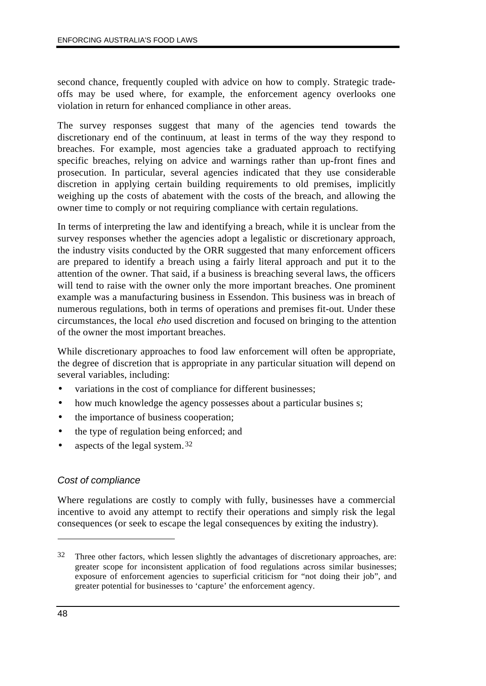second chance, frequently coupled with advice on how to comply. Strategic tradeoffs may be used where, for example, the enforcement agency overlooks one violation in return for enhanced compliance in other areas.

The survey responses suggest that many of the agencies tend towards the discretionary end of the continuum, at least in terms of the way they respond to breaches. For example, most agencies take a graduated approach to rectifying specific breaches, relying on advice and warnings rather than up-front fines and prosecution. In particular, several agencies indicated that they use considerable discretion in applying certain building requirements to old premises, implicitly weighing up the costs of abatement with the costs of the breach, and allowing the owner time to comply or not requiring compliance with certain regulations.

In terms of interpreting the law and identifying a breach, while it is unclear from the survey responses whether the agencies adopt a legalistic or discretionary approach, the industry visits conducted by the ORR suggested that many enforcement officers are prepared to identify a breach using a fairly literal approach and put it to the attention of the owner. That said, if a business is breaching several laws, the officers will tend to raise with the owner only the more important breaches. One prominent example was a manufacturing business in Essendon. This business was in breach of numerous regulations, both in terms of operations and premises fit-out. Under these circumstances, the local *eho* used discretion and focused on bringing to the attention of the owner the most important breaches.

While discretionary approaches to food law enforcement will often be appropriate, the degree of discretion that is appropriate in any particular situation will depend on several variables, including:

- variations in the cost of compliance for different businesses;
- how much knowledge the agency possesses about a particular busines s;
- the importance of business cooperation;
- the type of regulation being enforced; and
- aspects of the legal system.  $32$

#### *Cost of compliance*

Where regulations are costly to comply with fully, businesses have a commercial incentive to avoid any attempt to rectify their operations and simply risk the legal consequences (or seek to escape the legal consequences by exiting the industry).

 $32$  Three other factors, which lessen slightly the advantages of discretionary approaches, are: greater scope for inconsistent application of food regulations across similar businesses; exposure of enforcement agencies to superficial criticism for "not doing their job", and greater potential for businesses to 'capture' the enforcement agency.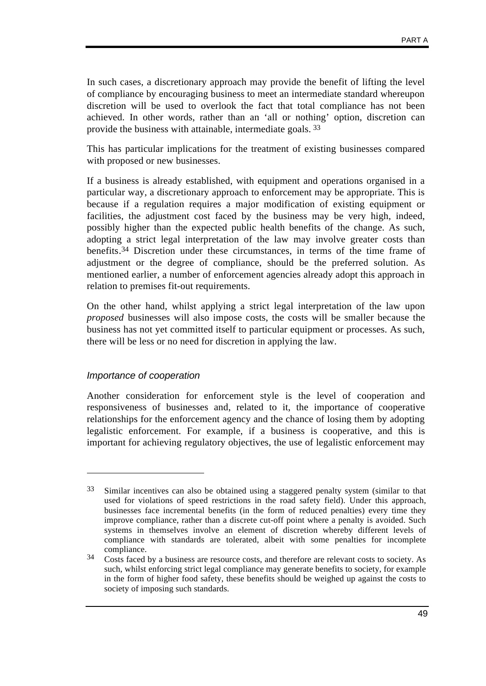In such cases, a discretionary approach may provide the benefit of lifting the level of compliance by encouraging business to meet an intermediate standard whereupon discretion will be used to overlook the fact that total compliance has not been achieved. In other words, rather than an 'all or nothing' option, discretion can provide the business with attainable, intermediate goals. 33

This has particular implications for the treatment of existing businesses compared with proposed or new businesses.

If a business is already established, with equipment and operations organised in a particular way, a discretionary approach to enforcement may be appropriate. This is because if a regulation requires a major modification of existing equipment or facilities, the adjustment cost faced by the business may be very high, indeed, possibly higher than the expected public health benefits of the change. As such, adopting a strict legal interpretation of the law may involve greater costs than benefits. 34 Discretion under these circumstances, in terms of the time frame of adjustment or the degree of compliance, should be the preferred solution. As mentioned earlier, a number of enforcement agencies already adopt this approach in relation to premises fit-out requirements.

On the other hand, whilst applying a strict legal interpretation of the law upon *proposed* businesses will also impose costs, the costs will be smaller because the business has not yet committed itself to particular equipment or processes. As such, there will be less or no need for discretion in applying the law.

#### *Importance of cooperation*

 $\overline{a}$ 

Another consideration for enforcement style is the level of cooperation and responsiveness of businesses and, related to it, the importance of cooperative relationships for the enforcement agency and the chance of losing them by adopting legalistic enforcement. For example, if a business is cooperative, and this is important for achieving regulatory objectives, the use of legalistic enforcement may

<sup>33</sup> Similar incentives can also be obtained using a staggered penalty system (similar to that used for violations of speed restrictions in the road safety field). Under this approach, businesses face incremental benefits (in the form of reduced penalties) every time they improve compliance, rather than a discrete cut-off point where a penalty is avoided. Such systems in themselves involve an element of discretion whereby different levels of compliance with standards are tolerated, albeit with some penalties for incomplete compliance.

<sup>&</sup>lt;sup>34</sup> Costs faced by a business are resource costs, and therefore are relevant costs to society. As such, whilst enforcing strict legal compliance may generate benefits to society, for example in the form of higher food safety, these benefits should be weighed up against the costs to society of imposing such standards.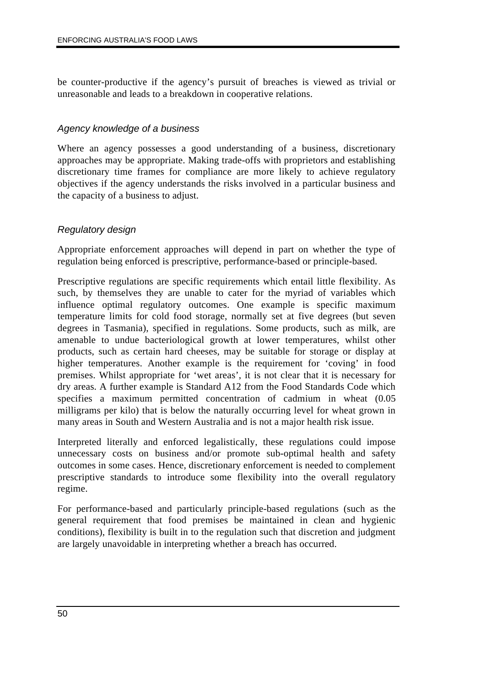be counter-productive if the agency's pursuit of breaches is viewed as trivial or unreasonable and leads to a breakdown in cooperative relations.

#### *Agency knowledge of a business*

Where an agency possesses a good understanding of a business, discretionary approaches may be appropriate. Making trade-offs with proprietors and establishing discretionary time frames for compliance are more likely to achieve regulatory objectives if the agency understands the risks involved in a particular business and the capacity of a business to adjust.

#### *Regulatory design*

Appropriate enforcement approaches will depend in part on whether the type of regulation being enforced is prescriptive, performance-based or principle-based.

Prescriptive regulations are specific requirements which entail little flexibility. As such, by themselves they are unable to cater for the myriad of variables which influence optimal regulatory outcomes. One example is specific maximum temperature limits for cold food storage, normally set at five degrees (but seven degrees in Tasmania), specified in regulations. Some products, such as milk, are amenable to undue bacteriological growth at lower temperatures, whilst other products, such as certain hard cheeses, may be suitable for storage or display at higher temperatures. Another example is the requirement for 'coving' in food premises. Whilst appropriate for 'wet areas', it is not clear that it is necessary for dry areas. A further example is Standard A12 from the Food Standards Code which specifies a maximum permitted concentration of cadmium in wheat (0.05 milligrams per kilo) that is below the naturally occurring level for wheat grown in many areas in South and Western Australia and is not a major health risk issue.

Interpreted literally and enforced legalistically, these regulations could impose unnecessary costs on business and/or promote sub-optimal health and safety outcomes in some cases. Hence, discretionary enforcement is needed to complement prescriptive standards to introduce some flexibility into the overall regulatory regime.

For performance-based and particularly principle-based regulations (such as the general requirement that food premises be maintained in clean and hygienic conditions), flexibility is built in to the regulation such that discretion and judgment are largely unavoidable in interpreting whether a breach has occurred.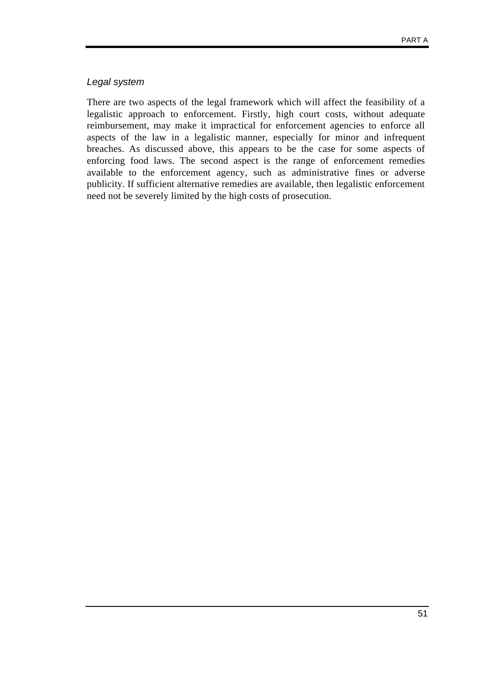#### *Legal system*

There are two aspects of the legal framework which will affect the feasibility of a legalistic approach to enforcement. Firstly, high court costs, without adequate reimbursement, may make it impractical for enforcement agencies to enforce all aspects of the law in a legalistic manner, especially for minor and infrequent breaches. As discussed above, this appears to be the case for some aspects of enforcing food laws. The second aspect is the range of enforcement remedies available to the enforcement agency, such as administrative fines or adverse publicity. If sufficient alternative remedies are available, then legalistic enforcement need not be severely limited by the high costs of prosecution.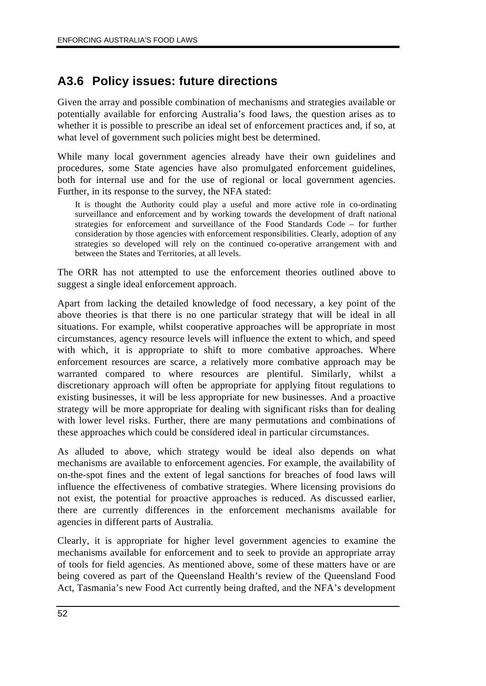# **A3.6 Policy issues: future directions**

Given the array and possible combination of mechanisms and strategies available or potentially available for enforcing Australia's food laws, the question arises as to whether it is possible to prescribe an ideal set of enforcement practices and, if so, at what level of government such policies might best be determined.

While many local government agencies already have their own guidelines and procedures, some State agencies have also promulgated enforcement guidelines, both for internal use and for the use of regional or local government agencies. Further, in its response to the survey, the NFA stated:

It is thought the Authority could play a useful and more active role in co-ordinating surveillance and enforcement and by working towards the development of draft national strategies for enforcement and surveillance of the Food Standards Code – for further consideration by those agencies with enforcement responsibilities. Clearly, adoption of any strategies so developed will rely on the continued co-operative arrangement with and between the States and Territories, at all levels.

The ORR has not attempted to use the enforcement theories outlined above to suggest a single ideal enforcement approach.

Apart from lacking the detailed knowledge of food necessary, a key point of the above theories is that there is no one particular strategy that will be ideal in all situations. For example, whilst cooperative approaches will be appropriate in most circumstances, agency resource levels will influence the extent to which, and speed with which, it is appropriate to shift to more combative approaches. Where enforcement resources are scarce, a relatively more combative approach may be warranted compared to where resources are plentiful. Similarly, whilst a discretionary approach will often be appropriate for applying fitout regulations to existing businesses, it will be less appropriate for new businesses. And a proactive strategy will be more appropriate for dealing with significant risks than for dealing with lower level risks. Further, there are many permutations and combinations of these approaches which could be considered ideal in particular circumstances.

As alluded to above, which strategy would be ideal also depends on what mechanisms are available to enforcement agencies. For example, the availability of on-the-spot fines and the extent of legal sanctions for breaches of food laws will influence the effectiveness of combative strategies. Where licensing provisions do not exist, the potential for proactive approaches is reduced. As discussed earlier, there are currently differences in the enforcement mechanisms available for agencies in different parts of Australia.

Clearly, it is appropriate for higher level government agencies to examine the mechanisms available for enforcement and to seek to provide an appropriate array of tools for field agencies. As mentioned above, some of these matters have or are being covered as part of the Queensland Health's review of the Queensland Food Act, Tasmania's new Food Act currently being drafted, and the NFA's development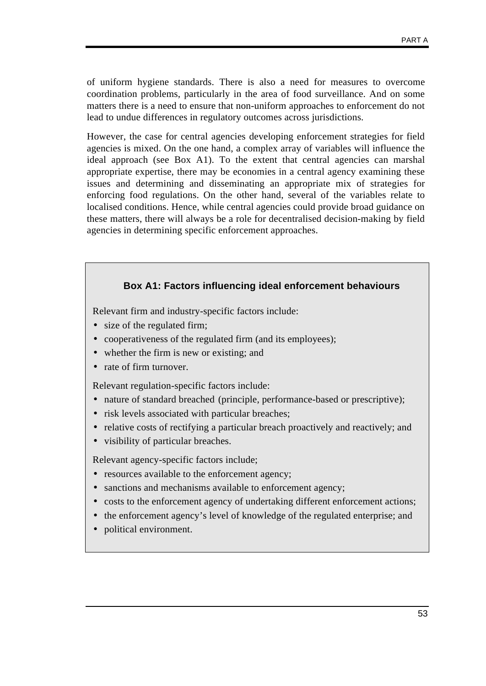of uniform hygiene standards. There is also a need for measures to overcome coordination problems, particularly in the area of food surveillance. And on some matters there is a need to ensure that non-uniform approaches to enforcement do not lead to undue differences in regulatory outcomes across jurisdictions.

However, the case for central agencies developing enforcement strategies for field agencies is mixed. On the one hand, a complex array of variables will influence the ideal approach (see Box A1). To the extent that central agencies can marshal appropriate expertise, there may be economies in a central agency examining these issues and determining and disseminating an appropriate mix of strategies for enforcing food regulations. On the other hand, several of the variables relate to localised conditions. Hence, while central agencies could provide broad guidance on these matters, there will always be a role for decentralised decision-making by field agencies in determining specific enforcement approaches.

#### **Box A1: Factors influencing ideal enforcement behaviours**

Relevant firm and industry-specific factors include:

- size of the regulated firm;
- cooperativeness of the regulated firm (and its employees);
- whether the firm is new or existing; and
- rate of firm turnover.

Relevant regulation-specific factors include:

- nature of standard breached (principle, performance-based or prescriptive);
- risk levels associated with particular breaches;
- relative costs of rectifying a particular breach proactively and reactively; and
- visibility of particular breaches.

Relevant agency-specific factors include;

- resources available to the enforcement agency;
- sanctions and mechanisms available to enforcement agency;
- costs to the enforcement agency of undertaking different enforcement actions;
- the enforcement agency's level of knowledge of the regulated enterprise; and
- political environment.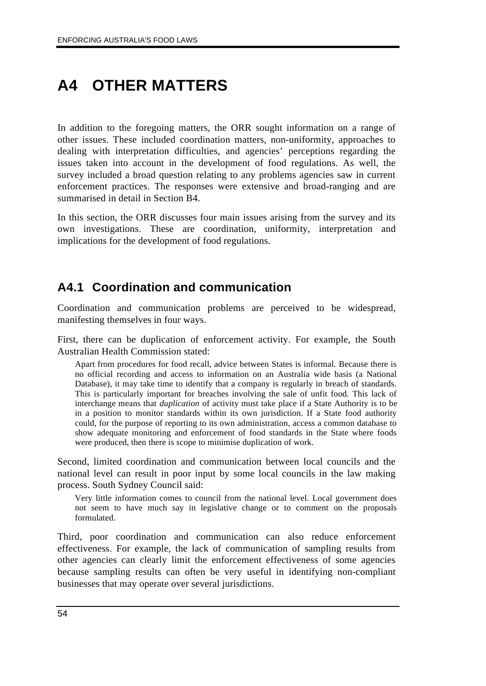# **A4 OTHER MATTERS**

In addition to the foregoing matters, the ORR sought information on a range of other issues. These included coordination matters, non-uniformity, approaches to dealing with interpretation difficulties, and agencies' perceptions regarding the issues taken into account in the development of food regulations. As well, the survey included a broad question relating to any problems agencies saw in current enforcement practices. The responses were extensive and broad-ranging and are summarised in detail in Section B4.

In this section, the ORR discusses four main issues arising from the survey and its own investigations. These are coordination, uniformity, interpretation and implications for the development of food regulations.

### **A4.1 Coordination and communication**

Coordination and communication problems are perceived to be widespread, manifesting themselves in four ways.

First, there can be duplication of enforcement activity. For example, the South Australian Health Commission stated:

Apart from procedures for food recall, advice between States is informal. Because there is no official recording and access to information on an Australia wide basis (a National Database), it may take time to identify that a company is regularly in breach of standards. This is particularly important for breaches involving the sale of unfit food. This lack of interchange means that *duplication* of activity must take place if a State Authority is to be in a position to monitor standards within its own jurisdiction. If a State food authority could, for the purpose of reporting to its own administration, access a common database to show adequate monitoring and enforcement of food standards in the State where foods were produced, then there is scope to minimise duplication of work.

Second, limited coordination and communication between local councils and the national level can result in poor input by some local councils in the law making process. South Sydney Council said:

Very little information comes to council from the national level. Local government does not seem to have much say in legislative change or to comment on the proposals formulated.

Third, poor coordination and communication can also reduce enforcement effectiveness. For example, the lack of communication of sampling results from other agencies can clearly limit the enforcement effectiveness of some agencies because sampling results can often be very useful in identifying non-compliant businesses that may operate over several jurisdictions.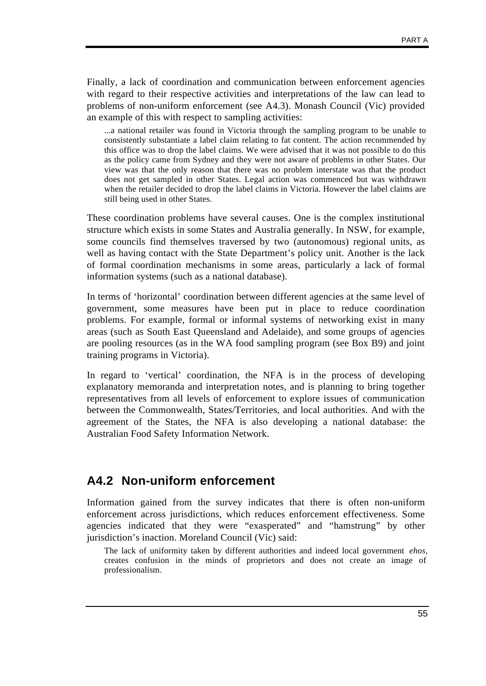Finally, a lack of coordination and communication between enforcement agencies with regard to their respective activities and interpretations of the law can lead to problems of non-uniform enforcement (see A4.3). Monash Council (Vic) provided an example of this with respect to sampling activities:

...a national retailer was found in Victoria through the sampling program to be unable to consistently substantiate a label claim relating to fat content. The action recommended by this office was to drop the label claims. We were advised that it was not possible to do this as the policy came from Sydney and they were not aware of problems in other States. Our view was that the only reason that there was no problem interstate was that the product does not get sampled in other States. Legal action was commenced but was withdrawn when the retailer decided to drop the label claims in Victoria. However the label claims are still being used in other States.

These coordination problems have several causes. One is the complex institutional structure which exists in some States and Australia generally. In NSW, for example, some councils find themselves traversed by two (autonomous) regional units, as well as having contact with the State Department's policy unit. Another is the lack of formal coordination mechanisms in some areas, particularly a lack of formal information systems (such as a national database).

In terms of 'horizontal' coordination between different agencies at the same level of government, some measures have been put in place to reduce coordination problems. For example, formal or informal systems of networking exist in many areas (such as South East Queensland and Adelaide), and some groups of agencies are pooling resources (as in the WA food sampling program (see Box B9) and joint training programs in Victoria).

In regard to 'vertical' coordination, the NFA is in the process of developing explanatory memoranda and interpretation notes, and is planning to bring together representatives from all levels of enforcement to explore issues of communication between the Commonwealth, States/Territories, and local authorities. And with the agreement of the States, the NFA is also developing a national database: the Australian Food Safety Information Network.

### **A4.2 Non-uniform enforcement**

Information gained from the survey indicates that there is often non-uniform enforcement across jurisdictions, which reduces enforcement effectiveness. Some agencies indicated that they were "exasperated" and "hamstrung" by other jurisdiction's inaction. Moreland Council (Vic) said:

The lack of uniformity taken by different authorities and indeed local government *ehos*, creates confusion in the minds of proprietors and does not create an image of professionalism.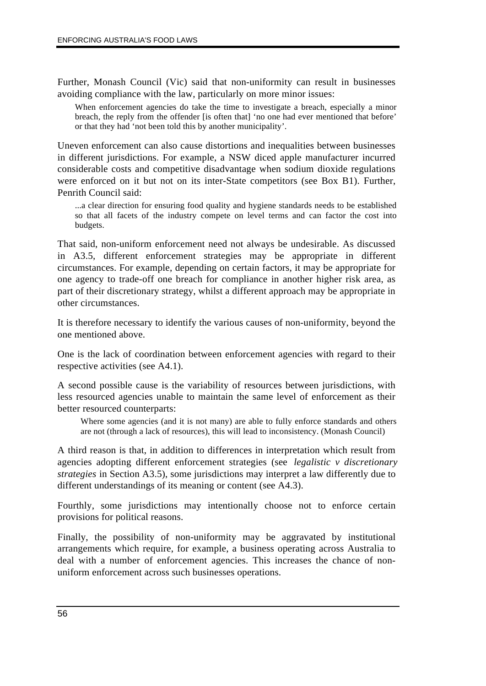Further, Monash Council (Vic) said that non-uniformity can result in businesses avoiding compliance with the law, particularly on more minor issues:

When enforcement agencies do take the time to investigate a breach, especially a minor breach, the reply from the offender [is often that] 'no one had ever mentioned that before' or that they had 'not been told this by another municipality'.

Uneven enforcement can also cause distortions and inequalities between businesses in different jurisdictions. For example, a NSW diced apple manufacturer incurred considerable costs and competitive disadvantage when sodium dioxide regulations were enforced on it but not on its inter-State competitors (see Box B1). Further, Penrith Council said:

...a clear direction for ensuring food quality and hygiene standards needs to be established so that all facets of the industry compete on level terms and can factor the cost into budgets.

That said, non-uniform enforcement need not always be undesirable. As discussed in A3.5, different enforcement strategies may be appropriate in different circumstances. For example, depending on certain factors, it may be appropriate for one agency to trade-off one breach for compliance in another higher risk area, as part of their discretionary strategy, whilst a different approach may be appropriate in other circumstances.

It is therefore necessary to identify the various causes of non-uniformity, beyond the one mentioned above.

One is the lack of coordination between enforcement agencies with regard to their respective activities (see A4.1).

A second possible cause is the variability of resources between jurisdictions, with less resourced agencies unable to maintain the same level of enforcement as their better resourced counterparts:

Where some agencies (and it is not many) are able to fully enforce standards and others are not (through a lack of resources), this will lead to inconsistency. (Monash Council)

A third reason is that, in addition to differences in interpretation which result from agencies adopting different enforcement strategies (see *legalistic v discretionary strategies* in Section A3.5), some jurisdictions may interpret a law differently due to different understandings of its meaning or content (see A4.3).

Fourthly, some jurisdictions may intentionally choose not to enforce certain provisions for political reasons.

Finally, the possibility of non-uniformity may be aggravated by institutional arrangements which require, for example, a business operating across Australia to deal with a number of enforcement agencies. This increases the chance of nonuniform enforcement across such businesses operations.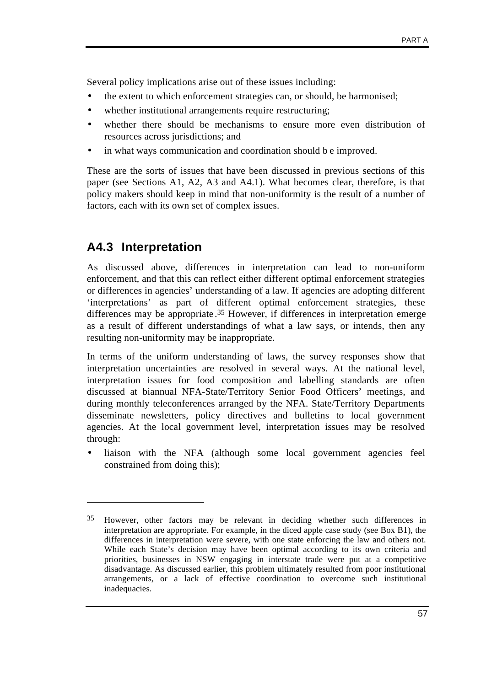Several policy implications arise out of these issues including:

- the extent to which enforcement strategies can, or should, be harmonised;
- whether institutional arrangements require restructuring;
- whether there should be mechanisms to ensure more even distribution of resources across jurisdictions; and
- in what ways communication and coordination should be improved.

These are the sorts of issues that have been discussed in previous sections of this paper (see Sections A1, A2, A3 and A4.1). What becomes clear, therefore, is that policy makers should keep in mind that non-uniformity is the result of a number of factors, each with its own set of complex issues.

## **A4.3 Interpretation**

 $\overline{a}$ 

As discussed above, differences in interpretation can lead to non-uniform enforcement, and that this can reflect either different optimal enforcement strategies or differences in agencies' understanding of a law. If agencies are adopting different 'interpretations' as part of different optimal enforcement strategies, these differences may be appropriate . 35 However, if differences in interpretation emerge as a result of different understandings of what a law says, or intends, then any resulting non-uniformity may be inappropriate.

In terms of the uniform understanding of laws, the survey responses show that interpretation uncertainties are resolved in several ways. At the national level, interpretation issues for food composition and labelling standards are often discussed at biannual NFA-State/Territory Senior Food Officers' meetings, and during monthly teleconferences arranged by the NFA. State/Territory Departments disseminate newsletters, policy directives and bulletins to local government agencies. At the local government level, interpretation issues may be resolved through:

• liaison with the NFA (although some local government agencies feel constrained from doing this);

<sup>35</sup> However, other factors may be relevant in deciding whether such differences in interpretation are appropriate. For example, in the diced apple case study (see Box B1), the differences in interpretation were severe, with one state enforcing the law and others not. While each State's decision may have been optimal according to its own criteria and priorities, businesses in NSW engaging in interstate trade were put at a competitive disadvantage. As discussed earlier, this problem ultimately resulted from poor institutional arrangements, or a lack of effective coordination to overcome such institutional inadequacies.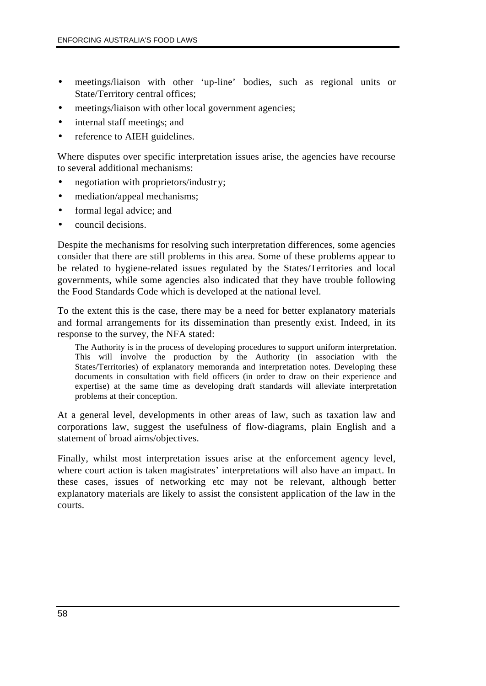- meetings/liaison with other 'up-line' bodies, such as regional units or State/Territory central offices;
- meetings/liaison with other local government agencies;
- internal staff meetings; and
- reference to AIEH guidelines.

Where disputes over specific interpretation issues arise, the agencies have recourse to several additional mechanisms:

- negotiation with proprietors/industry;
- mediation/appeal mechanisms;
- formal legal advice; and
- council decisions.

Despite the mechanisms for resolving such interpretation differences, some agencies consider that there are still problems in this area. Some of these problems appear to be related to hygiene-related issues regulated by the States/Territories and local governments, while some agencies also indicated that they have trouble following the Food Standards Code which is developed at the national level.

To the extent this is the case, there may be a need for better explanatory materials and formal arrangements for its dissemination than presently exist. Indeed, in its response to the survey, the NFA stated:

The Authority is in the process of developing procedures to support uniform interpretation. This will involve the production by the Authority (in association with the States/Territories) of explanatory memoranda and interpretation notes. Developing these documents in consultation with field officers (in order to draw on their experience and expertise) at the same time as developing draft standards will alleviate interpretation problems at their conception.

At a general level, developments in other areas of law, such as taxation law and corporations law, suggest the usefulness of flow-diagrams, plain English and a statement of broad aims/objectives.

Finally, whilst most interpretation issues arise at the enforcement agency level, where court action is taken magistrates' interpretations will also have an impact. In these cases, issues of networking etc may not be relevant, although better explanatory materials are likely to assist the consistent application of the law in the courts.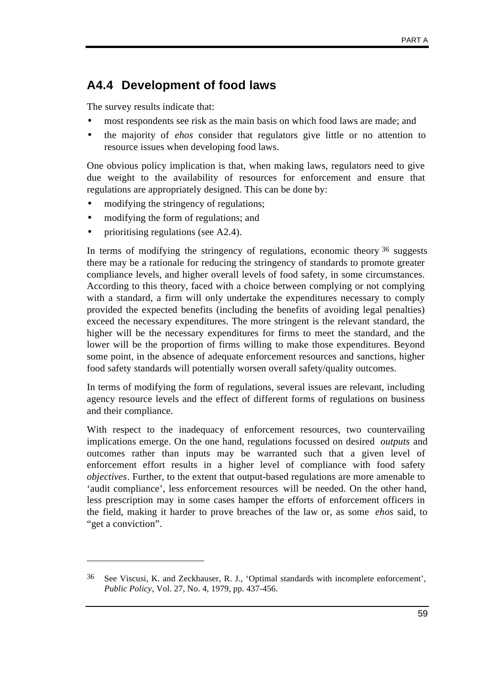# **A4.4 Development of food laws**

The survey results indicate that:

- most respondents see risk as the main basis on which food laws are made; and
- the majority of *ehos* consider that regulators give little or no attention to resource issues when developing food laws.

One obvious policy implication is that, when making laws, regulators need to give due weight to the availability of resources for enforcement and ensure that regulations are appropriately designed. This can be done by:

- modifying the stringency of regulations;
- modifying the form of regulations; and
- prioritising regulations (see A2.4).

 $\overline{a}$ 

In terms of modifying the stringency of regulations, economic theory  $36$  suggests there may be a rationale for reducing the stringency of standards to promote greater compliance levels, and higher overall levels of food safety, in some circumstances. According to this theory, faced with a choice between complying or not complying with a standard, a firm will only undertake the expenditures necessary to comply provided the expected benefits (including the benefits of avoiding legal penalties) exceed the necessary expenditures. The more stringent is the relevant standard, the higher will be the necessary expenditures for firms to meet the standard, and the lower will be the proportion of firms willing to make those expenditures. Beyond some point, in the absence of adequate enforcement resources and sanctions, higher food safety standards will potentially worsen overall safety/quality outcomes.

In terms of modifying the form of regulations, several issues are relevant, including agency resource levels and the effect of different forms of regulations on business and their compliance.

With respect to the inadequacy of enforcement resources, two countervailing implications emerge. On the one hand, regulations focussed on desired *outputs* and outcomes rather than inputs may be warranted such that a given level of enforcement effort results in a higher level of compliance with food safety *objectives*. Further, to the extent that output-based regulations are more amenable to 'audit compliance', less enforcement resources will be needed. On the other hand, less prescription may in some cases hamper the efforts of enforcement officers in the field, making it harder to prove breaches of the law or, as some *ehos* said, to "get a conviction".

<sup>36</sup> See Viscusi, K. and Zeckhauser, R. J., 'Optimal standards with incomplete enforcement', *Public Policy*, Vol. 27, No. 4, 1979, pp. 437-456.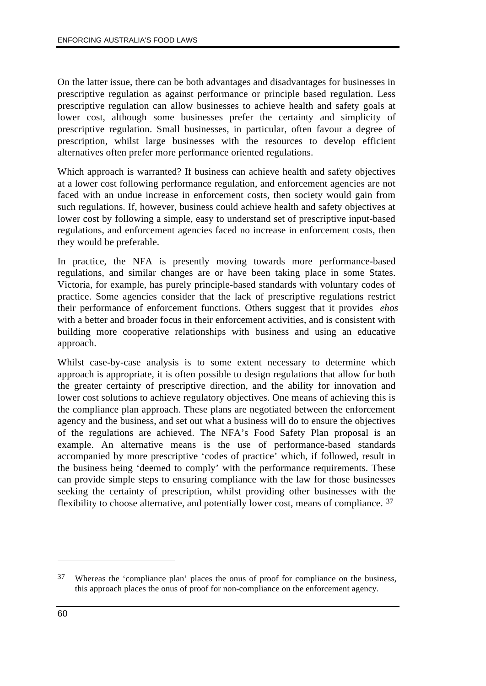On the latter issue, there can be both advantages and disadvantages for businesses in prescriptive regulation as against performance or principle based regulation. Less prescriptive regulation can allow businesses to achieve health and safety goals at lower cost, although some businesses prefer the certainty and simplicity of prescriptive regulation. Small businesses, in particular, often favour a degree of prescription, whilst large businesses with the resources to develop efficient alternatives often prefer more performance oriented regulations.

Which approach is warranted? If business can achieve health and safety objectives at a lower cost following performance regulation, and enforcement agencies are not faced with an undue increase in enforcement costs, then society would gain from such regulations. If, however, business could achieve health and safety objectives at lower cost by following a simple, easy to understand set of prescriptive input-based regulations, and enforcement agencies faced no increase in enforcement costs, then they would be preferable.

In practice, the NFA is presently moving towards more performance-based regulations, and similar changes are or have been taking place in some States. Victoria, for example, has purely principle-based standards with voluntary codes of practice. Some agencies consider that the lack of prescriptive regulations restrict their performance of enforcement functions. Others suggest that it provides *ehos* with a better and broader focus in their enforcement activities, and is consistent with building more cooperative relationships with business and using an educative approach.

Whilst case-by-case analysis is to some extent necessary to determine which approach is appropriate, it is often possible to design regulations that allow for both the greater certainty of prescriptive direction, and the ability for innovation and lower cost solutions to achieve regulatory objectives. One means of achieving this is the compliance plan approach. These plans are negotiated between the enforcement agency and the business, and set out what a business will do to ensure the objectives of the regulations are achieved. The NFA's Food Safety Plan proposal is an example. An alternative means is the use of performance-based standards accompanied by more prescriptive 'codes of practice' which, if followed, result in the business being 'deemed to comply' with the performance requirements. These can provide simple steps to ensuring compliance with the law for those businesses seeking the certainty of prescription, whilst providing other businesses with the flexibility to choose alternative, and potentially lower cost, means of compliance. 37

<sup>37</sup> Whereas the 'compliance plan' places the onus of proof for compliance on the business, this approach places the onus of proof for non-compliance on the enforcement agency.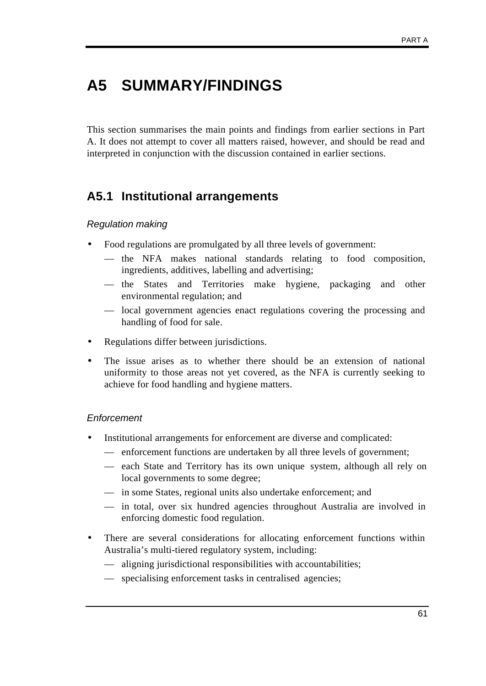# **A5 SUMMARY/FINDINGS**

This section summarises the main points and findings from earlier sections in Part A. It does not attempt to cover all matters raised, however, and should be read and interpreted in conjunction with the discussion contained in earlier sections.

# **A5.1 Institutional arrangements**

#### *Regulation making*

- Food regulations are promulgated by all three levels of government:
	- the NFA makes national standards relating to food composition, ingredients, additives, labelling and advertising;
	- the States and Territories make hygiene, packaging and other environmental regulation; and
	- local government agencies enact regulations covering the processing and handling of food for sale.
- Regulations differ between jurisdictions.
- The issue arises as to whether there should be an extension of national uniformity to those areas not yet covered, as the NFA is currently seeking to achieve for food handling and hygiene matters.

#### *Enforcement*

- Institutional arrangements for enforcement are diverse and complicated:
	- enforcement functions are undertaken by all three levels of government;
	- each State and Territory has its own unique system, although all rely on local governments to some degree;
	- in some States, regional units also undertake enforcement; and
	- in total, over six hundred agencies throughout Australia are involved in enforcing domestic food regulation.
- There are several considerations for allocating enforcement functions within Australia's multi-tiered regulatory system, including:
	- aligning jurisdictional responsibilities with accountabilities;
	- specialising enforcement tasks in centralised agencies;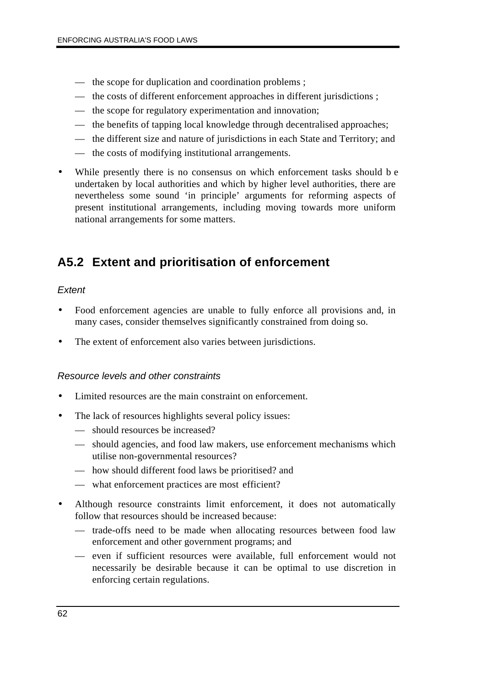- the scope for duplication and coordination problems ;
- the costs of different enforcement approaches in different jurisdictions ;
- the scope for regulatory experimentation and innovation;
- the benefits of tapping local knowledge through decentralised approaches;
- the different size and nature of jurisdictions in each State and Territory; and
- the costs of modifying institutional arrangements.
- While presently there is no consensus on which enforcement tasks should be undertaken by local authorities and which by higher level authorities, there are nevertheless some sound 'in principle' arguments for reforming aspects of present institutional arrangements, including moving towards more uniform national arrangements for some matters.

## **A5.2 Extent and prioritisation of enforcement**

#### *Extent*

- Food enforcement agencies are unable to fully enforce all provisions and, in many cases, consider themselves significantly constrained from doing so.
- The extent of enforcement also varies between jurisdictions.

#### *Resource levels and other constraints*

- Limited resources are the main constraint on enforcement.
- The lack of resources highlights several policy issues:
	- should resources be increased?
	- should agencies, and food law makers, use enforcement mechanisms which utilise non-governmental resources?
	- how should different food laws be prioritised? and
	- what enforcement practices are most efficient?
- Although resource constraints limit enforcement, it does not automatically follow that resources should be increased because:
	- trade-offs need to be made when allocating resources between food law enforcement and other government programs; and
	- even if sufficient resources were available, full enforcement would not necessarily be desirable because it can be optimal to use discretion in enforcing certain regulations.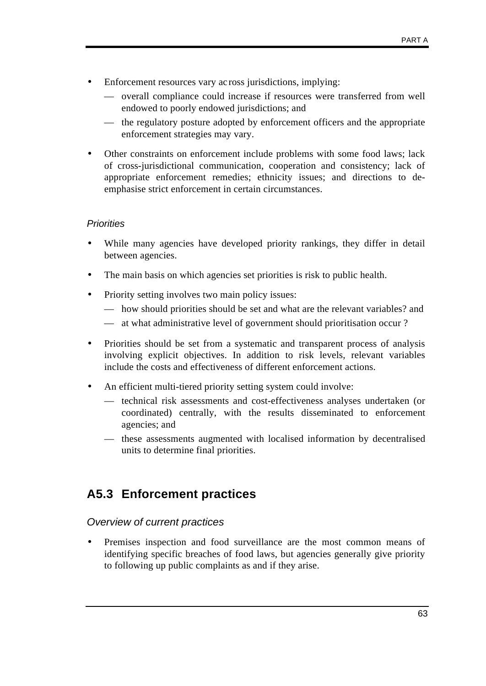- Enforcement resources vary ac ross jurisdictions, implying:
	- overall compliance could increase if resources were transferred from well endowed to poorly endowed jurisdictions; and
	- the regulatory posture adopted by enforcement officers and the appropriate enforcement strategies may vary.
- Other constraints on enforcement include problems with some food laws; lack of cross-jurisdictional communication, cooperation and consistency; lack of appropriate enforcement remedies; ethnicity issues; and directions to deemphasise strict enforcement in certain circumstances.

#### *Priorities*

- While many agencies have developed priority rankings, they differ in detail between agencies.
- The main basis on which agencies set priorities is risk to public health.
- Priority setting involves two main policy issues:
	- how should priorities should be set and what are the relevant variables? and
	- at what administrative level of government should prioritisation occur ?
- Priorities should be set from a systematic and transparent process of analysis involving explicit objectives. In addition to risk levels, relevant variables include the costs and effectiveness of different enforcement actions.
- An efficient multi-tiered priority setting system could involve:
	- technical risk assessments and cost-effectiveness analyses undertaken (or coordinated) centrally, with the results disseminated to enforcement agencies; and
	- these assessments augmented with localised information by decentralised units to determine final priorities.

## **A5.3 Enforcement practices**

#### *Overview of current practices*

• Premises inspection and food surveillance are the most common means of identifying specific breaches of food laws, but agencies generally give priority to following up public complaints as and if they arise.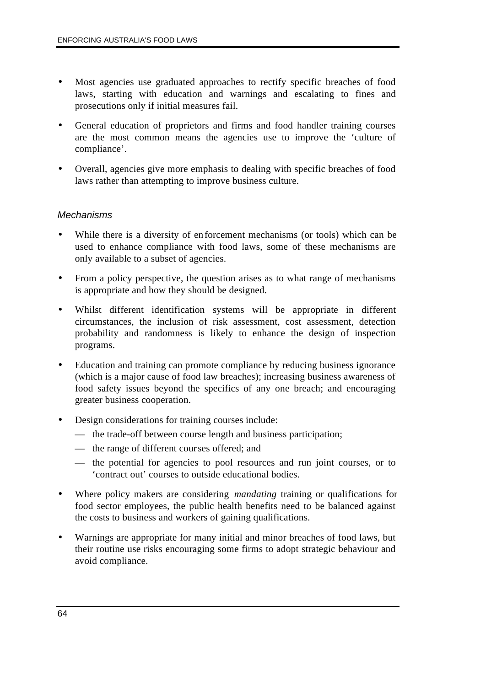- Most agencies use graduated approaches to rectify specific breaches of food laws, starting with education and warnings and escalating to fines and prosecutions only if initial measures fail.
- General education of proprietors and firms and food handler training courses are the most common means the agencies use to improve the 'culture of compliance'.
- Overall, agencies give more emphasis to dealing with specific breaches of food laws rather than attempting to improve business culture.

#### *Mechanisms*

- While there is a diversity of enforcement mechanisms (or tools) which can be used to enhance compliance with food laws, some of these mechanisms are only available to a subset of agencies.
- From a policy perspective, the question arises as to what range of mechanisms is appropriate and how they should be designed.
- Whilst different identification systems will be appropriate in different circumstances, the inclusion of risk assessment, cost assessment, detection probability and randomness is likely to enhance the design of inspection programs.
- Education and training can promote compliance by reducing business ignorance (which is a major cause of food law breaches); increasing business awareness of food safety issues beyond the specifics of any one breach; and encouraging greater business cooperation.
- Design considerations for training courses include:
	- the trade-off between course length and business participation;
	- the range of different courses offered; and
	- the potential for agencies to pool resources and run joint courses, or to 'contract out' courses to outside educational bodies.
- Where policy makers are considering *mandating* training or qualifications for food sector employees, the public health benefits need to be balanced against the costs to business and workers of gaining qualifications.
- Warnings are appropriate for many initial and minor breaches of food laws, but their routine use risks encouraging some firms to adopt strategic behaviour and avoid compliance.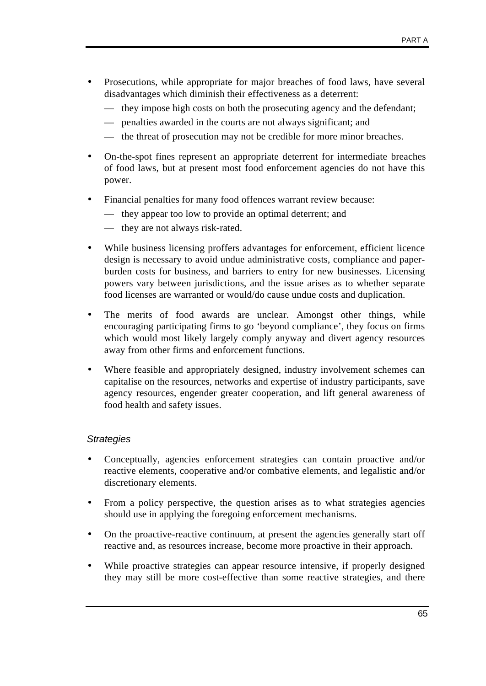- Prosecutions, while appropriate for major breaches of food laws, have several disadvantages which diminish their effectiveness as a deterrent:
	- they impose high costs on both the prosecuting agency and the defendant;
	- penalties awarded in the courts are not always significant; and
	- the threat of prosecution may not be credible for more minor breaches.
- On-the-spot fines represent an appropriate deterrent for intermediate breaches of food laws, but at present most food enforcement agencies do not have this power.
- Financial penalties for many food offences warrant review because:
	- they appear too low to provide an optimal deterrent; and
	- they are not always risk-rated.
- While business licensing proffers advantages for enforcement, efficient licence design is necessary to avoid undue administrative costs, compliance and paperburden costs for business, and barriers to entry for new businesses. Licensing powers vary between jurisdictions, and the issue arises as to whether separate food licenses are warranted or would/do cause undue costs and duplication.
- The merits of food awards are unclear. Amongst other things, while encouraging participating firms to go 'beyond compliance', they focus on firms which would most likely largely comply anyway and divert agency resources away from other firms and enforcement functions.
- Where feasible and appropriately designed, industry involvement schemes can capitalise on the resources, networks and expertise of industry participants, save agency resources, engender greater cooperation, and lift general awareness of food health and safety issues.

### *Strategies*

- Conceptually, agencies enforcement strategies can contain proactive and/or reactive elements, cooperative and/or combative elements, and legalistic and/or discretionary elements.
- From a policy perspective, the question arises as to what strategies agencies should use in applying the foregoing enforcement mechanisms.
- On the proactive-reactive continuum, at present the agencies generally start off reactive and, as resources increase, become more proactive in their approach.
- While proactive strategies can appear resource intensive, if properly designed they may still be more cost-effective than some reactive strategies, and there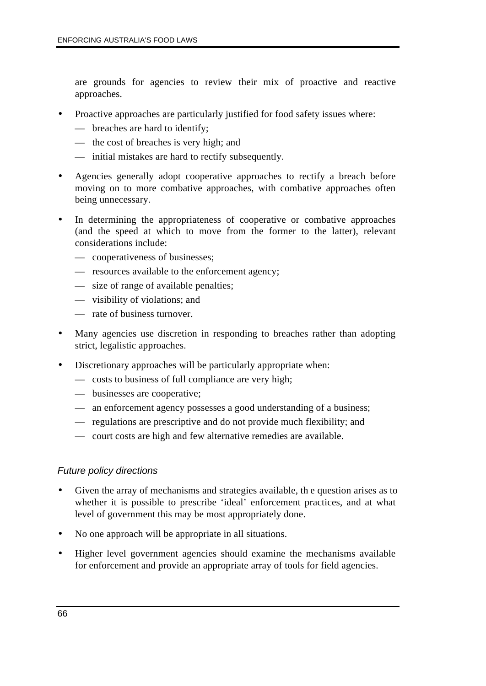are grounds for agencies to review their mix of proactive and reactive approaches.

- Proactive approaches are particularly justified for food safety issues where:
	- breaches are hard to identify;
	- the cost of breaches is very high; and
	- initial mistakes are hard to rectify subsequently.
- Agencies generally adopt cooperative approaches to rectify a breach before moving on to more combative approaches, with combative approaches often being unnecessary.
- In determining the appropriateness of cooperative or combative approaches (and the speed at which to move from the former to the latter), relevant considerations include:
	- cooperativeness of businesses;
	- resources available to the enforcement agency;
	- size of range of available penalties;
	- visibility of violations; and
	- rate of business turnover.
- Many agencies use discretion in responding to breaches rather than adopting strict, legalistic approaches.
- Discretionary approaches will be particularly appropriate when:
	- costs to business of full compliance are very high;
	- businesses are cooperative;
	- an enforcement agency possesses a good understanding of a business;
	- regulations are prescriptive and do not provide much flexibility; and
	- court costs are high and few alternative remedies are available.

### *Future policy directions*

- Given the array of mechanisms and strategies available, th e question arises as to whether it is possible to prescribe 'ideal' enforcement practices, and at what level of government this may be most appropriately done.
- No one approach will be appropriate in all situations.
- Higher level government agencies should examine the mechanisms available for enforcement and provide an appropriate array of tools for field agencies.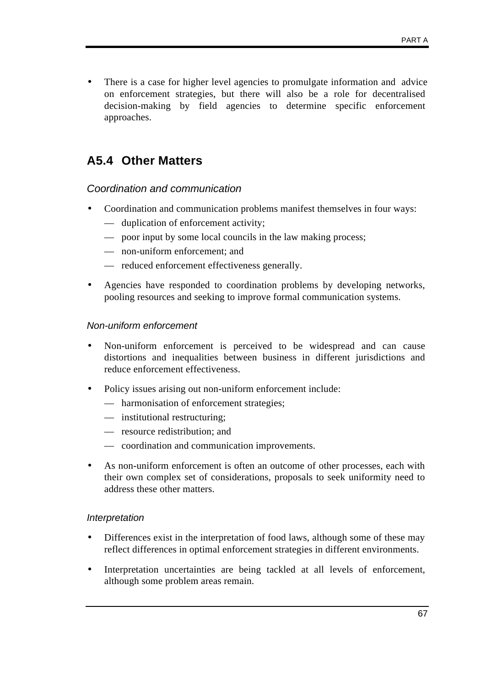• There is a case for higher level agencies to promulgate information and advice on enforcement strategies, but there will also be a role for decentralised decision-making by field agencies to determine specific enforcement approaches.

### **A5.4 Other Matters**

### *Coordination and communication*

- Coordination and communication problems manifest themselves in four ways:
	- duplication of enforcement activity;
	- poor input by some local councils in the law making process;
	- non-uniform enforcement; and
	- reduced enforcement effectiveness generally.
- Agencies have responded to coordination problems by developing networks, pooling resources and seeking to improve formal communication systems.

### *Non-uniform enforcement*

- Non-uniform enforcement is perceived to be widespread and can cause distortions and inequalities between business in different jurisdictions and reduce enforcement effectiveness.
- Policy issues arising out non-uniform enforcement include:
	- harmonisation of enforcement strategies;
	- institutional restructuring;
	- resource redistribution; and
	- coordination and communication improvements.
- As non-uniform enforcement is often an outcome of other processes, each with their own complex set of considerations, proposals to seek uniformity need to address these other matters.

#### *Interpretation*

- Differences exist in the interpretation of food laws, although some of these may reflect differences in optimal enforcement strategies in different environments.
- Interpretation uncertainties are being tackled at all levels of enforcement, although some problem areas remain.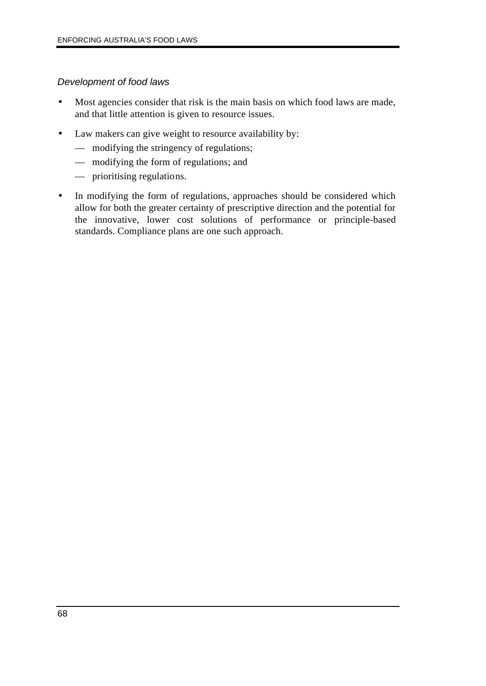### *Development of food laws*

- Most agencies consider that risk is the main basis on which food laws are made, and that little attention is given to resource issues.
- Law makers can give weight to resource availability by:
	- modifying the stringency of regulations;
	- modifying the form of regulations; and
	- prioritising regulations.
- In modifying the form of regulations, approaches should be considered which allow for both the greater certainty of prescriptive direction and the potential for the innovative, lower cost solutions of performance or principle-based standards. Compliance plans are one such approach.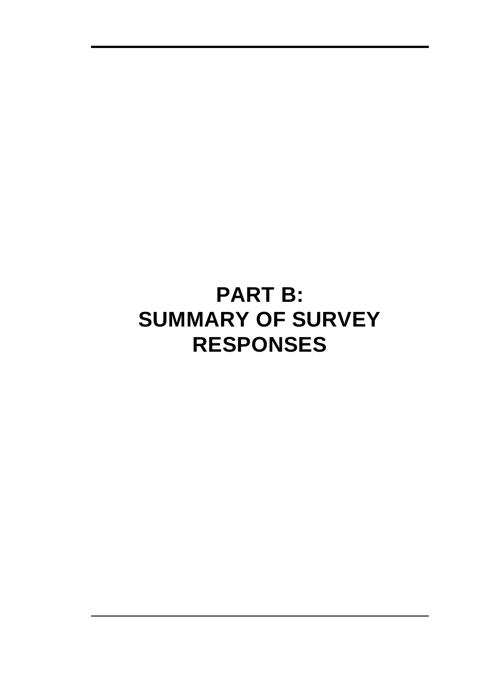# **PART B: SUMMARY OF SURVEY RESPONSES**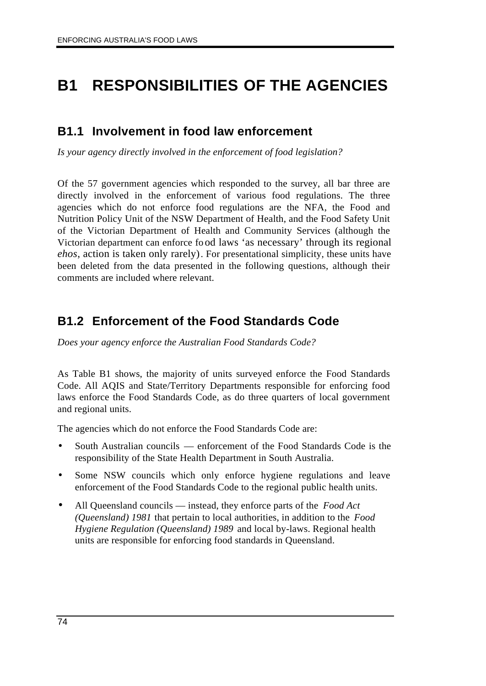## **B1 RESPONSIBILITIES OF THE AGENCIES**

### **B1.1 Involvement in food law enforcement**

*Is your agency directly involved in the enforcement of food legislation?*

Of the 57 government agencies which responded to the survey, all bar three are directly involved in the enforcement of various food regulations. The three agencies which do not enforce food regulations are the NFA, the Food and Nutrition Policy Unit of the NSW Department of Health, and the Food Safety Unit of the Victorian Department of Health and Community Services (although the Victorian department can enforce fo od laws 'as necessary' through its regional *ehos*, action is taken only rarely). For presentational simplicity, these units have been deleted from the data presented in the following questions, although their comments are included where relevant.

### **B1.2 Enforcement of the Food Standards Code**

*Does your agency enforce the Australian Food Standards Code?*

As Table B1 shows, the majority of units surveyed enforce the Food Standards Code. All AQIS and State/Territory Departments responsible for enforcing food laws enforce the Food Standards Code, as do three quarters of local government and regional units.

The agencies which do not enforce the Food Standards Code are:

- South Australian councils enforcement of the Food Standards Code is the responsibility of the State Health Department in South Australia.
- Some NSW councils which only enforce hygiene regulations and leave enforcement of the Food Standards Code to the regional public health units.
- All Queensland councils instead, they enforce parts of the *Food Act (Queensland) 1981* that pertain to local authorities, in addition to the *Food Hygiene Regulation (Queensland) 1989* and local by-laws. Regional health units are responsible for enforcing food standards in Queensland.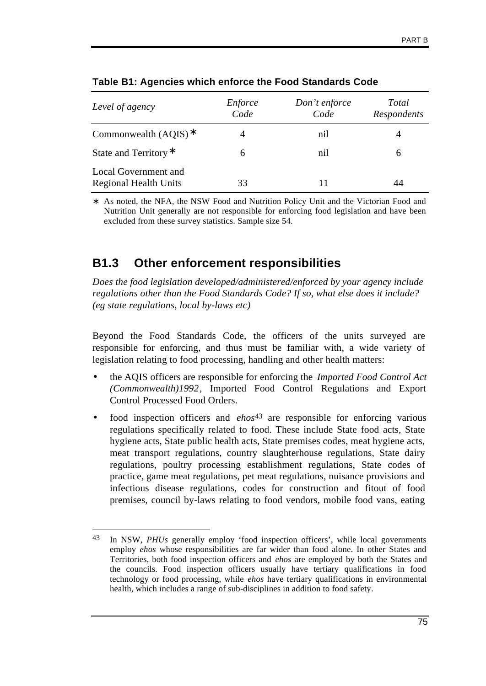| Level of agency                                      | Enforce<br>Code | Don't enforce<br>Code | Total<br>Respondents |
|------------------------------------------------------|-----------------|-----------------------|----------------------|
| Commonwealth $(AQIS)^*$                              |                 | nil                   | 4                    |
| State and Territory <sup>*</sup>                     | 6               | nil                   | 6                    |
| Local Government and<br><b>Regional Health Units</b> | 33              |                       | 44                   |

### **Table B1: Agencies which enforce the Food Standards Code**

As noted, the NFA, the NSW Food and Nutrition Policy Unit and the Victorian Food and Nutrition Unit generally are not responsible for enforcing food legislation and have been excluded from these survey statistics. Sample size 54.

### **B1.3 Other enforcement responsibilities**

*Does the food legislation developed/administered/enforced by your agency include regulations other than the Food Standards Code? If so, what else does it include? (eg state regulations, local by-laws etc)*

Beyond the Food Standards Code, the officers of the units surveyed are responsible for enforcing, and thus must be familiar with, a wide variety of legislation relating to food processing, handling and other health matters:

- the AQIS officers are responsible for enforcing the *Imported Food Control Act (Commonwealth)1992*, Imported Food Control Regulations and Export Control Processed Food Orders.
- food inspection officers and *ehos*43 are responsible for enforcing various regulations specifically related to food. These include State food acts, State hygiene acts, State public health acts, State premises codes, meat hygiene acts, meat transport regulations, country slaughterhouse regulations, State dairy regulations, poultry processing establishment regulations, State codes of practice, game meat regulations, pet meat regulations, nuisance provisions and infectious disease regulations, codes for construction and fitout of food premises, council by-laws relating to food vendors, mobile food vans, eating

 $\overline{a}$ 43 In NSW, *PHUs* generally employ 'food inspection officers', while local governments employ *ehos* whose responsibilities are far wider than food alone. In other States and Territories, both food inspection officers and *ehos* are employed by both the States and the councils. Food inspection officers usually have tertiary qualifications in food technology or food processing, while *ehos* have tertiary qualifications in environmental health, which includes a range of sub-disciplines in addition to food safety.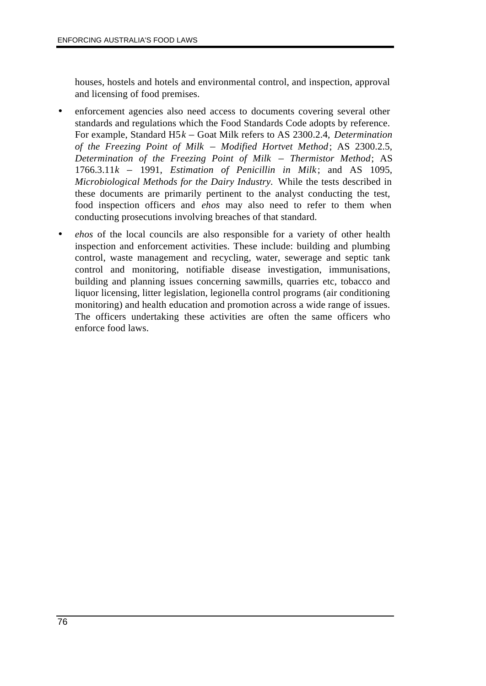houses, hostels and hotels and environmental control, and inspection, approval and licensing of food premises.

- enforcement agencies also need access to documents covering several other standards and regulations which the Food Standards Code adopts by reference. For example, Standard H5*k* – Goat Milk refers to AS 2300.2.4, *Determination of the Freezing Point of Milk* – *Modified Hortvet Method*; AS 2300.2.5, *Determination of the Freezing Point of Milk* – *Thermistor Method*; AS 1766.3.11*k* – 1991, *Estimation of Penicillin in Milk*; and AS 1095, *Microbiological Methods for the Dairy Industry.* While the tests described in these documents are primarily pertinent to the analyst conducting the test, food inspection officers and *ehos* may also need to refer to them when conducting prosecutions involving breaches of that standard.
- *ehos* of the local councils are also responsible for a variety of other health inspection and enforcement activities. These include: building and plumbing control, waste management and recycling, water, sewerage and septic tank control and monitoring, notifiable disease investigation, immunisations, building and planning issues concerning sawmills, quarries etc, tobacco and liquor licensing, litter legislation, legionella control programs (air conditioning monitoring) and health education and promotion across a wide range of issues. The officers undertaking these activities are often the same officers who enforce food laws.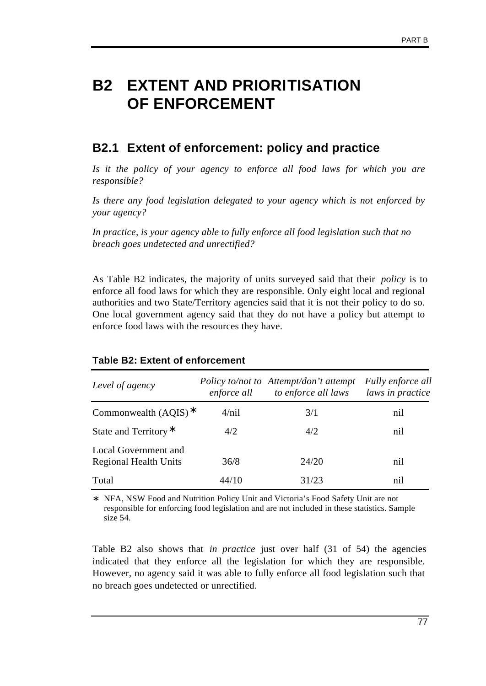## **B2 EXTENT AND PRIORITISATION OF ENFORCEMENT**

### **B2.1 Extent of enforcement: policy and practice**

*Is it the policy of your agency to enforce all food laws for which you are responsible?*

*Is there any food legislation delegated to your agency which is not enforced by your agency?*

*In practice, is your agency able to fully enforce all food legislation such that no breach goes undetected and unrectified?*

As Table B2 indicates, the majority of units surveyed said that their *policy* is to enforce all food laws for which they are responsible. Only eight local and regional authorities and two State/Territory agencies said that it is not their policy to do so. One local government agency said that they do not have a policy but attempt to enforce food laws with the resources they have.

| Level of agency                                      | enforce all | Policy to/not to Attempt/don't attempt<br>to enforce all laws | Fully enforce all<br>laws in practice |
|------------------------------------------------------|-------------|---------------------------------------------------------------|---------------------------------------|
| Commonwealth $(AOIS)^*$                              | 4/nil       | 3/1                                                           | nil                                   |
| State and Territory*                                 | 4/2         | 4/2                                                           | nil                                   |
| Local Government and<br><b>Regional Health Units</b> | 36/8        | 24/20                                                         | nil                                   |
| Total                                                | 44/10       | 31/23                                                         | nil                                   |

### **Table B2: Extent of enforcement**

∗ NFA, NSW Food and Nutrition Policy Unit and Victoria's Food Safety Unit are not responsible for enforcing food legislation and are not included in these statistics. Sample size 54.

Table B2 also shows that *in practice* just over half (31 of 54) the agencies indicated that they enforce all the legislation for which they are responsible. However, no agency said it was able to fully enforce all food legislation such that no breach goes undetected or unrectified.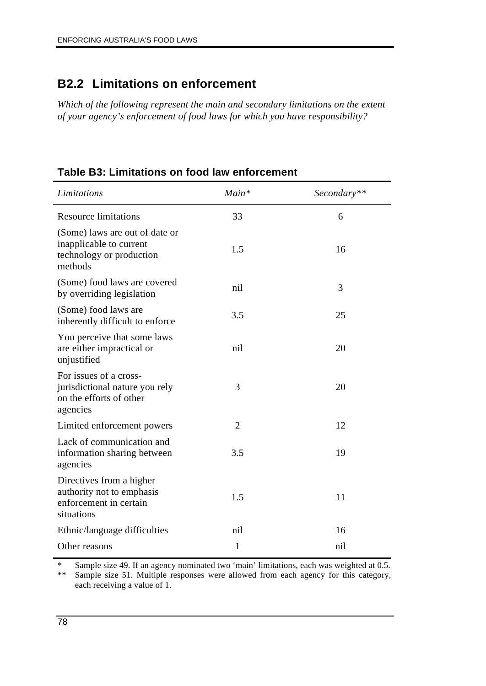### **B2.2 Limitations on enforcement**

*Which of the following represent the main and secondary limitations on the extent of your agency's enforcement of food laws for which you have responsibility?*

|  |  |  | Table B3: Limitations on food law enforcement |  |
|--|--|--|-----------------------------------------------|--|
|  |  |  |                                               |  |

| Limitations                                                                                      | $Main*$        | Secondary** |
|--------------------------------------------------------------------------------------------------|----------------|-------------|
| <b>Resource limitations</b>                                                                      | 33             | 6           |
| (Some) laws are out of date or<br>inapplicable to current<br>technology or production<br>methods | 1.5            | 16          |
| (Some) food laws are covered<br>by overriding legislation                                        | nil            | 3           |
| (Some) food laws are<br>inherently difficult to enforce                                          | 3.5            | 25          |
| You perceive that some laws<br>are either impractical or<br>unjustified                          | nil            | 20          |
| For issues of a cross-<br>jurisdictional nature you rely<br>on the efforts of other<br>agencies  | 3              | 20          |
| Limited enforcement powers                                                                       | $\overline{2}$ | 12          |
| Lack of communication and<br>information sharing between<br>agencies                             | 3.5            | 19          |
| Directives from a higher<br>authority not to emphasis<br>enforcement in certain<br>situations    | 1.5            | 11          |
| Ethnic/language difficulties                                                                     | nil            | 16          |
| Other reasons                                                                                    | 1              | nil         |

\* Sample size 49. If an agency nominated two 'main' limitations, each was weighted at 0.5.<br>\*\* Sample size 51 Multiple responses were allowed from each agency for this category Sample size 51. Multiple responses were allowed from each agency for this category, each receiving a value of 1.

÷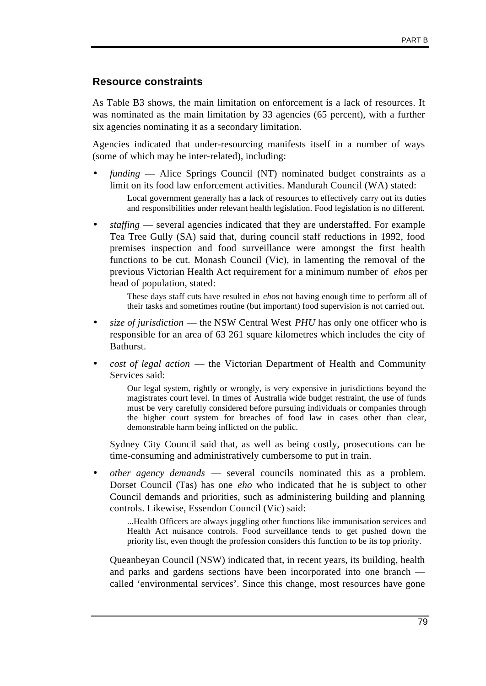### **Resource constraints**

As Table B3 shows, the main limitation on enforcement is a lack of resources. It was nominated as the main limitation by 33 agencies (65 percent), with a further six agencies nominating it as a secondary limitation.

Agencies indicated that under-resourcing manifests itself in a number of ways (some of which may be inter-related), including:

• *funding* — Alice Springs Council (NT) nominated budget constraints as a limit on its food law enforcement activities. Mandurah Council (WA) stated:

Local government generally has a lack of resources to effectively carry out its duties and responsibilities under relevant health legislation. Food legislation is no different.

• *staffing* — several agencies indicated that they are understaffed. For example Tea Tree Gully (SA) said that, during council staff reductions in 1992, food premises inspection and food surveillance were amongst the first health functions to be cut. Monash Council (Vic), in lamenting the removal of the previous Victorian Health Act requirement for a minimum number of *eho*s per head of population, stated:

These days staff cuts have resulted in *eho*s not having enough time to perform all of their tasks and sometimes routine (but important) food supervision is not carried out.

- *size of jurisdiction* the NSW Central West *PHU* has only one officer who is responsible for an area of 63 261 square kilometres which includes the city of Bathurst.
- *cost of legal action* the Victorian Department of Health and Community Services said:

Our legal system, rightly or wrongly, is very expensive in jurisdictions beyond the magistrates court level. In times of Australia wide budget restraint, the use of funds must be very carefully considered before pursuing individuals or companies through the higher court system for breaches of food law in cases other than clear, demonstrable harm being inflicted on the public.

Sydney City Council said that, as well as being costly, prosecutions can be time-consuming and administratively cumbersome to put in train.

• *other agency demands* — several councils nominated this as a problem. Dorset Council (Tas) has one *eho* who indicated that he is subject to other Council demands and priorities, such as administering building and planning controls. Likewise, Essendon Council (Vic) said:

...Health Officers are always juggling other functions like immunisation services and Health Act nuisance controls. Food surveillance tends to get pushed down the priority list, even though the profession considers this function to be its top priority.

Queanbeyan Council (NSW) indicated that, in recent years, its building, health and parks and gardens sections have been incorporated into one branch called 'environmental services'. Since this change, most resources have gone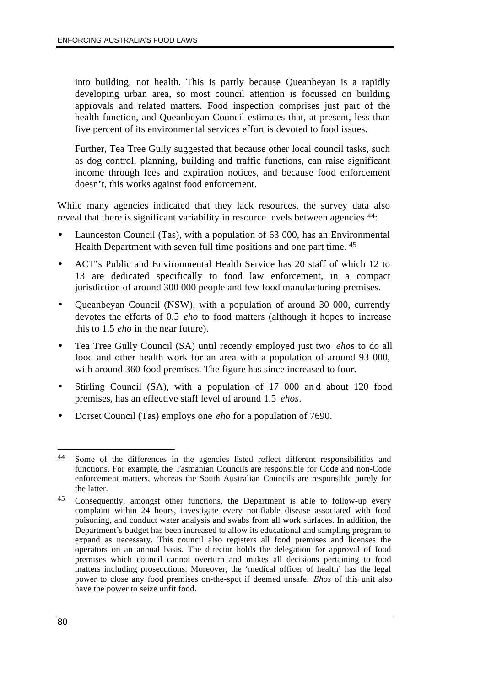into building, not health. This is partly because Queanbeyan is a rapidly developing urban area, so most council attention is focussed on building approvals and related matters. Food inspection comprises just part of the health function, and Queanbeyan Council estimates that, at present, less than five percent of its environmental services effort is devoted to food issues.

Further, Tea Tree Gully suggested that because other local council tasks, such as dog control, planning, building and traffic functions, can raise significant income through fees and expiration notices, and because food enforcement doesn't, this works against food enforcement.

While many agencies indicated that they lack resources, the survey data also reveal that there is significant variability in resource levels between agencies  $44$ :

- Launceston Council (Tas), with a population of 63 000, has an Environmental Health Department with seven full time positions and one part time. 45
- ACT's Public and Environmental Health Service has 20 staff of which 12 to 13 are dedicated specifically to food law enforcement, in a compact jurisdiction of around 300 000 people and few food manufacturing premises.
- Queanbeyan Council (NSW), with a population of around 30 000, currently devotes the efforts of 0.5 *eho* to food matters (although it hopes to increase this to 1.5 *eho* in the near future).
- Tea Tree Gully Council (SA) until recently employed just two *eho*s to do all food and other health work for an area with a population of around 93 000, with around 360 food premises. The figure has since increased to four.
- Stirling Council (SA), with a population of 17 000 and about 120 food premises, has an effective staff level of around 1.5 *ehos*.
- Dorset Council (Tas) employs one *eho* for a population of 7690.

 $\overline{a}$ 44 Some of the differences in the agencies listed reflect different responsibilities and functions. For example, the Tasmanian Councils are responsible for Code and non-Code enforcement matters, whereas the South Australian Councils are responsible purely for the latter.

<sup>45</sup> Consequently, amongst other functions, the Department is able to follow-up every complaint within 24 hours, investigate every notifiable disease associated with food poisoning, and conduct water analysis and swabs from all work surfaces. In addition, the Department's budget has been increased to allow its educational and sampling program to expand as necessary. This council also registers all food premises and licenses the operators on an annual basis. The director holds the delegation for approval of food premises which council cannot overturn and makes all decisions pertaining to food matters including prosecutions. Moreover, the 'medical officer of health' has the legal power to close any food premises on-the-spot if deemed unsafe. *Ehos* of this unit also have the power to seize unfit food.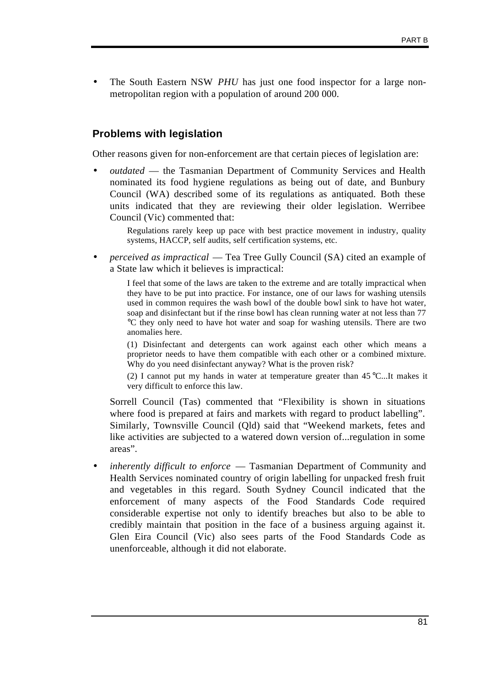The South Eastern NSW *PHU* has just one food inspector for a large nonmetropolitan region with a population of around 200 000.

### **Problems with legislation**

Other reasons given for non-enforcement are that certain pieces of legislation are:

• *outdated* — the Tasmanian Department of Community Services and Health nominated its food hygiene regulations as being out of date, and Bunbury Council (WA) described some of its regulations as antiquated. Both these units indicated that they are reviewing their older legislation. Werribee Council (Vic) commented that:

> Regulations rarely keep up pace with best practice movement in industry, quality systems, HACCP, self audits, self certification systems, etc.

• *perceived as impractical* — Tea Tree Gully Council (SA) cited an example of a State law which it believes is impractical:

> I feel that some of the laws are taken to the extreme and are totally impractical when they have to be put into practice. For instance, one of our laws for washing utensils used in common requires the wash bowl of the double bowl sink to have hot water, soap and disinfectant but if the rinse bowl has clean running water at not less than 77 °C they only need to have hot water and soap for washing utensils. There are two anomalies here.

> (1) Disinfectant and detergents can work against each other which means a proprietor needs to have them compatible with each other or a combined mixture. Why do you need disinfectant anyway? What is the proven risk?

> (2) I cannot put my hands in water at temperature greater than 45 °C...It makes it very difficult to enforce this law.

Sorrell Council (Tas) commented that "Flexibility is shown in situations where food is prepared at fairs and markets with regard to product labelling". Similarly, Townsville Council (Qld) said that "Weekend markets, fetes and like activities are subjected to a watered down version of...regulation in some areas".

• *inherently difficult to enforce* — Tasmanian Department of Community and Health Services nominated country of origin labelling for unpacked fresh fruit and vegetables in this regard. South Sydney Council indicated that the enforcement of many aspects of the Food Standards Code required considerable expertise not only to identify breaches but also to be able to credibly maintain that position in the face of a business arguing against it. Glen Eira Council (Vic) also sees parts of the Food Standards Code as unenforceable, although it did not elaborate.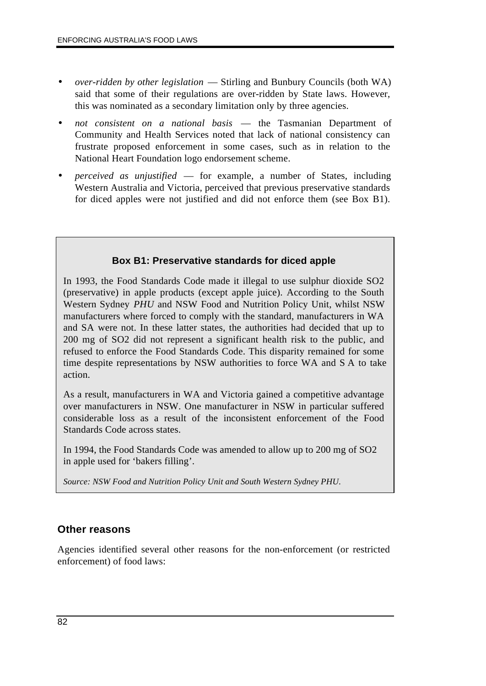- *over-ridden by other legislation* Stirling and Bunbury Councils (both WA) said that some of their regulations are over-ridden by State laws. However, this was nominated as a secondary limitation only by three agencies.
- *not consistent on a national basis*  the Tasmanian Department of Community and Health Services noted that lack of national consistency can frustrate proposed enforcement in some cases, such as in relation to the National Heart Foundation logo endorsement scheme.
- *perceived as unjustified* for example, a number of States, including Western Australia and Victoria, perceived that previous preservative standards for diced apples were not justified and did not enforce them (see Box B1).

### **Box B1: Preservative standards for diced apple**

In 1993, the Food Standards Code made it illegal to use sulphur dioxide SO2 (preservative) in apple products (except apple juice). According to the South Western Sydney *PHU* and NSW Food and Nutrition Policy Unit, whilst NSW manufacturers where forced to comply with the standard, manufacturers in WA and SA were not. In these latter states, the authorities had decided that up to 200 mg of SO2 did not represent a significant health risk to the public, and refused to enforce the Food Standards Code. This disparity remained for some time despite representations by NSW authorities to force WA and S A to take action.

As a result, manufacturers in WA and Victoria gained a competitive advantage over manufacturers in NSW. One manufacturer in NSW in particular suffered considerable loss as a result of the inconsistent enforcement of the Food Standards Code across states.

In 1994, the Food Standards Code was amended to allow up to 200 mg of SO2 in apple used for 'bakers filling'.

*Source: NSW Food and Nutrition Policy Unit and South Western Sydney PHU.*

### **Other reasons**

Agencies identified several other reasons for the non-enforcement (or restricted enforcement) of food laws: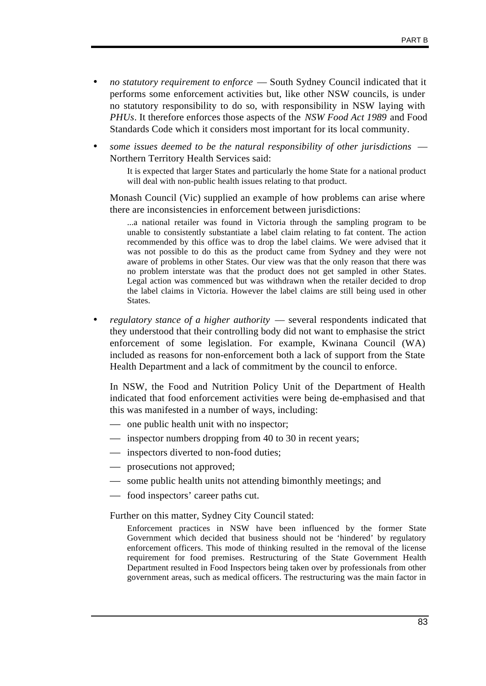- *no statutory requirement to enforce*  South Sydney Council indicated that it performs some enforcement activities but, like other NSW councils, is under no statutory responsibility to do so, with responsibility in NSW laying with *PHUs*. It therefore enforces those aspects of the *NSW Food Act 1989* and Food Standards Code which it considers most important for its local community.
- *some issues deemed to be the natural responsibility of other jurisdictions* Northern Territory Health Services said:

It is expected that larger States and particularly the home State for a national product will deal with non-public health issues relating to that product.

Monash Council (Vic) supplied an example of how problems can arise where there are inconsistencies in enforcement between jurisdictions:

...a national retailer was found in Victoria through the sampling program to be unable to consistently substantiate a label claim relating to fat content. The action recommended by this office was to drop the label claims. We were advised that it was not possible to do this as the product came from Sydney and they were not aware of problems in other States. Our view was that the only reason that there was no problem interstate was that the product does not get sampled in other States. Legal action was commenced but was withdrawn when the retailer decided to drop the label claims in Victoria. However the label claims are still being used in other States.

• *regulatory stance of a higher authority* — several respondents indicated that they understood that their controlling body did not want to emphasise the strict enforcement of some legislation. For example, Kwinana Council (WA) included as reasons for non-enforcement both a lack of support from the State Health Department and a lack of commitment by the council to enforce.

In NSW, the Food and Nutrition Policy Unit of the Department of Health indicated that food enforcement activities were being de-emphasised and that this was manifested in a number of ways, including:

- one public health unit with no inspector;
- inspector numbers dropping from 40 to 30 in recent years;
- inspectors diverted to non-food duties;
- prosecutions not approved;
- some public health units not attending bimonthly meetings; and
- food inspectors' career paths cut.

Further on this matter, Sydney City Council stated:

Enforcement practices in NSW have been influenced by the former State Government which decided that business should not be 'hindered' by regulatory enforcement officers. This mode of thinking resulted in the removal of the license requirement for food premises. Restructuring of the State Government Health Department resulted in Food Inspectors being taken over by professionals from other government areas, such as medical officers. The restructuring was the main factor in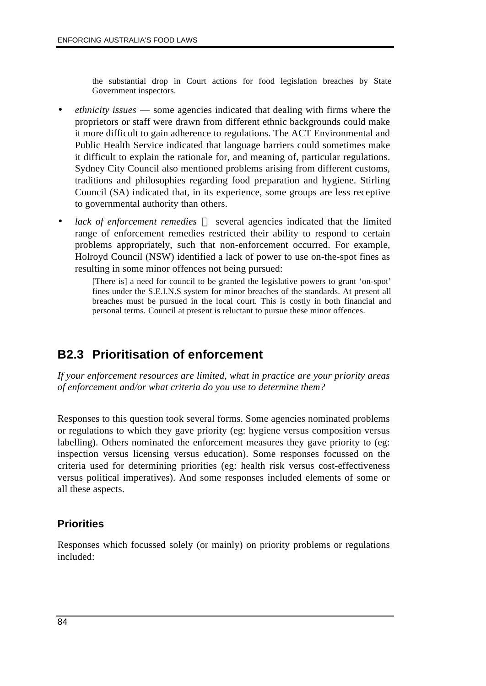the substantial drop in Court actions for food legislation breaches by State Government inspectors.

- *ethnicity issues* some agencies indicated that dealing with firms where the proprietors or staff were drawn from different ethnic backgrounds could make it more difficult to gain adherence to regulations. The ACT Environmental and Public Health Service indicated that language barriers could sometimes make it difficult to explain the rationale for, and meaning of, particular regulations. Sydney City Council also mentioned problems arising from different customs, traditions and philosophies regarding food preparation and hygiene. Stirling Council (SA) indicated that, in its experience, some groups are less receptive to governmental authority than others.
- lack of enforcement remedies several agencies indicated that the limited range of enforcement remedies restricted their ability to respond to certain problems appropriately, such that non-enforcement occurred. For example, Holroyd Council (NSW) identified a lack of power to use on-the-spot fines as resulting in some minor offences not being pursued:

[There is] a need for council to be granted the legislative powers to grant 'on-spot' fines under the S.E.I.N.S system for minor breaches of the standards. At present all breaches must be pursued in the local court. This is costly in both financial and personal terms. Council at present is reluctant to pursue these minor offences.

### **B2.3 Prioritisation of enforcement**

*If your enforcement resources are limited, what in practice are your priority areas of enforcement and/or what criteria do you use to determine them?*

Responses to this question took several forms. Some agencies nominated problems or regulations to which they gave priority (eg: hygiene versus composition versus labelling). Others nominated the enforcement measures they gave priority to (eg: inspection versus licensing versus education). Some responses focussed on the criteria used for determining priorities (eg: health risk versus cost-effectiveness versus political imperatives). And some responses included elements of some or all these aspects.

### **Priorities**

Responses which focussed solely (or mainly) on priority problems or regulations included: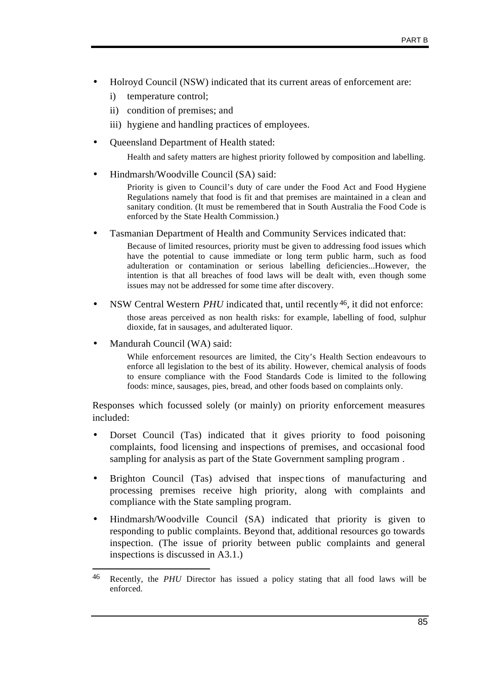- Holroyd Council (NSW) indicated that its current areas of enforcement are:
	- i) temperature control;
	- ii) condition of premises; and
	- iii) hygiene and handling practices of employees.
- Queensland Department of Health stated:

Health and safety matters are highest priority followed by composition and labelling.

• Hindmarsh/Woodville Council (SA) said:

Priority is given to Council's duty of care under the Food Act and Food Hygiene Regulations namely that food is fit and that premises are maintained in a clean and sanitary condition. (It must be remembered that in South Australia the Food Code is enforced by the State Health Commission.)

• Tasmanian Department of Health and Community Services indicated that:

Because of limited resources, priority must be given to addressing food issues which have the potential to cause immediate or long term public harm, such as food adulteration or contamination or serious labelling deficiencies...However, the intention is that all breaches of food laws will be dealt with, even though some issues may not be addressed for some time after discovery.

- NSW Central Western *PHU* indicated that, until recently<sup>46</sup>, it did not enforce: those areas perceived as non health risks: for example, labelling of food, sulphur dioxide, fat in sausages, and adulterated liquor.
- Mandurah Council (WA) said:

While enforcement resources are limited, the City's Health Section endeavours to enforce all legislation to the best of its ability. However, chemical analysis of foods to ensure compliance with the Food Standards Code is limited to the following foods: mince, sausages, pies, bread, and other foods based on complaints only.

Responses which focussed solely (or mainly) on priority enforcement measures included:

- Dorset Council (Tas) indicated that it gives priority to food poisoning complaints, food licensing and inspections of premises, and occasional food sampling for analysis as part of the State Government sampling program .
- Brighton Council (Tas) advised that inspec tions of manufacturing and processing premises receive high priority, along with complaints and compliance with the State sampling program.
- Hindmarsh/Woodville Council (SA) indicated that priority is given to responding to public complaints. Beyond that, additional resources go towards inspection. (The issue of priority between public complaints and general inspections is discussed in A3.1.)

 $46$ Recently, the *PHU* Director has issued a policy stating that all food laws will be enforced.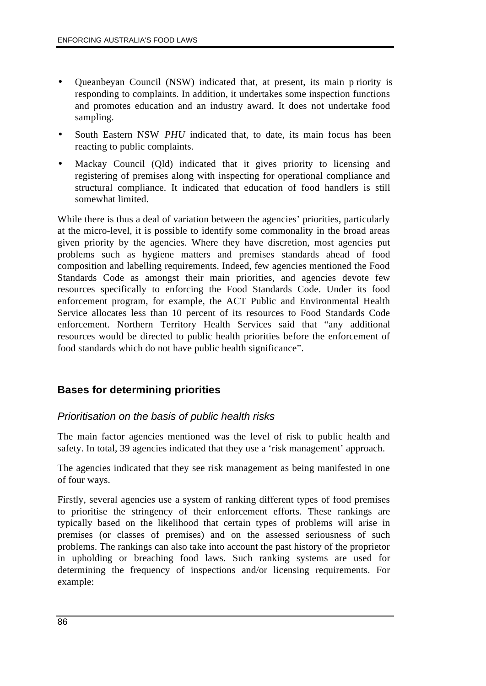- Queanbeyan Council (NSW) indicated that, at present, its main p riority is responding to complaints. In addition, it undertakes some inspection functions and promotes education and an industry award. It does not undertake food sampling.
- South Eastern NSW *PHU* indicated that, to date, its main focus has been reacting to public complaints.
- Mackay Council (Qld) indicated that it gives priority to licensing and registering of premises along with inspecting for operational compliance and structural compliance. It indicated that education of food handlers is still somewhat limited.

While there is thus a deal of variation between the agencies' priorities, particularly at the micro-level, it is possible to identify some commonality in the broad areas given priority by the agencies. Where they have discretion, most agencies put problems such as hygiene matters and premises standards ahead of food composition and labelling requirements. Indeed, few agencies mentioned the Food Standards Code as amongst their main priorities, and agencies devote few resources specifically to enforcing the Food Standards Code. Under its food enforcement program, for example, the ACT Public and Environmental Health Service allocates less than 10 percent of its resources to Food Standards Code enforcement. Northern Territory Health Services said that "any additional resources would be directed to public health priorities before the enforcement of food standards which do not have public health significance".

### **Bases for determining priorities**

### *Prioritisation on the basis of public health risks*

The main factor agencies mentioned was the level of risk to public health and safety. In total, 39 agencies indicated that they use a 'risk management' approach.

The agencies indicated that they see risk management as being manifested in one of four ways.

Firstly, several agencies use a system of ranking different types of food premises to prioritise the stringency of their enforcement efforts. These rankings are typically based on the likelihood that certain types of problems will arise in premises (or classes of premises) and on the assessed seriousness of such problems. The rankings can also take into account the past history of the proprietor in upholding or breaching food laws. Such ranking systems are used for determining the frequency of inspections and/or licensing requirements. For example: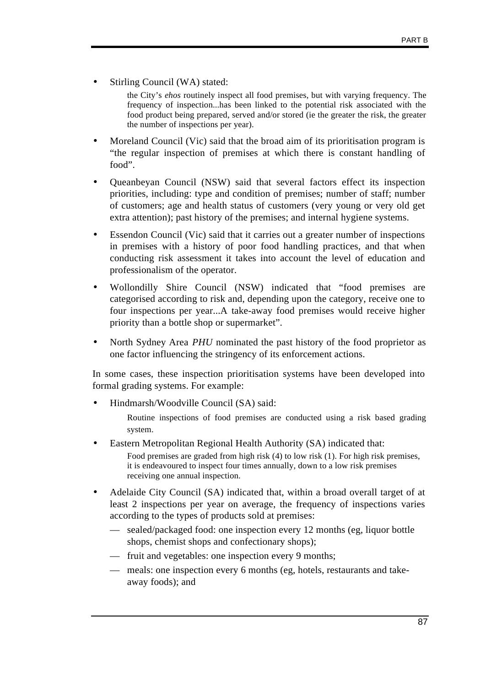Stirling Council (WA) stated:

the City's *ehos* routinely inspect all food premises, but with varying frequency. The frequency of inspection...has been linked to the potential risk associated with the food product being prepared, served and/or stored (ie the greater the risk, the greater the number of inspections per year).

- Moreland Council (Vic) said that the broad aim of its prioritisation program is "the regular inspection of premises at which there is constant handling of food".
- Queanbeyan Council (NSW) said that several factors effect its inspection priorities, including: type and condition of premises; number of staff; number of customers; age and health status of customers (very young or very old get extra attention); past history of the premises; and internal hygiene systems.
- Essendon Council (Vic) said that it carries out a greater number of inspections in premises with a history of poor food handling practices, and that when conducting risk assessment it takes into account the level of education and professionalism of the operator.
- Wollondilly Shire Council (NSW) indicated that "food premises are categorised according to risk and, depending upon the category, receive one to four inspections per year...A take-away food premises would receive higher priority than a bottle shop or supermarket".
- North Sydney Area *PHU* nominated the past history of the food proprietor as one factor influencing the stringency of its enforcement actions.

In some cases, these inspection prioritisation systems have been developed into formal grading systems. For example:

• Hindmarsh/Woodville Council (SA) said:

Routine inspections of food premises are conducted using a risk based grading system.

• Eastern Metropolitan Regional Health Authority (SA) indicated that:

Food premises are graded from high risk (4) to low risk (1). For high risk premises, it is endeavoured to inspect four times annually, down to a low risk premises receiving one annual inspection.

- Adelaide City Council (SA) indicated that, within a broad overall target of at least 2 inspections per year on average, the frequency of inspections varies according to the types of products sold at premises:
	- sealed/packaged food: one inspection every 12 months (eg, liquor bottle shops, chemist shops and confectionary shops);
	- fruit and vegetables: one inspection every 9 months;
	- meals: one inspection every 6 months (eg, hotels, restaurants and takeaway foods); and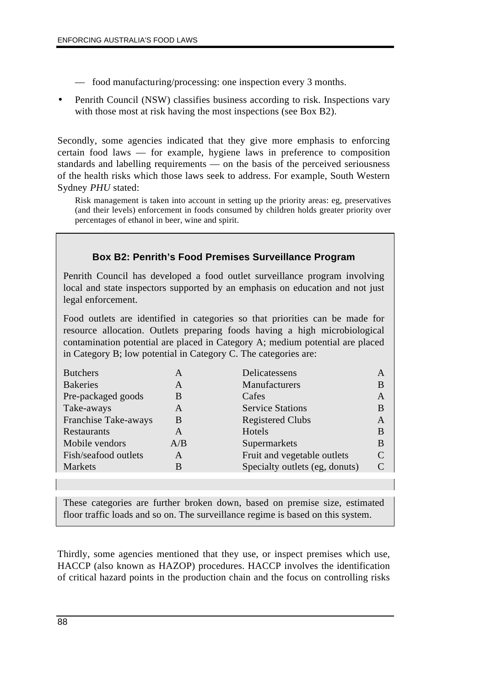- food manufacturing/processing: one inspection every 3 months.
- Penrith Council (NSW) classifies business according to risk. Inspections vary with those most at risk having the most inspections (see Box B2).

Secondly, some agencies indicated that they give more emphasis to enforcing certain food laws — for example, hygiene laws in preference to composition standards and labelling requirements — on the basis of the perceived seriousness of the health risks which those laws seek to address. For example, South Western Sydney *PHU* stated:

Risk management is taken into account in setting up the priority areas: eg, preservatives (and their levels) enforcement in foods consumed by children holds greater priority over percentages of ethanol in beer, wine and spirit.

|                                                                                                                                                                                   |              | <b>Box B2: Penrith's Food Premises Surveillance Program</b>                                                                                                                                                                                                                                                    |  |  |
|-----------------------------------------------------------------------------------------------------------------------------------------------------------------------------------|--------------|----------------------------------------------------------------------------------------------------------------------------------------------------------------------------------------------------------------------------------------------------------------------------------------------------------------|--|--|
| Penrith Council has developed a food outlet surveillance program involving<br>local and state inspectors supported by an emphasis on education and not just<br>legal enforcement. |              |                                                                                                                                                                                                                                                                                                                |  |  |
|                                                                                                                                                                                   |              | Food outlets are identified in categories so that priorities can be made for<br>resource allocation. Outlets preparing foods having a high microbiological<br>contamination potential are placed in Category A; medium potential are placed<br>in Category B; low potential in Category C. The categories are: |  |  |
| <b>Butchers</b>                                                                                                                                                                   | $\mathsf{A}$ | Delicatessens<br>A                                                                                                                                                                                                                                                                                             |  |  |
| <b>Bakeries</b>                                                                                                                                                                   | $\mathbf{A}$ | Manufacturers<br><sub>B</sub>                                                                                                                                                                                                                                                                                  |  |  |
| Pre-packaged goods                                                                                                                                                                | <sub>R</sub> | Cafes<br>A                                                                                                                                                                                                                                                                                                     |  |  |
| Take-aways                                                                                                                                                                        | $\mathsf{A}$ | <b>Service Stations</b><br><sub>B</sub>                                                                                                                                                                                                                                                                        |  |  |
| Franchise Take-aways                                                                                                                                                              | B            | <b>Registered Clubs</b><br>$\mathsf{A}$                                                                                                                                                                                                                                                                        |  |  |
| Restaurants                                                                                                                                                                       | $\mathsf{A}$ | Hotels<br><sub>B</sub>                                                                                                                                                                                                                                                                                         |  |  |
| Mobile vendors                                                                                                                                                                    | A/B          | Supermarkets<br>B                                                                                                                                                                                                                                                                                              |  |  |
| Fish/seafood outlets                                                                                                                                                              | $\mathsf{A}$ | Fruit and vegetable outlets<br>$\mathcal{C}$                                                                                                                                                                                                                                                                   |  |  |
| Markets                                                                                                                                                                           | <sub>B</sub> | Specialty outlets (eg, donuts)<br>C                                                                                                                                                                                                                                                                            |  |  |
|                                                                                                                                                                                   |              |                                                                                                                                                                                                                                                                                                                |  |  |

These categories are further broken down, based on premise size, estimated floor traffic loads and so on. The surveillance regime is based on this system.

Thirdly, some agencies mentioned that they use, or inspect premises which use, HACCP (also known as HAZOP) procedures. HACCP involves the identification of critical hazard points in the production chain and the focus on controlling risks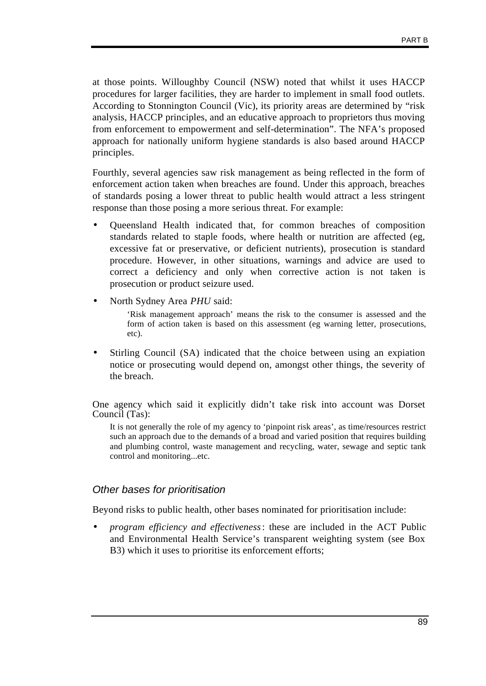at those points. Willoughby Council (NSW) noted that whilst it uses HACCP procedures for larger facilities, they are harder to implement in small food outlets. According to Stonnington Council (Vic), its priority areas are determined by "risk analysis, HACCP principles, and an educative approach to proprietors thus moving from enforcement to empowerment and self-determination". The NFA's proposed approach for nationally uniform hygiene standards is also based around HACCP principles.

Fourthly, several agencies saw risk management as being reflected in the form of enforcement action taken when breaches are found. Under this approach, breaches of standards posing a lower threat to public health would attract a less stringent response than those posing a more serious threat. For example:

- Queensland Health indicated that, for common breaches of composition standards related to staple foods, where health or nutrition are affected (eg, excessive fat or preservative, or deficient nutrients), prosecution is standard procedure. However, in other situations, warnings and advice are used to correct a deficiency and only when corrective action is not taken is prosecution or product seizure used.
- North Sydney Area *PHU* said:

'Risk management approach' means the risk to the consumer is assessed and the form of action taken is based on this assessment (eg warning letter, prosecutions, etc).

• Stirling Council (SA) indicated that the choice between using an expiation notice or prosecuting would depend on, amongst other things, the severity of the breach.

One agency which said it explicitly didn't take risk into account was Dorset Council (Tas):

It is not generally the role of my agency to 'pinpoint risk areas', as time/resources restrict such an approach due to the demands of a broad and varied position that requires building and plumbing control, waste management and recycling, water, sewage and septic tank control and monitoring...etc.

#### *Other bases for prioritisation*

Beyond risks to public health, other bases nominated for prioritisation include:

• *program efficiency and effectiveness*: these are included in the ACT Public and Environmental Health Service's transparent weighting system (see Box B3) which it uses to prioritise its enforcement efforts;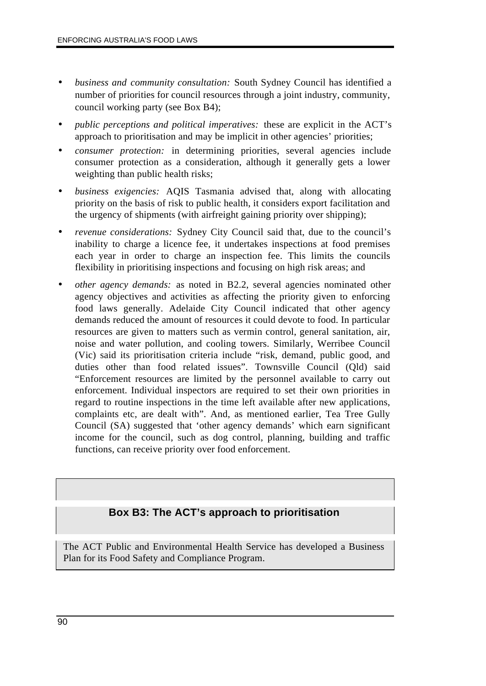- *business and community consultation:* South Sydney Council has identified a number of priorities for council resources through a joint industry, community, council working party (see Box B4);
- *public perceptions and political imperatives:* these are explicit in the ACT's approach to prioritisation and may be implicit in other agencies' priorities;
- *consumer protection:* in determining priorities, several agencies include consumer protection as a consideration, although it generally gets a lower weighting than public health risks;
- *business exigencies:* AQIS Tasmania advised that, along with allocating priority on the basis of risk to public health, it considers export facilitation and the urgency of shipments (with airfreight gaining priority over shipping);
- *revenue considerations:* Sydney City Council said that, due to the council's inability to charge a licence fee, it undertakes inspections at food premises each year in order to charge an inspection fee. This limits the councils flexibility in prioritising inspections and focusing on high risk areas; and
- *other agency demands:* as noted in B2.2, several agencies nominated other agency objectives and activities as affecting the priority given to enforcing food laws generally. Adelaide City Council indicated that other agency demands reduced the amount of resources it could devote to food. In particular resources are given to matters such as vermin control, general sanitation, air, noise and water pollution, and cooling towers. Similarly, Werribee Council (Vic) said its prioritisation criteria include "risk, demand, public good, and duties other than food related issues". Townsville Council (Qld) said "Enforcement resources are limited by the personnel available to carry out enforcement. Individual inspectors are required to set their own priorities in regard to routine inspections in the time left available after new applications, complaints etc, are dealt with". And, as mentioned earlier, Tea Tree Gully Council (SA) suggested that 'other agency demands' which earn significant income for the council, such as dog control, planning, building and traffic functions, can receive priority over food enforcement.

### **Box B3: The ACT's approach to prioritisation**

The ACT Public and Environmental Health Service has developed a Business Plan for its Food Safety and Compliance Program.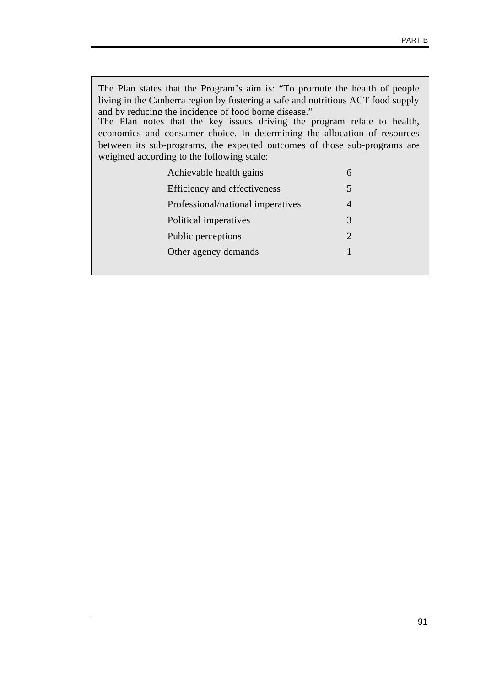The Plan states that the Program's aim is: "To promote the health of people living in the Canberra region by fostering a safe and nutritious ACT food supply and by reducing the incidence of food borne disease." The Plan notes that the key issues driving the program relate to health, economics and consumer choice. In determining the allocation of resources between its sub-programs, the expected outcomes of those sub-programs are weighted according to the following scale: Achievable health gains 6 Efficiency and effectiveness 5 Professional/national imperatives 4 Political imperatives 3 Public perceptions 2 Other agency demands 1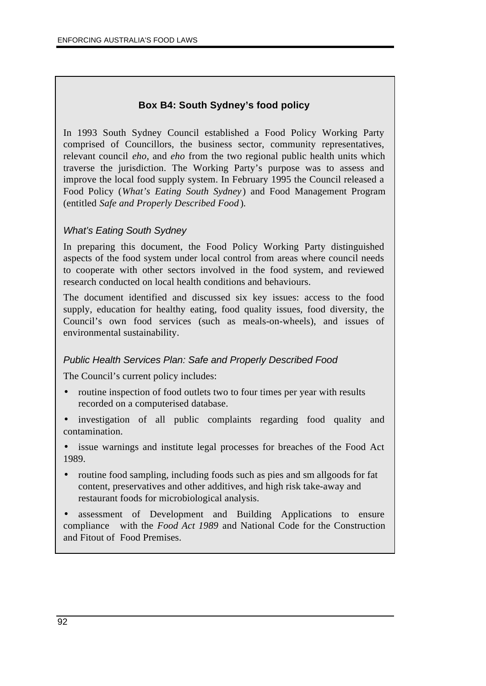### **Box B4: South Sydney's food policy**

In 1993 South Sydney Council established a Food Policy Working Party comprised of Councillors, the business sector, community representatives, relevant council *eho*, and *eho* from the two regional public health units which traverse the jurisdiction. The Working Party's purpose was to assess and improve the local food supply system. In February 1995 the Council released a Food Policy (*What's Eating South Sydney*) and Food Management Program (entitled *Safe and Properly Described Food* )*.*

### *What's Eating South Sydney*

In preparing this document, the Food Policy Working Party distinguished aspects of the food system under local control from areas where council needs to cooperate with other sectors involved in the food system, and reviewed research conducted on local health conditions and behaviours.

The document identified and discussed six key issues: access to the food supply, education for healthy eating, food quality issues, food diversity, the Council's own food services (such as meals-on-wheels), and issues of environmental sustainability.

### *Public Health Services Plan: Safe and Properly Described Food*

The Council's current policy includes:

- routine inspection of food outlets two to four times per year with results recorded on a computerised database.
- investigation of all public complaints regarding food quality and contamination.

• issue warnings and institute legal processes for breaches of the Food Act 1989.

• routine food sampling, including foods such as pies and sm allgoods for fat content, preservatives and other additives, and high risk take-away and restaurant foods for microbiological analysis.

• assessment of Development and Building Applications to ensure compliance with the *Food Act 1989* and National Code for the Construction and Fitout of Food Premises.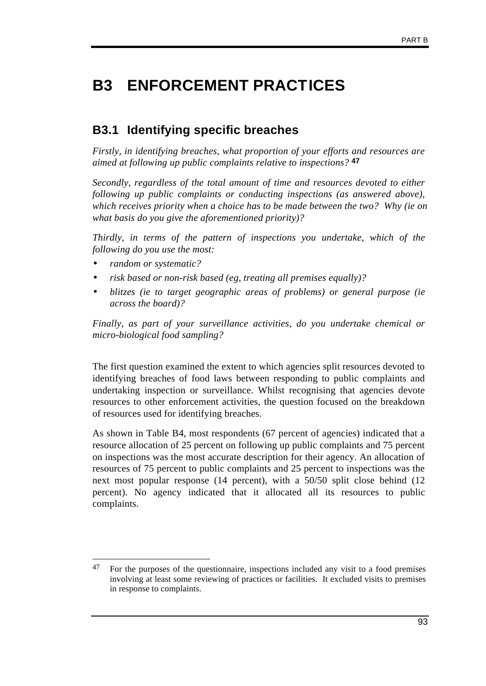## **B3 ENFORCEMENT PRACTICES**

### **B3.1 Identifying specific breaches**

*Firstly, in identifying breaches, what proportion of your efforts and resources are aimed at following up public complaints relative to inspections?* **47**

*Secondly, regardless of the total amount of time and resources devoted to either following up public complaints or conducting inspections (as answered above), which receives priority when a choice has to be made between the two? Why (ie on what basis do you give the aforementioned priority)?*

*Thirdly, in terms of the pattern of inspections you undertake, which of the following do you use the most:*

- *random or systematic?*
- *risk based or non-risk based (eg, treating all premises equally)?*
- *blitzes (ie to target geographic areas of problems) or general purpose (ie across the board)?*

*Finally, as part of your surveillance activities, do you undertake chemical or micro-biological food sampling?*

The first question examined the extent to which agencies split resources devoted to identifying breaches of food laws between responding to public complaints and undertaking inspection or surveillance. Whilst recognising that agencies devote resources to other enforcement activities, the question focused on the breakdown of resources used for identifying breaches.

As shown in Table B4, most respondents (67 percent of agencies) indicated that a resource allocation of 25 percent on following up public complaints and 75 percent on inspections was the most accurate description for their agency. An allocation of resources of 75 percent to public complaints and 25 percent to inspections was the next most popular response (14 percent), with a 50/50 split close behind (12 percent). No agency indicated that it allocated all its resources to public complaints.

 $\overline{a}$  $47$  For the purposes of the questionnaire, inspections included any visit to a food premises involving at least some reviewing of practices or facilities. It excluded visits to premises in response to complaints.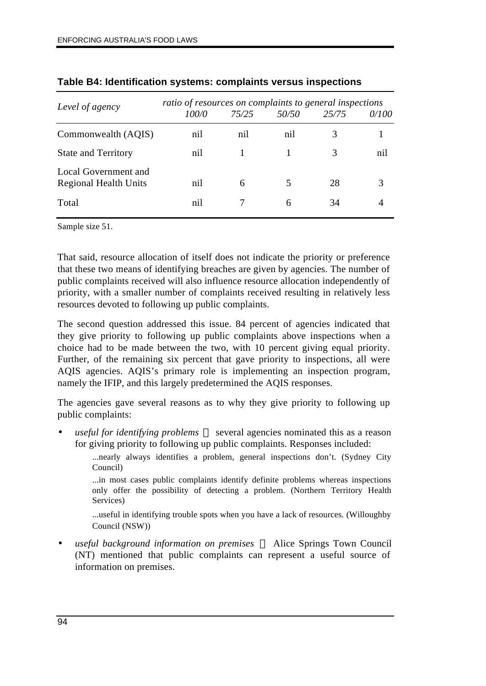| Level of agency                                      | ratio of resources on complaints to general inspections |       |       |       |       |  |
|------------------------------------------------------|---------------------------------------------------------|-------|-------|-------|-------|--|
|                                                      | 100/0                                                   | 75/25 | 50/50 | 25/75 | 0/100 |  |
| Commonwealth (AQIS)                                  | nil                                                     | nil   | nil   | 3     |       |  |
| <b>State and Territory</b>                           | nil                                                     |       |       | 3     | nil   |  |
| Local Government and<br><b>Regional Health Units</b> | nil                                                     | 6     | 5     | 28    |       |  |
| Total                                                | nil                                                     |       | 6     | 34    |       |  |

#### **Table B4: Identification systems: complaints versus inspections**

Sample size 51.

That said, resource allocation of itself does not indicate the priority or preference that these two means of identifying breaches are given by agencies. The number of public complaints received will also influence resource allocation independently of priority, with a smaller number of complaints received resulting in relatively less resources devoted to following up public complaints.

The second question addressed this issue. 84 percent of agencies indicated that they give priority to following up public complaints above inspections when a choice had to be made between the two, with 10 percent giving equal priority. Further, of the remaining six percent that gave priority to inspections, all were AQIS agencies. AQIS's primary role is implementing an inspection program, namely the IFIP, and this largely predetermined the AQIS responses.

The agencies gave several reasons as to why they give priority to following up public complaints:

*useful for identifying problems* — several agencies nominated this as a reason for giving priority to following up public complaints. Responses included:

> ...nearly always identifies a problem, general inspections don't. (Sydney City Council)

> ...in most cases public complaints identify definite problems whereas inspections only offer the possibility of detecting a problem. (Northern Territory Health Services)

> ...useful in identifying trouble spots when you have a lack of resources. (Willoughby Council (NSW))

• *useful background information on premises*  Alice Springs Town Council (NT) mentioned that public complaints can represent a useful source of information on premises.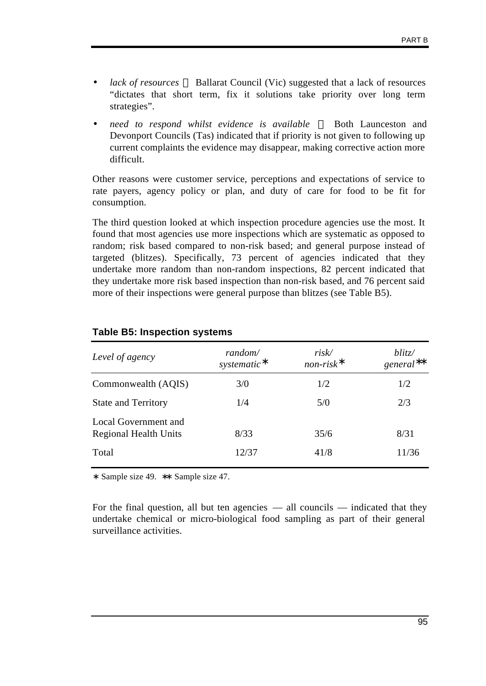- *lack of resources* Ballarat Council (Vic) suggested that a lack of resources "dictates that short term, fix it solutions take priority over long term strategies".
- *need to respond whilst evidence is available* Both Launceston and Devonport Councils (Tas) indicated that if priority is not given to following up current complaints the evidence may disappear, making corrective action more difficult.

Other reasons were customer service, perceptions and expectations of service to rate payers, agency policy or plan, and duty of care for food to be fit for consumption.

The third question looked at which inspection procedure agencies use the most. It found that most agencies use more inspections which are systematic as opposed to random; risk based compared to non-risk based; and general purpose instead of targeted (blitzes). Specifically, 73 percent of agencies indicated that they undertake more random than non-random inspections, 82 percent indicated that they undertake more risk based inspection than non-risk based, and 76 percent said more of their inspections were general purpose than blitzes (see Table B5).

| Level of agency                                      | random/<br>systematic* | risk/<br>$non-risk*$ | blitz/<br>$general**$ |
|------------------------------------------------------|------------------------|----------------------|-----------------------|
| Commonwealth (AQIS)                                  | 3/0                    | 1/2                  | 1/2                   |
| <b>State and Territory</b>                           | 1/4                    | 5/0                  | 2/3                   |
| Local Government and<br><b>Regional Health Units</b> | 8/33                   | 35/6                 | 8/31                  |
| Total                                                | 12/37                  | 41/8                 | 11/36                 |

#### **Table B5: Inspection systems**

∗ Sample size 49. ∗∗ Sample size 47.

For the final question, all but ten agencies — all councils — indicated that they undertake chemical or micro-biological food sampling as part of their general surveillance activities.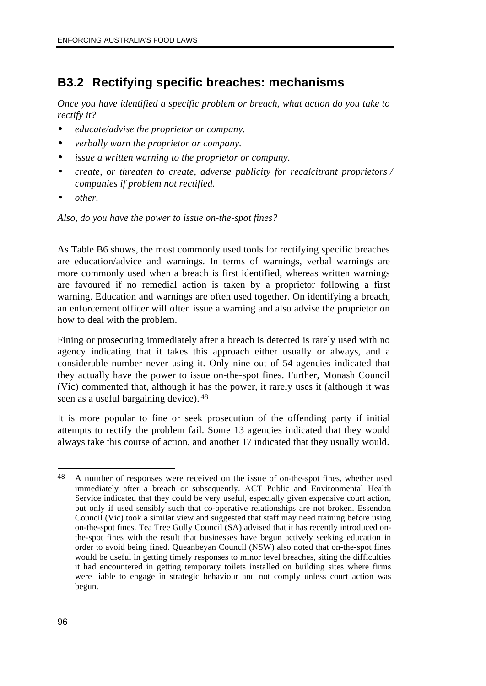### **B3.2 Rectifying specific breaches: mechanisms**

*Once you have identified a specific problem or breach, what action do you take to rectify it?*

- *educate/advise the proprietor or company.*
- *verbally warn the proprietor or company.*
- *issue a written warning to the proprietor or company.*
- *create, or threaten to create, adverse publicity for recalcitrant proprietors / companies if problem not rectified.*
- *other.*

*Also, do you have the power to issue on-the-spot fines?*

As Table B6 shows, the most commonly used tools for rectifying specific breaches are education/advice and warnings. In terms of warnings, verbal warnings are more commonly used when a breach is first identified, whereas written warnings are favoured if no remedial action is taken by a proprietor following a first warning. Education and warnings are often used together. On identifying a breach, an enforcement officer will often issue a warning and also advise the proprietor on how to deal with the problem.

Fining or prosecuting immediately after a breach is detected is rarely used with no agency indicating that it takes this approach either usually or always, and a considerable number never using it. Only nine out of 54 agencies indicated that they actually have the power to issue on-the-spot fines. Further, Monash Council (Vic) commented that, although it has the power, it rarely uses it (although it was seen as a useful bargaining device). 48

It is more popular to fine or seek prosecution of the offending party if initial attempts to rectify the problem fail. Some 13 agencies indicated that they would always take this course of action, and another 17 indicated that they usually would.

 $\overline{a}$ 48 A number of responses were received on the issue of on-the-spot fines, whether used immediately after a breach or subsequently. ACT Public and Environmental Health Service indicated that they could be very useful, especially given expensive court action, but only if used sensibly such that co-operative relationships are not broken. Essendon Council (Vic) took a similar view and suggested that staff may need training before using on-the-spot fines. Tea Tree Gully Council (SA) advised that it has recently introduced onthe-spot fines with the result that businesses have begun actively seeking education in order to avoid being fined. Queanbeyan Council (NSW) also noted that on-the-spot fines would be useful in getting timely responses to minor level breaches, siting the difficulties it had encountered in getting temporary toilets installed on building sites where firms were liable to engage in strategic behaviour and not comply unless court action was begun.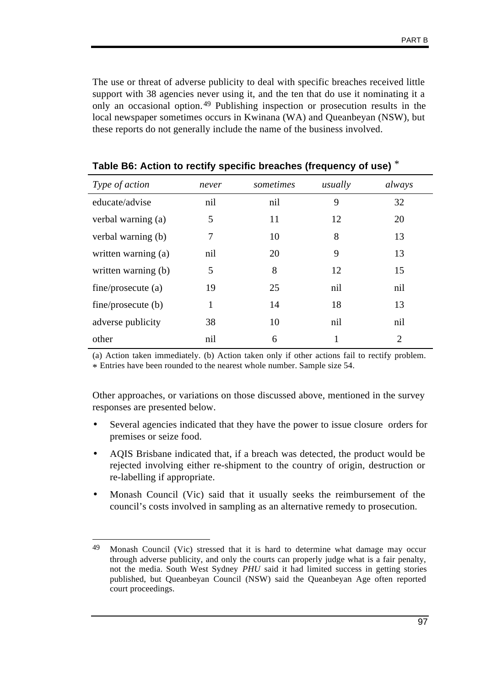The use or threat of adverse publicity to deal with specific breaches received little support with 38 agencies never using it, and the ten that do use it nominating it a only an occasional option. 49 Publishing inspection or prosecution results in the local newspaper sometimes occurs in Kwinana (WA) and Queanbeyan (NSW), but these reports do not generally include the name of the business involved.

| Type of action      | never | sometimes | usually | always         |
|---------------------|-------|-----------|---------|----------------|
| educate/advise      | nil   | nil       | 9       | 32             |
| verbal warning (a)  | 5     | 11        | 12      | 20             |
| verbal warning (b)  | 7     | 10        | 8       | 13             |
| written warning (a) | nil   | 20        | 9       | 13             |
| written warning (b) | 5     | 8         | 12      | 15             |
| fine/procedure (a)  | 19    | 25        | nil     | nil            |
| fine/procedure (b)  | 1     | 14        | 18      | 13             |
| adverse publicity   | 38    | 10        | nil     | nil            |
| other               | nil   | 6         |         | $\mathfrak{D}$ |

**Table B6: Action to rectify specific breaches (frequency of use)** \*

(a) Action taken immediately. (b) Action taken only if other actions fail to rectify problem. \* Entries have been rounded to the nearest whole number. Sample size 54.

Other approaches, or variations on those discussed above, mentioned in the survey responses are presented below.

- Several agencies indicated that they have the power to issue closure orders for premises or seize food.
- AQIS Brisbane indicated that, if a breach was detected, the product would be rejected involving either re-shipment to the country of origin, destruction or re-labelling if appropriate.
- Monash Council (Vic) said that it usually seeks the reimbursement of the council's costs involved in sampling as an alternative remedy to prosecution.

<sup>49</sup> Monash Council (Vic) stressed that it is hard to determine what damage may occur through adverse publicity, and only the courts can properly judge what is a fair penalty, not the media. South West Sydney *PHU* said it had limited success in getting stories published, but Queanbeyan Council (NSW) said the Queanbeyan Age often reported court proceedings.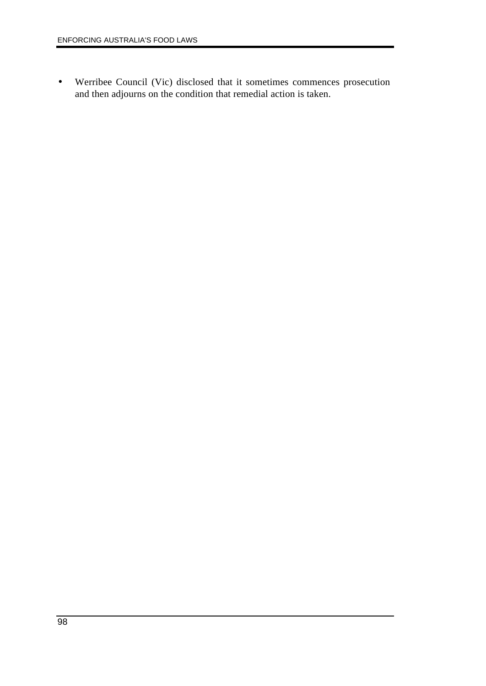• Werribee Council (Vic) disclosed that it sometimes commences prosecution and then adjourns on the condition that remedial action is taken.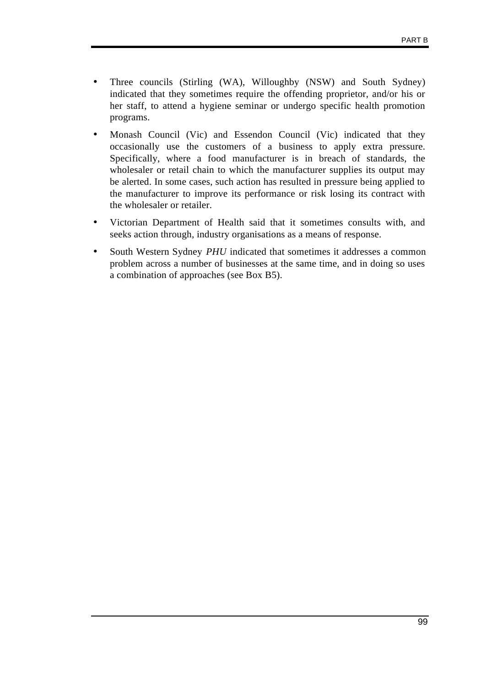- Three councils (Stirling (WA), Willoughby (NSW) and South Sydney) indicated that they sometimes require the offending proprietor, and/or his or her staff, to attend a hygiene seminar or undergo specific health promotion programs.
- Monash Council (Vic) and Essendon Council (Vic) indicated that they occasionally use the customers of a business to apply extra pressure. Specifically, where a food manufacturer is in breach of standards, the wholesaler or retail chain to which the manufacturer supplies its output may be alerted. In some cases, such action has resulted in pressure being applied to the manufacturer to improve its performance or risk losing its contract with the wholesaler or retailer.
- Victorian Department of Health said that it sometimes consults with, and seeks action through, industry organisations as a means of response.
- South Western Sydney *PHU* indicated that sometimes it addresses a common problem across a number of businesses at the same time, and in doing so uses a combination of approaches (see Box B5).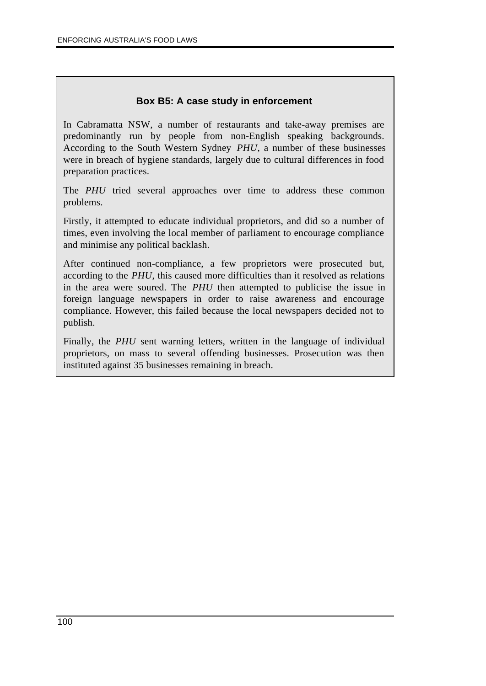### **Box B5: A case study in enforcement**

In Cabramatta NSW, a number of restaurants and take-away premises are predominantly run by people from non-English speaking backgrounds. According to the South Western Sydney *PHU*, a number of these businesses were in breach of hygiene standards, largely due to cultural differences in food preparation practices.

The *PHU* tried several approaches over time to address these common problems.

Firstly, it attempted to educate individual proprietors, and did so a number of times, even involving the local member of parliament to encourage compliance and minimise any political backlash.

After continued non-compliance, a few proprietors were prosecuted but, according to the *PHU*, this caused more difficulties than it resolved as relations in the area were soured. The *PHU* then attempted to publicise the issue in foreign language newspapers in order to raise awareness and encourage compliance. However, this failed because the local newspapers decided not to publish.

Finally, the *PHU* sent warning letters, written in the language of individual proprietors, on mass to several offending businesses. Prosecution was then instituted against 35 businesses remaining in breach.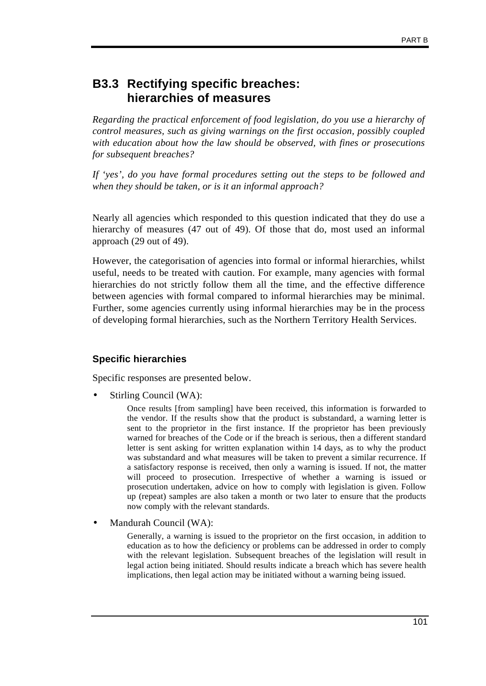### **B3.3 Rectifying specific breaches: hierarchies of measures**

*Regarding the practical enforcement of food legislation, do you use a hierarchy of control measures, such as giving warnings on the first occasion, possibly coupled with education about how the law should be observed, with fines or prosecutions for subsequent breaches?*

*If 'yes', do you have formal procedures setting out the steps to be followed and when they should be taken, or is it an informal approach?*

Nearly all agencies which responded to this question indicated that they do use a hierarchy of measures (47 out of 49). Of those that do, most used an informal approach (29 out of 49).

However, the categorisation of agencies into formal or informal hierarchies, whilst useful, needs to be treated with caution. For example, many agencies with formal hierarchies do not strictly follow them all the time, and the effective difference between agencies with formal compared to informal hierarchies may be minimal. Further, some agencies currently using informal hierarchies may be in the process of developing formal hierarchies, such as the Northern Territory Health Services.

### **Specific hierarchies**

Specific responses are presented below.

Stirling Council (WA):

Once results [from sampling] have been received, this information is forwarded to the vendor. If the results show that the product is substandard, a warning letter is sent to the proprietor in the first instance. If the proprietor has been previously warned for breaches of the Code or if the breach is serious, then a different standard letter is sent asking for written explanation within 14 days, as to why the product was substandard and what measures will be taken to prevent a similar recurrence. If a satisfactory response is received, then only a warning is issued. If not, the matter will proceed to prosecution. Irrespective of whether a warning is issued or prosecution undertaken, advice on how to comply with legislation is given. Follow up (repeat) samples are also taken a month or two later to ensure that the products now comply with the relevant standards.

• Mandurah Council (WA):

Generally, a warning is issued to the proprietor on the first occasion, in addition to education as to how the deficiency or problems can be addressed in order to comply with the relevant legislation. Subsequent breaches of the legislation will result in legal action being initiated. Should results indicate a breach which has severe health implications, then legal action may be initiated without a warning being issued.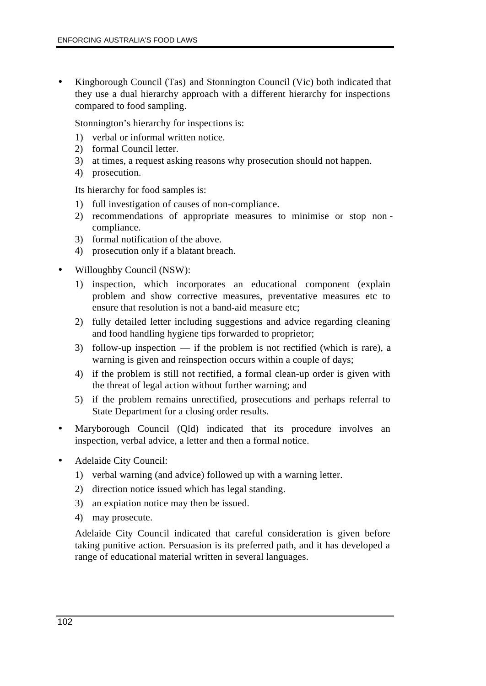• Kingborough Council (Tas) and Stonnington Council (Vic) both indicated that they use a dual hierarchy approach with a different hierarchy for inspections compared to food sampling.

Stonnington's hierarchy for inspections is:

- 1) verbal or informal written notice.
- 2) formal Council letter.
- 3) at times, a request asking reasons why prosecution should not happen.
- 4) prosecution.

Its hierarchy for food samples is:

- 1) full investigation of causes of non-compliance.
- 2) recommendations of appropriate measures to minimise or stop non compliance.
- 3) formal notification of the above.
- 4) prosecution only if a blatant breach.
- Willoughby Council (NSW):
	- 1) inspection, which incorporates an educational component (explain problem and show corrective measures, preventative measures etc to ensure that resolution is not a band-aid measure etc;
	- 2) fully detailed letter including suggestions and advice regarding cleaning and food handling hygiene tips forwarded to proprietor;
	- 3) follow-up inspection if the problem is not rectified (which is rare), a warning is given and reinspection occurs within a couple of days;
	- 4) if the problem is still not rectified, a formal clean-up order is given with the threat of legal action without further warning; and
	- 5) if the problem remains unrectified, prosecutions and perhaps referral to State Department for a closing order results.
- Maryborough Council (Qld) indicated that its procedure involves an inspection, verbal advice, a letter and then a formal notice.
- Adelaide City Council:
	- 1) verbal warning (and advice) followed up with a warning letter.
	- 2) direction notice issued which has legal standing.
	- 3) an expiation notice may then be issued.
	- 4) may prosecute.

Adelaide City Council indicated that careful consideration is given before taking punitive action. Persuasion is its preferred path, and it has developed a range of educational material written in several languages.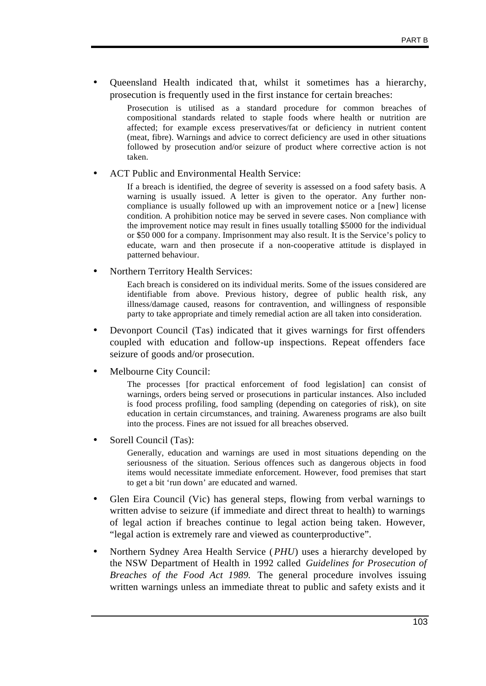• Queensland Health indicated that, whilst it sometimes has a hierarchy, prosecution is frequently used in the first instance for certain breaches:

> Prosecution is utilised as a standard procedure for common breaches of compositional standards related to staple foods where health or nutrition are affected; for example excess preservatives/fat or deficiency in nutrient content (meat, fibre). Warnings and advice to correct deficiency are used in other situations followed by prosecution and/or seizure of product where corrective action is not taken.

#### • ACT Public and Environmental Health Service:

If a breach is identified, the degree of severity is assessed on a food safety basis. A warning is usually issued. A letter is given to the operator. Any further noncompliance is usually followed up with an improvement notice or a [new] license condition. A prohibition notice may be served in severe cases. Non compliance with the improvement notice may result in fines usually totalling \$5000 for the individual or \$50 000 for a company. Imprisonment may also result. It is the Service's policy to educate, warn and then prosecute if a non-cooperative attitude is displayed in patterned behaviour.

• Northern Territory Health Services:

Each breach is considered on its individual merits. Some of the issues considered are identifiable from above. Previous history, degree of public health risk, any illness/damage caused, reasons for contravention, and willingness of responsible party to take appropriate and timely remedial action are all taken into consideration.

- Devonport Council (Tas) indicated that it gives warnings for first offenders coupled with education and follow-up inspections. Repeat offenders face seizure of goods and/or prosecution.
- Melbourne City Council:

The processes [for practical enforcement of food legislation] can consist of warnings, orders being served or prosecutions in particular instances. Also included is food process profiling, food sampling (depending on categories of risk), on site education in certain circumstances, and training. Awareness programs are also built into the process. Fines are not issued for all breaches observed.

Sorell Council (Tas):

Generally, education and warnings are used in most situations depending on the seriousness of the situation. Serious offences such as dangerous objects in food items would necessitate immediate enforcement. However, food premises that start to get a bit 'run down' are educated and warned.

- Glen Eira Council (Vic) has general steps, flowing from verbal warnings to written advise to seizure (if immediate and direct threat to health) to warnings of legal action if breaches continue to legal action being taken. However, "legal action is extremely rare and viewed as counterproductive".
- Northern Sydney Area Health Service (*PHU*) uses a hierarchy developed by the NSW Department of Health in 1992 called *Guidelines for Prosecution of Breaches of the Food Act 1989.* The general procedure involves issuing written warnings unless an immediate threat to public and safety exists and it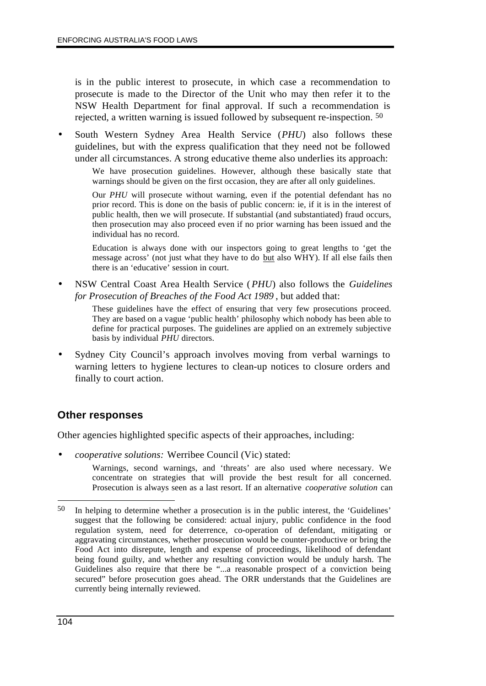is in the public interest to prosecute, in which case a recommendation to prosecute is made to the Director of the Unit who may then refer it to the NSW Health Department for final approval. If such a recommendation is rejected, a written warning is issued followed by subsequent re-inspection. 50

• South Western Sydney Area Health Service (*PHU*) also follows these guidelines, but with the express qualification that they need not be followed under all circumstances. A strong educative theme also underlies its approach:

We have prosecution guidelines. However, although these basically state that warnings should be given on the first occasion, they are after all only guidelines.

Our *PHU* will prosecute without warning, even if the potential defendant has no prior record. This is done on the basis of public concern: ie, if it is in the interest of public health, then we will prosecute. If substantial (and substantiated) fraud occurs, then prosecution may also proceed even if no prior warning has been issued and the individual has no record.

Education is always done with our inspectors going to great lengths to 'get the message across' (not just what they have to do but also WHY). If all else fails then there is an 'educative' session in court.

• NSW Central Coast Area Health Service (*PHU*) also follows the *Guidelines for Prosecution of Breaches of the Food Act 1989* , but added that:

> These guidelines have the effect of ensuring that very few prosecutions proceed. They are based on a vague 'public health' philosophy which nobody has been able to define for practical purposes. The guidelines are applied on an extremely subjective basis by individual *PHU* directors.

• Sydney City Council's approach involves moving from verbal warnings to warning letters to hygiene lectures to clean-up notices to closure orders and finally to court action.

### **Other responses**

Other agencies highlighted specific aspects of their approaches, including:

• *cooperative solutions:* Werribee Council (Vic) stated:

Warnings, second warnings, and 'threats' are also used where necessary. We concentrate on strategies that will provide the best result for all concerned. Prosecution is always seen as a last resort. If an alternative *cooperative solution* can

 $\overline{a}$ 50 In helping to determine whether a prosecution is in the public interest, the 'Guidelines' suggest that the following be considered: actual injury, public confidence in the food regulation system, need for deterrence, co-operation of defendant, mitigating or aggravating circumstances, whether prosecution would be counter-productive or bring the Food Act into disrepute, length and expense of proceedings, likelihood of defendant being found guilty, and whether any resulting conviction would be unduly harsh. The Guidelines also require that there be "...a reasonable prospect of a conviction being secured" before prosecution goes ahead. The ORR understands that the Guidelines are currently being internally reviewed.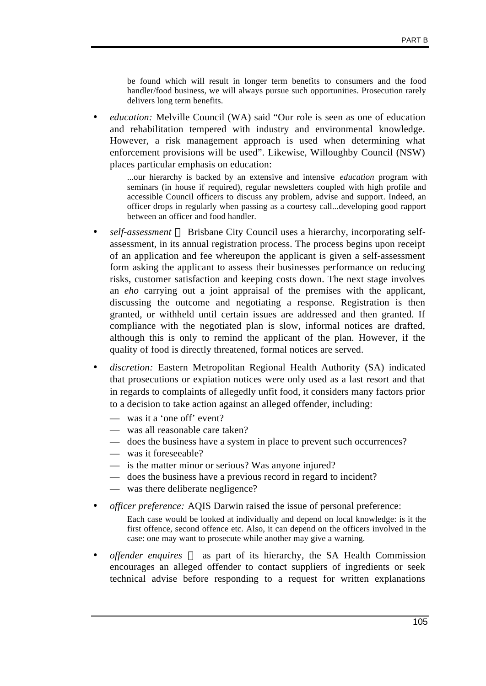be found which will result in longer term benefits to consumers and the food handler/food business, we will always pursue such opportunities. Prosecution rarely delivers long term benefits.

• *education:* Melville Council (WA) said "Our role is seen as one of education and rehabilitation tempered with industry and environmental knowledge. However, a risk management approach is used when determining what enforcement provisions will be used". Likewise, Willoughby Council (NSW) places particular emphasis on education:

...our hierarchy is backed by an extensive and intensive *education* program with seminars (in house if required), regular newsletters coupled with high profile and accessible Council officers to discuss any problem, advise and support. Indeed, an officer drops in regularly when passing as a courtesy call...developing good rapport between an officer and food handler.

- self-assessment Brisbane City Council uses a hierarchy, incorporating selfassessment, in its annual registration process. The process begins upon receipt of an application and fee whereupon the applicant is given a self-assessment form asking the applicant to assess their businesses performance on reducing risks, customer satisfaction and keeping costs down. The next stage involves an *eho* carrying out a joint appraisal of the premises with the applicant, discussing the outcome and negotiating a response. Registration is then granted, or withheld until certain issues are addressed and then granted. If compliance with the negotiated plan is slow, informal notices are drafted, although this is only to remind the applicant of the plan. However, if the quality of food is directly threatened, formal notices are served.
- *discretion:* Eastern Metropolitan Regional Health Authority (SA) indicated that prosecutions or expiation notices were only used as a last resort and that in regards to complaints of allegedly unfit food, it considers many factors prior to a decision to take action against an alleged offender, including:
	- was it a 'one off' event?
	- was all reasonable care taken?
	- does the business have a system in place to prevent such occurrences?
	- was it foreseeable?
	- is the matter minor or serious? Was anyone injured?
	- does the business have a previous record in regard to incident?
	- was there deliberate negligence?
- *officer preference:* AQIS Darwin raised the issue of personal preference: Each case would be looked at individually and depend on local knowledge: is it the first offence, second offence etc. Also, it can depend on the officers involved in the case: one may want to prosecute while another may give a warning.
- *offender enquires* as part of its hierarchy, the SA Health Commission encourages an alleged offender to contact suppliers of ingredients or seek technical advise before responding to a request for written explanations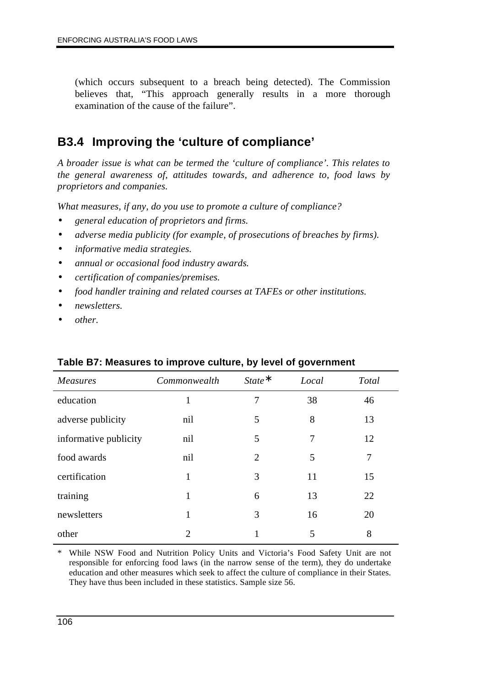(which occurs subsequent to a breach being detected). The Commission believes that, "This approach generally results in a more thorough examination of the cause of the failure".

# **B3.4 Improving the 'culture of compliance'**

*A broader issue is what can be termed the 'culture of compliance'. This relates to the general awareness of, attitudes towards, and adherence to, food laws by proprietors and companies.*

*What measures, if any, do you use to promote a culture of compliance?*

- *general education of proprietors and firms.*
- *adverse media publicity (for example, of prosecutions of breaches by firms).*
- *informative media strategies.*
- *annual or occasional food industry awards.*
- *certification of companies/premises.*
- *food handler training and related courses at TAFEs or other institutions.*
- *newsletters.*
- *other.*

| <b>Measures</b>       | Commonwealth | $State^*$      | Local | Total |  |
|-----------------------|--------------|----------------|-------|-------|--|
| education             |              | 7              | 38    | 46    |  |
| adverse publicity     | nil          | 5              | 8     | 13    |  |
| informative publicity | nil          | 5              | 7     | 12    |  |
| food awards           | nil          | $\overline{2}$ | 5     | 7     |  |
| certification         | 1            | 3              | 11    | 15    |  |
| training              | 1            | 6              | 13    | 22    |  |
| newsletters           | 1            | 3              | 16    | 20    |  |
| other                 | 2            |                | 5     | 8     |  |

### **Table B7: Measures to improve culture, by level of government**

\* While NSW Food and Nutrition Policy Units and Victoria's Food Safety Unit are not responsible for enforcing food laws (in the narrow sense of the term), they do undertake education and other measures which seek to affect the culture of compliance in their States. They have thus been included in these statistics. Sample size 56.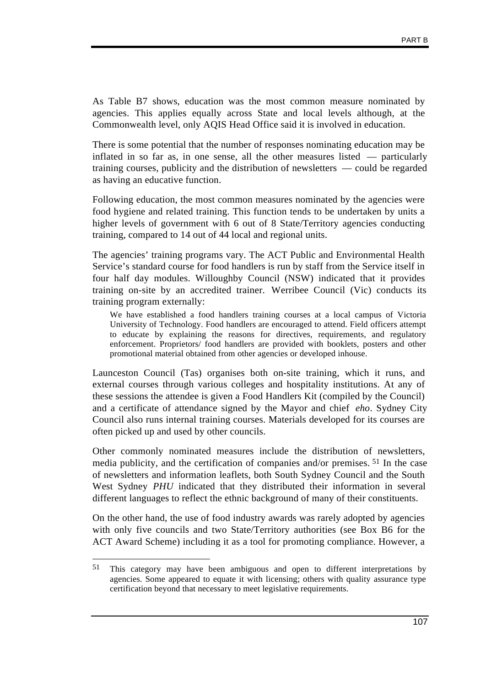As Table B7 shows, education was the most common measure nominated by agencies. This applies equally across State and local levels although, at the Commonwealth level, only AQIS Head Office said it is involved in education.

There is some potential that the number of responses nominating education may be inflated in so far as, in one sense, all the other measures listed — particularly training courses, publicity and the distribution of newsletters — could be regarded as having an educative function.

Following education, the most common measures nominated by the agencies were food hygiene and related training. This function tends to be undertaken by units a higher levels of government with 6 out of 8 State/Territory agencies conducting training, compared to 14 out of 44 local and regional units.

The agencies' training programs vary. The ACT Public and Environmental Health Service's standard course for food handlers is run by staff from the Service itself in four half day modules. Willoughby Council (NSW) indicated that it provides training on-site by an accredited trainer. Werribee Council (Vic) conducts its training program externally:

We have established a food handlers training courses at a local campus of Victoria University of Technology. Food handlers are encouraged to attend. Field officers attempt to educate by explaining the reasons for directives, requirements, and regulatory enforcement. Proprietors/ food handlers are provided with booklets, posters and other promotional material obtained from other agencies or developed inhouse.

Launceston Council (Tas) organises both on-site training, which it runs, and external courses through various colleges and hospitality institutions. At any of these sessions the attendee is given a Food Handlers Kit (compiled by the Council) and a certificate of attendance signed by the Mayor and chief *eho*. Sydney City Council also runs internal training courses. Materials developed for its courses are often picked up and used by other councils.

Other commonly nominated measures include the distribution of newsletters, media publicity, and the certification of companies and/or premises. 51 In the case of newsletters and information leaflets, both South Sydney Council and the South West Sydney *PHU* indicated that they distributed their information in several different languages to reflect the ethnic background of many of their constituents.

On the other hand, the use of food industry awards was rarely adopted by agencies with only five councils and two State/Territory authorities (see Box B6 for the ACT Award Scheme) including it as a tool for promoting compliance. However, a

<sup>51</sup> 51 This category may have been ambiguous and open to different interpretations by agencies. Some appeared to equate it with licensing; others with quality assurance type certification beyond that necessary to meet legislative requirements.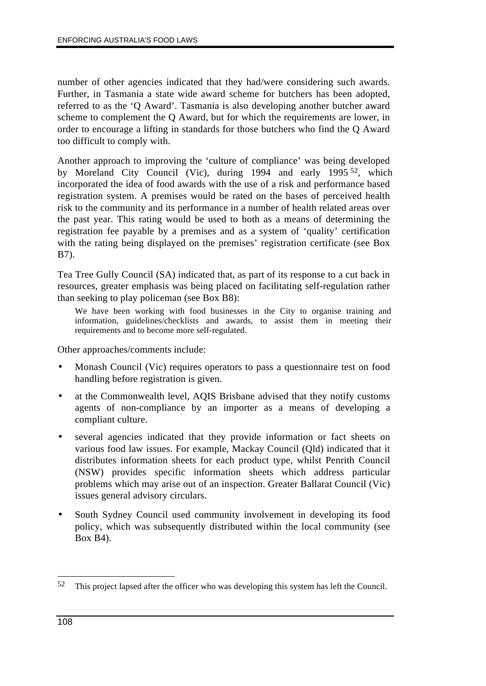number of other agencies indicated that they had/were considering such awards. Further, in Tasmania a state wide award scheme for butchers has been adopted, referred to as the 'Q Award'. Tasmania is also developing another butcher award scheme to complement the Q Award, but for which the requirements are lower, in order to encourage a lifting in standards for those butchers who find the Q Award too difficult to comply with.

Another approach to improving the 'culture of compliance' was being developed by Moreland City Council (Vic), during 1994 and early 1995 52, which incorporated the idea of food awards with the use of a risk and performance based registration system. A premises would be rated on the bases of perceived health risk to the community and its performance in a number of health related areas over the past year. This rating would be used to both as a means of determining the registration fee payable by a premises and as a system of 'quality' certification with the rating being displayed on the premises' registration certificate (see Box B7).

Tea Tree Gully Council (SA) indicated that, as part of its response to a cut back in resources, greater emphasis was being placed on facilitating self-regulation rather than seeking to play policeman (see Box B8):

We have been working with food businesses in the City to organise training and information, guidelines/checklists and awards, to assist them in meeting their requirements and to become more self-regulated.

Other approaches/comments include:

- Monash Council (Vic) requires operators to pass a questionnaire test on food handling before registration is given.
- at the Commonwealth level, AQIS Brisbane advised that they notify customs agents of non-compliance by an importer as a means of developing a compliant culture.
- several agencies indicated that they provide information or fact sheets on various food law issues. For example, Mackay Council (Qld) indicated that it distributes information sheets for each product type, whilst Penrith Council (NSW) provides specific information sheets which address particular problems which may arise out of an inspection. Greater Ballarat Council (Vic) issues general advisory circulars.
- South Sydney Council used community involvement in developing its food policy, which was subsequently distributed within the local community (see Box B4).

 $\overline{a}$ 52 This project lapsed after the officer who was developing this system has left the Council.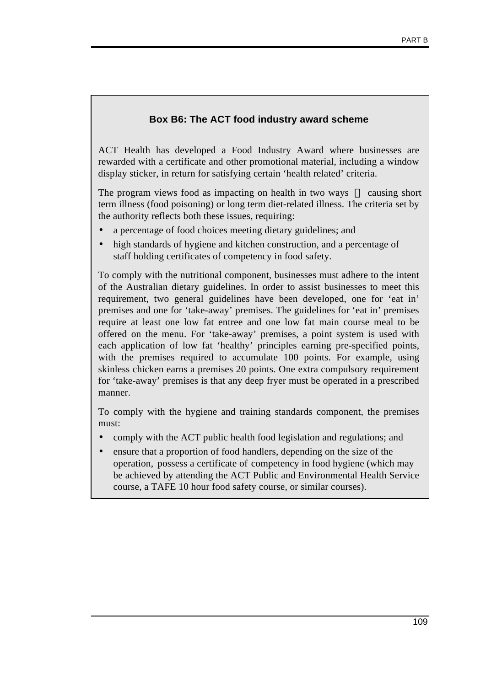### **Box B6: The ACT food industry award scheme**

ACT Health has developed a Food Industry Award where businesses are rewarded with a certificate and other promotional material, including a window display sticker, in return for satisfying certain 'health related' criteria.

The program views food as impacting on health in two ways — causing short term illness (food poisoning) or long term diet-related illness. The criteria set by the authority reflects both these issues, requiring:

- a percentage of food choices meeting dietary guidelines; and
- high standards of hygiene and kitchen construction, and a percentage of staff holding certificates of competency in food safety.

To comply with the nutritional component, businesses must adhere to the intent of the Australian dietary guidelines. In order to assist businesses to meet this requirement, two general guidelines have been developed, one for 'eat in' premises and one for 'take-away' premises. The guidelines for 'eat in' premises require at least one low fat entree and one low fat main course meal to be offered on the menu. For 'take-away' premises, a point system is used with each application of low fat 'healthy' principles earning pre-specified points, with the premises required to accumulate 100 points. For example, using skinless chicken earns a premises 20 points. One extra compulsory requirement for 'take-away' premises is that any deep fryer must be operated in a prescribed manner.

To comply with the hygiene and training standards component, the premises must:

- comply with the ACT public health food legislation and regulations; and
- ensure that a proportion of food handlers, depending on the size of the operation, possess a certificate of competency in food hygiene (which may be achieved by attending the ACT Public and Environmental Health Service course, a TAFE 10 hour food safety course, or similar courses).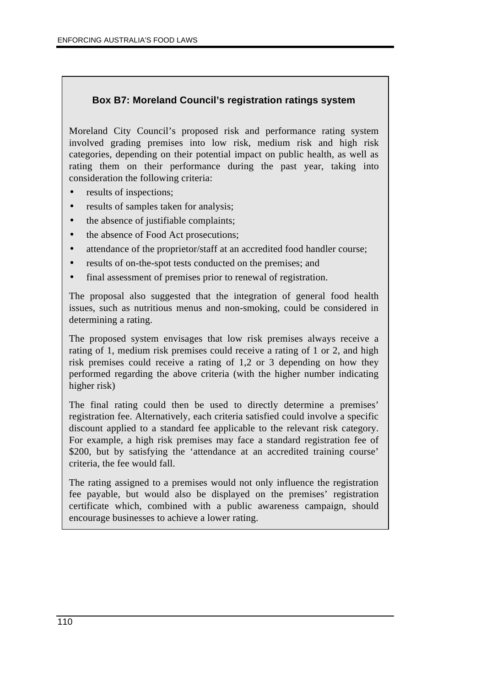### **Box B7: Moreland Council's registration ratings system**

Moreland City Council's proposed risk and performance rating system involved grading premises into low risk, medium risk and high risk categories, depending on their potential impact on public health, as well as rating them on their performance during the past year, taking into consideration the following criteria:

- results of inspections;
- results of samples taken for analysis;
- the absence of justifiable complaints;
- the absence of Food Act prosecutions;
- attendance of the proprietor/staff at an accredited food handler course;
- results of on-the-spot tests conducted on the premises; and
- final assessment of premises prior to renewal of registration.

The proposal also suggested that the integration of general food health issues, such as nutritious menus and non-smoking, could be considered in determining a rating.

The proposed system envisages that low risk premises always receive a rating of 1, medium risk premises could receive a rating of 1 or 2, and high risk premises could receive a rating of 1,2 or 3 depending on how they performed regarding the above criteria (with the higher number indicating higher risk)

The final rating could then be used to directly determine a premises' registration fee. Alternatively, each criteria satisfied could involve a specific discount applied to a standard fee applicable to the relevant risk category. For example, a high risk premises may face a standard registration fee of \$200, but by satisfying the 'attendance at an accredited training course' criteria, the fee would fall.

The rating assigned to a premises would not only influence the registration fee payable, but would also be displayed on the premises' registration certificate which, combined with a public awareness campaign, should encourage businesses to achieve a lower rating.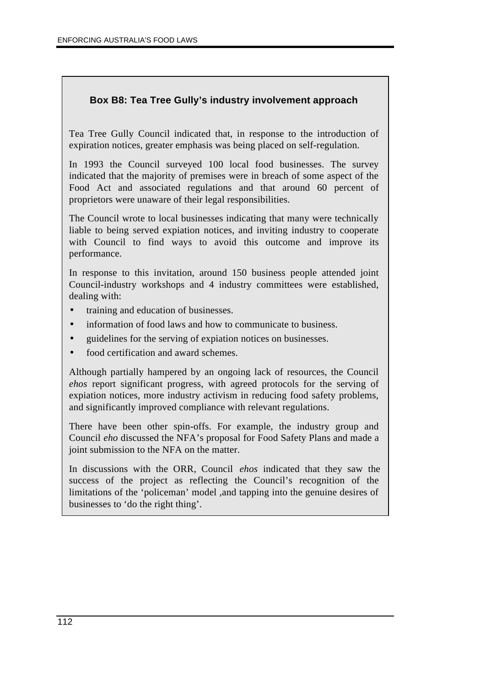### **Box B8: Tea Tree Gully's industry involvement approach**

Tea Tree Gully Council indicated that, in response to the introduction of expiration notices, greater emphasis was being placed on self-regulation.

In 1993 the Council surveyed 100 local food businesses. The survey indicated that the majority of premises were in breach of some aspect of the Food Act and associated regulations and that around 60 percent of proprietors were unaware of their legal responsibilities.

The Council wrote to local businesses indicating that many were technically liable to being served expiation notices, and inviting industry to cooperate with Council to find ways to avoid this outcome and improve its performance.

In response to this invitation, around 150 business people attended joint Council-industry workshops and 4 industry committees were established, dealing with:

- training and education of businesses.
- information of food laws and how to communicate to business.
- guidelines for the serving of expiation notices on businesses.
- food certification and award schemes.

Although partially hampered by an ongoing lack of resources, the Council *ehos* report significant progress, with agreed protocols for the serving of expiation notices, more industry activism in reducing food safety problems, and significantly improved compliance with relevant regulations.

There have been other spin-offs. For example, the industry group and Council *eho* discussed the NFA's proposal for Food Safety Plans and made a joint submission to the NFA on the matter.

In discussions with the ORR, Council *ehos* indicated that they saw the success of the project as reflecting the Council's recognition of the limitations of the 'policeman' model ,and tapping into the genuine desires of businesses to 'do the right thing'.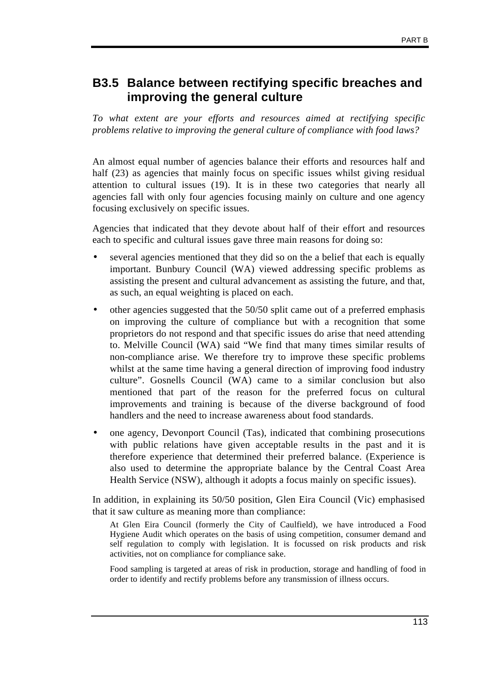# **B3.5 Balance between rectifying specific breaches and improving the general culture**

*To what extent are your efforts and resources aimed at rectifying specific problems relative to improving the general culture of compliance with food laws?*

An almost equal number of agencies balance their efforts and resources half and half (23) as agencies that mainly focus on specific issues whilst giving residual attention to cultural issues (19). It is in these two categories that nearly all agencies fall with only four agencies focusing mainly on culture and one agency focusing exclusively on specific issues.

Agencies that indicated that they devote about half of their effort and resources each to specific and cultural issues gave three main reasons for doing so:

- several agencies mentioned that they did so on the a belief that each is equally important. Bunbury Council (WA) viewed addressing specific problems as assisting the present and cultural advancement as assisting the future, and that, as such, an equal weighting is placed on each.
- other agencies suggested that the 50/50 split came out of a preferred emphasis on improving the culture of compliance but with a recognition that some proprietors do not respond and that specific issues do arise that need attending to. Melville Council (WA) said "We find that many times similar results of non-compliance arise. We therefore try to improve these specific problems whilst at the same time having a general direction of improving food industry culture". Gosnells Council (WA) came to a similar conclusion but also mentioned that part of the reason for the preferred focus on cultural improvements and training is because of the diverse background of food handlers and the need to increase awareness about food standards.
- one agency, Devonport Council (Tas), indicated that combining prosecutions with public relations have given acceptable results in the past and it is therefore experience that determined their preferred balance. (Experience is also used to determine the appropriate balance by the Central Coast Area Health Service (NSW), although it adopts a focus mainly on specific issues).

In addition, in explaining its 50/50 position, Glen Eira Council (Vic) emphasised that it saw culture as meaning more than compliance:

At Glen Eira Council (formerly the City of Caulfield), we have introduced a Food Hygiene Audit which operates on the basis of using competition, consumer demand and self regulation to comply with legislation. It is focussed on risk products and risk activities, not on compliance for compliance sake.

Food sampling is targeted at areas of risk in production, storage and handling of food in order to identify and rectify problems before any transmission of illness occurs.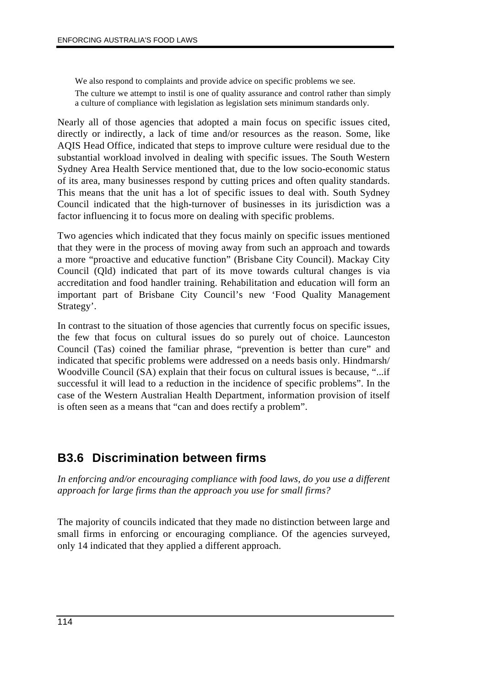We also respond to complaints and provide advice on specific problems we see. The culture we attempt to instil is one of quality assurance and control rather than simply a culture of compliance with legislation as legislation sets minimum standards only.

Nearly all of those agencies that adopted a main focus on specific issues cited, directly or indirectly, a lack of time and/or resources as the reason. Some, like AQIS Head Office, indicated that steps to improve culture were residual due to the substantial workload involved in dealing with specific issues. The South Western Sydney Area Health Service mentioned that, due to the low socio-economic status of its area, many businesses respond by cutting prices and often quality standards. This means that the unit has a lot of specific issues to deal with. South Sydney Council indicated that the high-turnover of businesses in its jurisdiction was a factor influencing it to focus more on dealing with specific problems.

Two agencies which indicated that they focus mainly on specific issues mentioned that they were in the process of moving away from such an approach and towards a more "proactive and educative function" (Brisbane City Council). Mackay City Council (Qld) indicated that part of its move towards cultural changes is via accreditation and food handler training. Rehabilitation and education will form an important part of Brisbane City Council's new 'Food Quality Management Strategy'.

In contrast to the situation of those agencies that currently focus on specific issues, the few that focus on cultural issues do so purely out of choice. Launceston Council (Tas) coined the familiar phrase, "prevention is better than cure" and indicated that specific problems were addressed on a needs basis only. Hindmarsh/ Woodville Council (SA) explain that their focus on cultural issues is because, "...if successful it will lead to a reduction in the incidence of specific problems". In the case of the Western Australian Health Department, information provision of itself is often seen as a means that "can and does rectify a problem".

# **B3.6 Discrimination between firms**

*In enforcing and/or encouraging compliance with food laws, do you use a different approach for large firms than the approach you use for small firms?*

The majority of councils indicated that they made no distinction between large and small firms in enforcing or encouraging compliance. Of the agencies surveyed, only 14 indicated that they applied a different approach.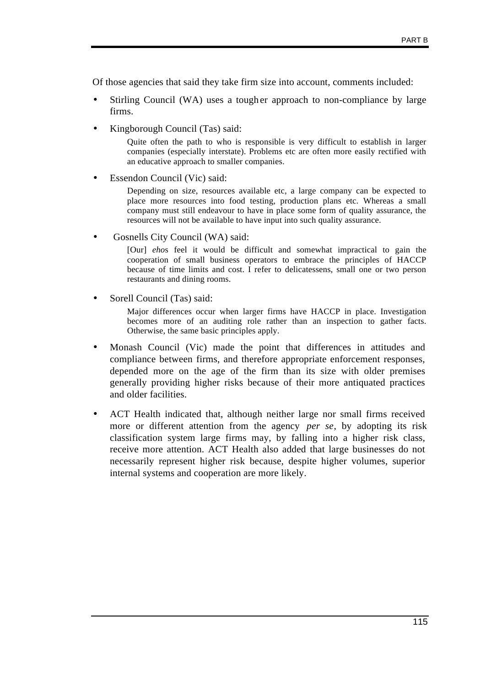Of those agencies that said they take firm size into account, comments included:

- Stirling Council (WA) uses a tougher approach to non-compliance by large firms.
- Kingborough Council (Tas) said:

Quite often the path to who is responsible is very difficult to establish in larger companies (especially interstate). Problems etc are often more easily rectified with an educative approach to smaller companies.

Essendon Council (Vic) said:

Depending on size, resources available etc, a large company can be expected to place more resources into food testing, production plans etc. Whereas a small company must still endeavour to have in place some form of quality assurance, the resources will not be available to have input into such quality assurance.

• Gosnells City Council (WA) said:

[Our] *eho*s feel it would be difficult and somewhat impractical to gain the cooperation of small business operators to embrace the principles of HACCP because of time limits and cost. I refer to delicatessens, small one or two person restaurants and dining rooms.

Sorell Council (Tas) said:

Major differences occur when larger firms have HACCP in place. Investigation becomes more of an auditing role rather than an inspection to gather facts. Otherwise, the same basic principles apply.

- Monash Council (Vic) made the point that differences in attitudes and compliance between firms, and therefore appropriate enforcement responses, depended more on the age of the firm than its size with older premises generally providing higher risks because of their more antiquated practices and older facilities.
- ACT Health indicated that, although neither large nor small firms received more or different attention from the agency *per se*, by adopting its risk classification system large firms may, by falling into a higher risk class, receive more attention. ACT Health also added that large businesses do not necessarily represent higher risk because, despite higher volumes, superior internal systems and cooperation are more likely.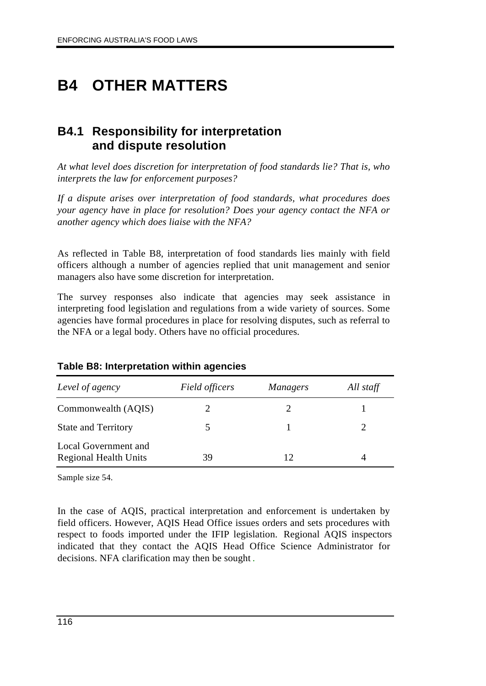# **B4 OTHER MATTERS**

# **B4.1 Responsibility for interpretation and dispute resolution**

*At what level does discretion for interpretation of food standards lie? That is, who interprets the law for enforcement purposes?*

*If a dispute arises over interpretation of food standards, what procedures does your agency have in place for resolution? Does your agency contact the NFA or another agency which does liaise with the NFA?*

As reflected in Table B8, interpretation of food standards lies mainly with field officers although a number of agencies replied that unit management and senior managers also have some discretion for interpretation.

The survey responses also indicate that agencies may seek assistance in interpreting food legislation and regulations from a wide variety of sources. Some agencies have formal procedures in place for resolving disputes, such as referral to the NFA or a legal body. Others have no official procedures.

| Level of agency                                      | Field officers | <i>Managers</i> | All staff |
|------------------------------------------------------|----------------|-----------------|-----------|
| Commonwealth (AQIS)                                  |                |                 |           |
| <b>State and Territory</b>                           |                |                 |           |
| Local Government and<br><b>Regional Health Units</b> | 39             | 12              |           |

### **Table B8: Interpretation within agencies**

Sample size 54.

In the case of AQIS, practical interpretation and enforcement is undertaken by field officers. However, AQIS Head Office issues orders and sets procedures with respect to foods imported under the IFIP legislation. Regional AQIS inspectors indicated that they contact the AQIS Head Office Science Administrator for decisions. NFA clarification may then be sought .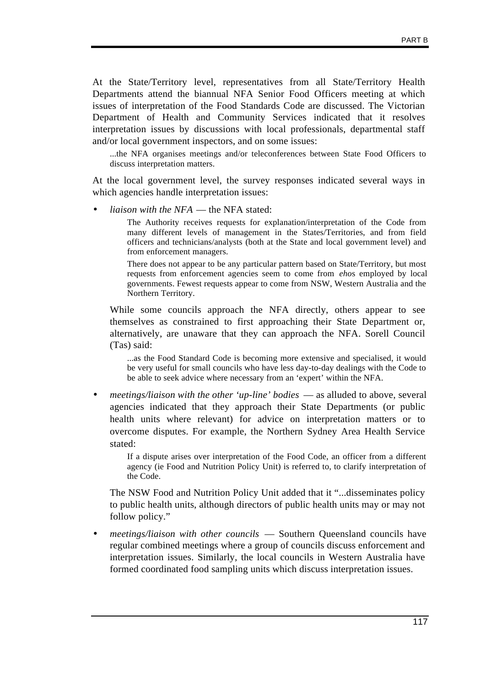At the State/Territory level, representatives from all State/Territory Health Departments attend the biannual NFA Senior Food Officers meeting at which issues of interpretation of the Food Standards Code are discussed. The Victorian Department of Health and Community Services indicated that it resolves interpretation issues by discussions with local professionals, departmental staff and/or local government inspectors, and on some issues:

...the NFA organises meetings and/or teleconferences between State Food Officers to discuss interpretation matters.

At the local government level, the survey responses indicated several ways in which agencies handle interpretation issues:

• *liaison with the NFA* — the NFA stated:

The Authority receives requests for explanation/interpretation of the Code from many different levels of management in the States/Territories, and from field officers and technicians/analysts (both at the State and local government level) and from enforcement managers.

There does not appear to be any particular pattern based on State/Territory, but most requests from enforcement agencies seem to come from *eho*s employed by local governments. Fewest requests appear to come from NSW, Western Australia and the Northern Territory.

While some councils approach the NFA directly, others appear to see themselves as constrained to first approaching their State Department or, alternatively, are unaware that they can approach the NFA. Sorell Council (Tas) said:

...as the Food Standard Code is becoming more extensive and specialised, it would be very useful for small councils who have less day-to-day dealings with the Code to be able to seek advice where necessary from an 'expert' within the NFA.

• *meetings/liaison with the other 'up-line' bodies* — as alluded to above, several agencies indicated that they approach their State Departments (or public health units where relevant) for advice on interpretation matters or to overcome disputes. For example, the Northern Sydney Area Health Service stated:

If a dispute arises over interpretation of the Food Code, an officer from a different agency (ie Food and Nutrition Policy Unit) is referred to, to clarify interpretation of the Code.

The NSW Food and Nutrition Policy Unit added that it "...disseminates policy to public health units, although directors of public health units may or may not follow policy."

• *meetings/liaison with other councils* — Southern Queensland councils have regular combined meetings where a group of councils discuss enforcement and interpretation issues. Similarly, the local councils in Western Australia have formed coordinated food sampling units which discuss interpretation issues.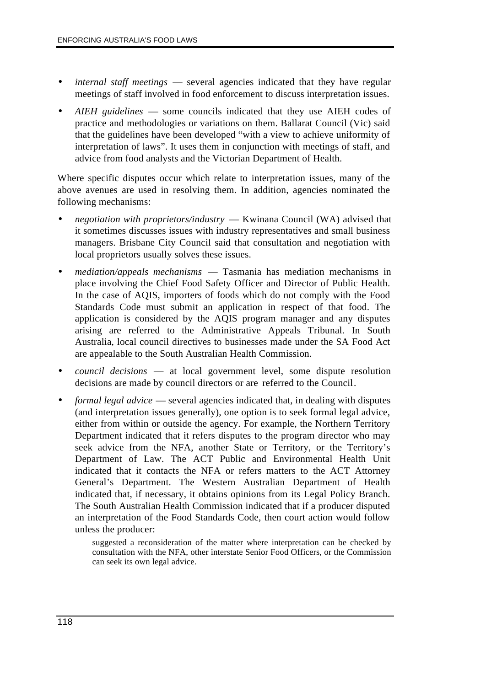- *internal staff meetings* several agencies indicated that they have regular meetings of staff involved in food enforcement to discuss interpretation issues.
- *AIEH guidelines* some councils indicated that they use AIEH codes of practice and methodologies or variations on them. Ballarat Council (Vic) said that the guidelines have been developed "with a view to achieve uniformity of interpretation of laws". It uses them in conjunction with meetings of staff, and advice from food analysts and the Victorian Department of Health.

Where specific disputes occur which relate to interpretation issues, many of the above avenues are used in resolving them. In addition, agencies nominated the following mechanisms:

- *negotiation with proprietors/industry* Kwinana Council (WA) advised that it sometimes discusses issues with industry representatives and small business managers. Brisbane City Council said that consultation and negotiation with local proprietors usually solves these issues.
- *mediation/appeals mechanisms* Tasmania has mediation mechanisms in place involving the Chief Food Safety Officer and Director of Public Health. In the case of AQIS, importers of foods which do not comply with the Food Standards Code must submit an application in respect of that food. The application is considered by the AQIS program manager and any disputes arising are referred to the Administrative Appeals Tribunal. In South Australia, local council directives to businesses made under the SA Food Act are appealable to the South Australian Health Commission.
- *council decisions* at local government level, some dispute resolution decisions are made by council directors or are referred to the Council.
- *formal legal advice* several agencies indicated that, in dealing with disputes (and interpretation issues generally), one option is to seek formal legal advice, either from within or outside the agency. For example, the Northern Territory Department indicated that it refers disputes to the program director who may seek advice from the NFA, another State or Territory, or the Territory's Department of Law. The ACT Public and Environmental Health Unit indicated that it contacts the NFA or refers matters to the ACT Attorney General's Department. The Western Australian Department of Health indicated that, if necessary, it obtains opinions from its Legal Policy Branch. The South Australian Health Commission indicated that if a producer disputed an interpretation of the Food Standards Code, then court action would follow unless the producer:

suggested a reconsideration of the matter where interpretation can be checked by consultation with the NFA, other interstate Senior Food Officers, or the Commission can seek its own legal advice.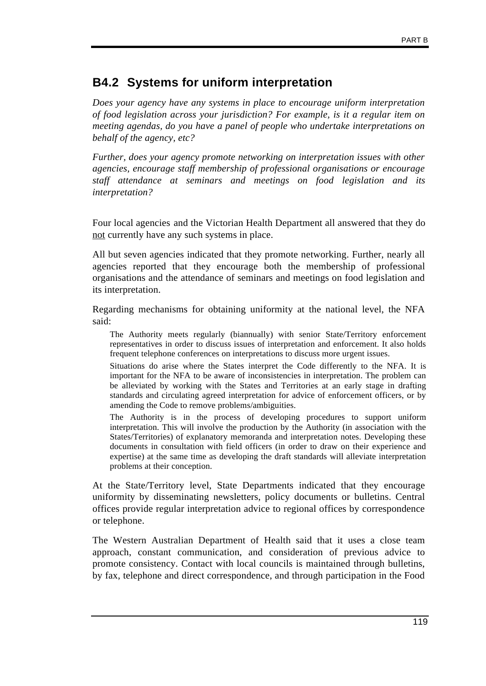# **B4.2 Systems for uniform interpretation**

*Does your agency have any systems in place to encourage uniform interpretation of food legislation across your jurisdiction? For example, is it a regular item on meeting agendas, do you have a panel of people who undertake interpretations on behalf of the agency, etc?*

*Further, does your agency promote networking on interpretation issues with other agencies, encourage staff membership of professional organisations or encourage staff attendance at seminars and meetings on food legislation and its interpretation?*

Four local agencies and the Victorian Health Department all answered that they do not currently have any such systems in place.

All but seven agencies indicated that they promote networking. Further, nearly all agencies reported that they encourage both the membership of professional organisations and the attendance of seminars and meetings on food legislation and its interpretation.

Regarding mechanisms for obtaining uniformity at the national level, the NFA said:

The Authority meets regularly (biannually) with senior State/Territory enforcement representatives in order to discuss issues of interpretation and enforcement. It also holds frequent telephone conferences on interpretations to discuss more urgent issues.

Situations do arise where the States interpret the Code differently to the NFA. It is important for the NFA to be aware of inconsistencies in interpretation. The problem can be alleviated by working with the States and Territories at an early stage in drafting standards and circulating agreed interpretation for advice of enforcement officers, or by amending the Code to remove problems/ambiguities.

The Authority is in the process of developing procedures to support uniform interpretation. This will involve the production by the Authority (in association with the States/Territories) of explanatory memoranda and interpretation notes. Developing these documents in consultation with field officers (in order to draw on their experience and expertise) at the same time as developing the draft standards will alleviate interpretation problems at their conception.

At the State/Territory level, State Departments indicated that they encourage uniformity by disseminating newsletters, policy documents or bulletins. Central offices provide regular interpretation advice to regional offices by correspondence or telephone.

The Western Australian Department of Health said that it uses a close team approach, constant communication, and consideration of previous advice to promote consistency. Contact with local councils is maintained through bulletins, by fax, telephone and direct correspondence, and through participation in the Food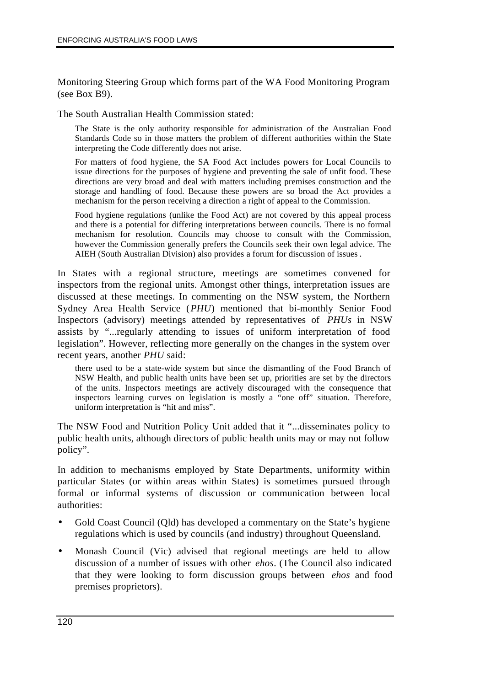Monitoring Steering Group which forms part of the WA Food Monitoring Program (see Box B9).

The South Australian Health Commission stated:

The State is the only authority responsible for administration of the Australian Food Standards Code so in those matters the problem of different authorities within the State interpreting the Code differently does not arise.

For matters of food hygiene, the SA Food Act includes powers for Local Councils to issue directions for the purposes of hygiene and preventing the sale of unfit food. These directions are very broad and deal with matters including premises construction and the storage and handling of food. Because these powers are so broad the Act provides a mechanism for the person receiving a direction a right of appeal to the Commission.

Food hygiene regulations (unlike the Food Act) are not covered by this appeal process and there is a potential for differing interpretations between councils. There is no formal mechanism for resolution. Councils may choose to consult with the Commission, however the Commission generally prefers the Councils seek their own legal advice. The AIEH (South Australian Division) also provides a forum for discussion of issues.

In States with a regional structure, meetings are sometimes convened for inspectors from the regional units. Amongst other things, interpretation issues are discussed at these meetings. In commenting on the NSW system, the Northern Sydney Area Health Service (*PHU*) mentioned that bi-monthly Senior Food Inspectors (advisory) meetings attended by representatives of *PHUs* in NSW assists by "...regularly attending to issues of uniform interpretation of food legislation". However, reflecting more generally on the changes in the system over recent years, another *PHU* said:

there used to be a state-wide system but since the dismantling of the Food Branch of NSW Health, and public health units have been set up, priorities are set by the directors of the units. Inspectors meetings are actively discouraged with the consequence that inspectors learning curves on legislation is mostly a "one off" situation. Therefore, uniform interpretation is "hit and miss".

The NSW Food and Nutrition Policy Unit added that it "...disseminates policy to public health units, although directors of public health units may or may not follow policy".

In addition to mechanisms employed by State Departments, uniformity within particular States (or within areas within States) is sometimes pursued through formal or informal systems of discussion or communication between local authorities:

- Gold Coast Council (Qld) has developed a commentary on the State's hygiene regulations which is used by councils (and industry) throughout Queensland.
- Monash Council (Vic) advised that regional meetings are held to allow discussion of a number of issues with other *ehos*. (The Council also indicated that they were looking to form discussion groups between *ehos* and food premises proprietors).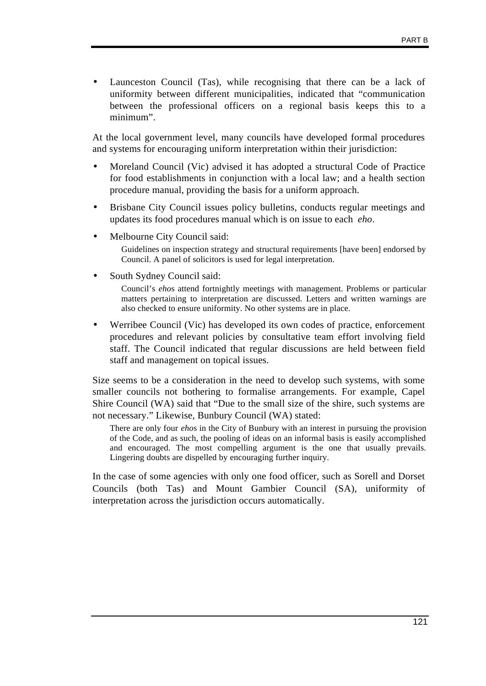Launceston Council (Tas), while recognising that there can be a lack of uniformity between different municipalities, indicated that "communication between the professional officers on a regional basis keeps this to a minimum".

At the local government level, many councils have developed formal procedures and systems for encouraging uniform interpretation within their jurisdiction:

- Moreland Council (Vic) advised it has adopted a structural Code of Practice for food establishments in conjunction with a local law; and a health section procedure manual, providing the basis for a uniform approach.
- Brisbane City Council issues policy bulletins, conducts regular meetings and updates its food procedures manual which is on issue to each *eho*.
- Melbourne City Council said:

Guidelines on inspection strategy and structural requirements [have been] endorsed by Council. A panel of solicitors is used for legal interpretation.

• South Sydney Council said:

Council's *eho*s attend fortnightly meetings with management. Problems or particular matters pertaining to interpretation are discussed. Letters and written warnings are also checked to ensure uniformity. No other systems are in place.

• Werribee Council (Vic) has developed its own codes of practice, enforcement procedures and relevant policies by consultative team effort involving field staff. The Council indicated that regular discussions are held between field staff and management on topical issues.

Size seems to be a consideration in the need to develop such systems, with some smaller councils not bothering to formalise arrangements. For example, Capel Shire Council (WA) said that "Due to the small size of the shire, such systems are not necessary." Likewise, Bunbury Council (WA) stated:

There are only four *eho*s in the City of Bunbury with an interest in pursuing the provision of the Code, and as such, the pooling of ideas on an informal basis is easily accomplished and encouraged. The most compelling argument is the one that usually prevails. Lingering doubts are dispelled by encouraging further inquiry.

In the case of some agencies with only one food officer, such as Sorell and Dorset Councils (both Tas) and Mount Gambier Council (SA), uniformity of interpretation across the jurisdiction occurs automatically.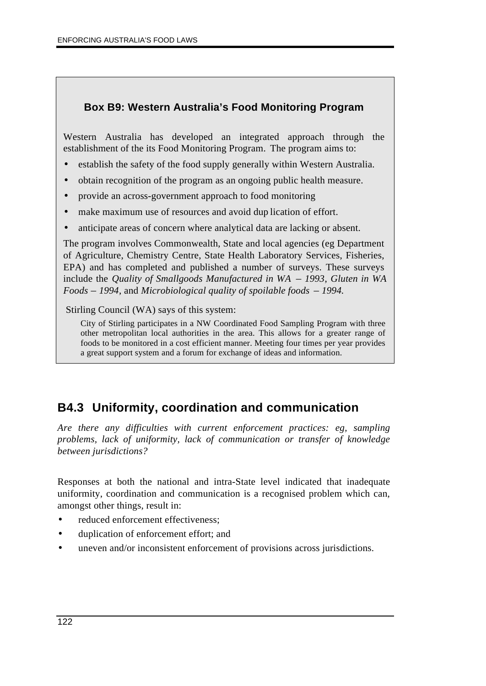### **Box B9: Western Australia's Food Monitoring Program**

Western Australia has developed an integrated approach through the establishment of the its Food Monitoring Program. The program aims to:

- establish the safety of the food supply generally within Western Australia.
- obtain recognition of the program as an ongoing public health measure.
- provide an across-government approach to food monitoring
- make maximum use of resources and avoid dup lication of effort.
- anticipate areas of concern where analytical data are lacking or absent.

The program involves Commonwealth, State and local agencies (eg Department of Agriculture, Chemistry Centre, State Health Laboratory Services, Fisheries, EPA) and has completed and published a number of surveys. These surveys include the *Quality of Smallgoods Manufactured in WA* – *1993*, *Gluten in WA Foods* – *1994*, and *Microbiological quality of spoilable foods* – *1994.*

Stirling Council (WA) says of this system:

City of Stirling participates in a NW Coordinated Food Sampling Program with three other metropolitan local authorities in the area. This allows for a greater range of foods to be monitored in a cost efficient manner. Meeting four times per year provides a great support system and a forum for exchange of ideas and information.

# **B4.3 Uniformity, coordination and communication**

*Are there any difficulties with current enforcement practices: eg, sampling problems, lack of uniformity, lack of communication or transfer of knowledge between jurisdictions?*

Responses at both the national and intra-State level indicated that inadequate uniformity, coordination and communication is a recognised problem which can, amongst other things, result in:

- reduced enforcement effectiveness;
- duplication of enforcement effort; and
- uneven and/or inconsistent enforcement of provisions across jurisdictions.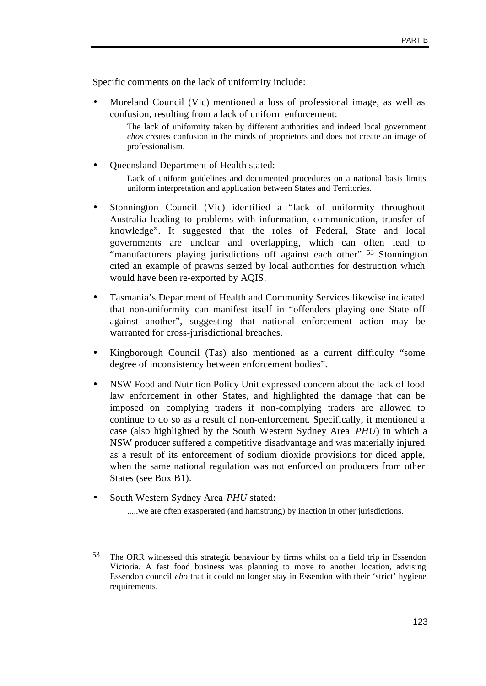Specific comments on the lack of uniformity include:

• Moreland Council (Vic) mentioned a loss of professional image, as well as confusion, resulting from a lack of uniform enforcement:

The lack of uniformity taken by different authorities and indeed local government *ehos* creates confusion in the minds of proprietors and does not create an image of professionalism.

- Queensland Department of Health stated: Lack of uniform guidelines and documented procedures on a national basis limits uniform interpretation and application between States and Territories.
- Stonnington Council (Vic) identified a "lack of uniformity throughout Australia leading to problems with information, communication, transfer of knowledge". It suggested that the roles of Federal, State and local governments are unclear and overlapping, which can often lead to "manufacturers playing jurisdictions off against each other". 53 Stonnington cited an example of prawns seized by local authorities for destruction which would have been re-exported by AQIS.
- Tasmania's Department of Health and Community Services likewise indicated that non-uniformity can manifest itself in "offenders playing one State off against another", suggesting that national enforcement action may be warranted for cross-jurisdictional breaches.
- Kingborough Council (Tas) also mentioned as a current difficulty "some degree of inconsistency between enforcement bodies".
- NSW Food and Nutrition Policy Unit expressed concern about the lack of food law enforcement in other States, and highlighted the damage that can be imposed on complying traders if non-complying traders are allowed to continue to do so as a result of non-enforcement. Specifically, it mentioned a case (also highlighted by the South Western Sydney Area *PHU*) in which a NSW producer suffered a competitive disadvantage and was materially injured as a result of its enforcement of sodium dioxide provisions for diced apple, when the same national regulation was not enforced on producers from other States (see Box B1).
- South Western Sydney Area *PHU* stated:

 $\overline{a}$ 

.....we are often exasperated (and hamstrung) by inaction in other jurisdictions.

<sup>53</sup> The ORR witnessed this strategic behaviour by firms whilst on a field trip in Essendon Victoria. A fast food business was planning to move to another location, advising Essendon council *eho* that it could no longer stay in Essendon with their 'strict' hygiene requirements.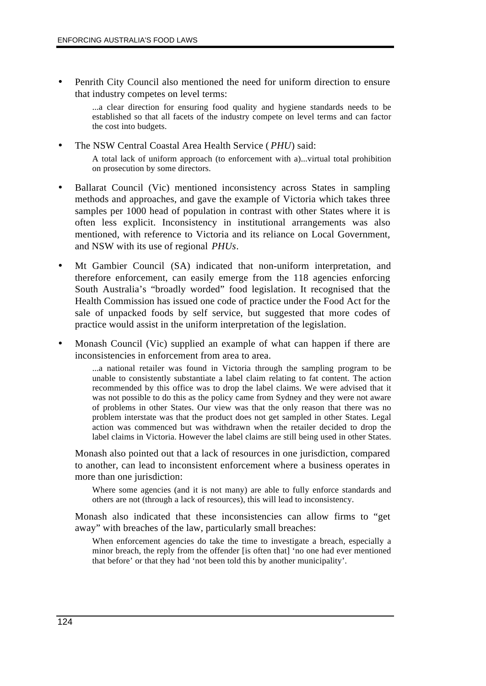• Penrith City Council also mentioned the need for uniform direction to ensure that industry competes on level terms:

> ...a clear direction for ensuring food quality and hygiene standards needs to be established so that all facets of the industry compete on level terms and can factor the cost into budgets.

- The NSW Central Coastal Area Health Service ( *PHU*) said: A total lack of uniform approach (to enforcement with a)...virtual total prohibition on prosecution by some directors.
- Ballarat Council (Vic) mentioned inconsistency across States in sampling methods and approaches, and gave the example of Victoria which takes three samples per 1000 head of population in contrast with other States where it is often less explicit. Inconsistency in institutional arrangements was also mentioned, with reference to Victoria and its reliance on Local Government, and NSW with its use of regional *PHUs*.
- Mt Gambier Council (SA) indicated that non-uniform interpretation, and therefore enforcement, can easily emerge from the 118 agencies enforcing South Australia's "broadly worded" food legislation. It recognised that the Health Commission has issued one code of practice under the Food Act for the sale of unpacked foods by self service, but suggested that more codes of practice would assist in the uniform interpretation of the legislation.
- Monash Council (Vic) supplied an example of what can happen if there are inconsistencies in enforcement from area to area.

...a national retailer was found in Victoria through the sampling program to be unable to consistently substantiate a label claim relating to fat content. The action recommended by this office was to drop the label claims. We were advised that it was not possible to do this as the policy came from Sydney and they were not aware of problems in other States. Our view was that the only reason that there was no problem interstate was that the product does not get sampled in other States. Legal action was commenced but was withdrawn when the retailer decided to drop the label claims in Victoria. However the label claims are still being used in other States.

Monash also pointed out that a lack of resources in one jurisdiction, compared to another, can lead to inconsistent enforcement where a business operates in more than one jurisdiction:

Where some agencies (and it is not many) are able to fully enforce standards and others are not (through a lack of resources), this will lead to inconsistency.

Monash also indicated that these inconsistencies can allow firms to "get away" with breaches of the law, particularly small breaches:

When enforcement agencies do take the time to investigate a breach, especially a minor breach, the reply from the offender [is often that] 'no one had ever mentioned that before' or that they had 'not been told this by another municipality'.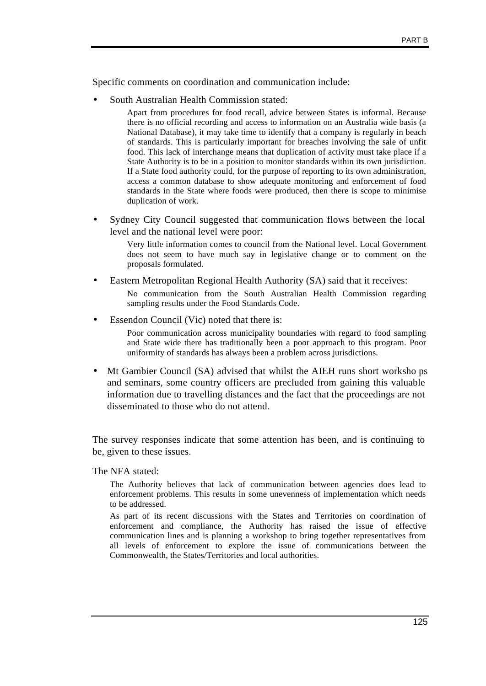Specific comments on coordination and communication include:

• South Australian Health Commission stated:

Apart from procedures for food recall, advice between States is informal. Because there is no official recording and access to information on an Australia wide basis (a National Database), it may take time to identify that a company is regularly in beach of standards. This is particularly important for breaches involving the sale of unfit food. This lack of interchange means that duplication of activity must take place if a State Authority is to be in a position to monitor standards within its own jurisdiction. If a State food authority could, for the purpose of reporting to its own administration, access a common database to show adequate monitoring and enforcement of food standards in the State where foods were produced, then there is scope to minimise duplication of work.

• Sydney City Council suggested that communication flows between the local level and the national level were poor:

> Very little information comes to council from the National level. Local Government does not seem to have much say in legislative change or to comment on the proposals formulated.

- Eastern Metropolitan Regional Health Authority (SA) said that it receives: No communication from the South Australian Health Commission regarding sampling results under the Food Standards Code.
- Essendon Council (Vic) noted that there is:

Poor communication across municipality boundaries with regard to food sampling and State wide there has traditionally been a poor approach to this program. Poor uniformity of standards has always been a problem across jurisdictions.

• Mt Gambier Council (SA) advised that whilst the AIEH runs short worksho ps and seminars, some country officers are precluded from gaining this valuable information due to travelling distances and the fact that the proceedings are not disseminated to those who do not attend.

The survey responses indicate that some attention has been, and is continuing to be, given to these issues.

The NFA stated:

The Authority believes that lack of communication between agencies does lead to enforcement problems. This results in some unevenness of implementation which needs to be addressed.

As part of its recent discussions with the States and Territories on coordination of enforcement and compliance, the Authority has raised the issue of effective communication lines and is planning a workshop to bring together representatives from all levels of enforcement to explore the issue of communications between the Commonwealth, the States/Territories and local authorities.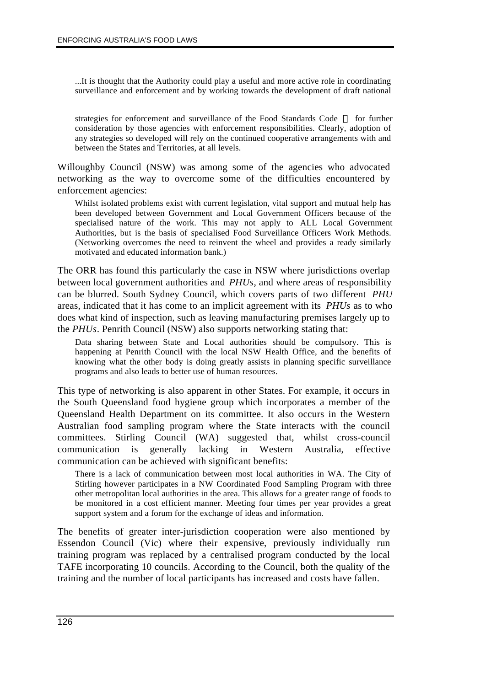...It is thought that the Authority could play a useful and more active role in coordinating surveillance and enforcement and by working towards the development of draft national

strategies for enforcement and surveillance of the Food Standards Code — for further consideration by those agencies with enforcement responsibilities. Clearly, adoption of any strategies so developed will rely on the continued cooperative arrangements with and between the States and Territories, at all levels.

Willoughby Council (NSW) was among some of the agencies who advocated networking as the way to overcome some of the difficulties encountered by enforcement agencies:

Whilst isolated problems exist with current legislation, vital support and mutual help has been developed between Government and Local Government Officers because of the specialised nature of the work. This may not apply to ALL Local Government Authorities, but is the basis of specialised Food Surveillance Officers Work Methods. (Networking overcomes the need to reinvent the wheel and provides a ready similarly motivated and educated information bank.)

The ORR has found this particularly the case in NSW where jurisdictions overlap between local government authorities and *PHUs*, and where areas of responsibility can be blurred. South Sydney Council, which covers parts of two different *PHU* areas, indicated that it has come to an implicit agreement with its *PHUs* as to who does what kind of inspection, such as leaving manufacturing premises largely up to the *PHUs*. Penrith Council (NSW) also supports networking stating that:

Data sharing between State and Local authorities should be compulsory. This is happening at Penrith Council with the local NSW Health Office, and the benefits of knowing what the other body is doing greatly assists in planning specific surveillance programs and also leads to better use of human resources.

This type of networking is also apparent in other States. For example, it occurs in the South Queensland food hygiene group which incorporates a member of the Queensland Health Department on its committee. It also occurs in the Western Australian food sampling program where the State interacts with the council committees. Stirling Council (WA) suggested that, whilst cross-council communication is generally lacking in Western Australia, effective communication can be achieved with significant benefits:

There is a lack of communication between most local authorities in WA. The City of Stirling however participates in a NW Coordinated Food Sampling Program with three other metropolitan local authorities in the area. This allows for a greater range of foods to be monitored in a cost efficient manner. Meeting four times per year provides a great support system and a forum for the exchange of ideas and information.

The benefits of greater inter-jurisdiction cooperation were also mentioned by Essendon Council (Vic) where their expensive, previously individually run training program was replaced by a centralised program conducted by the local TAFE incorporating 10 councils. According to the Council, both the quality of the training and the number of local participants has increased and costs have fallen.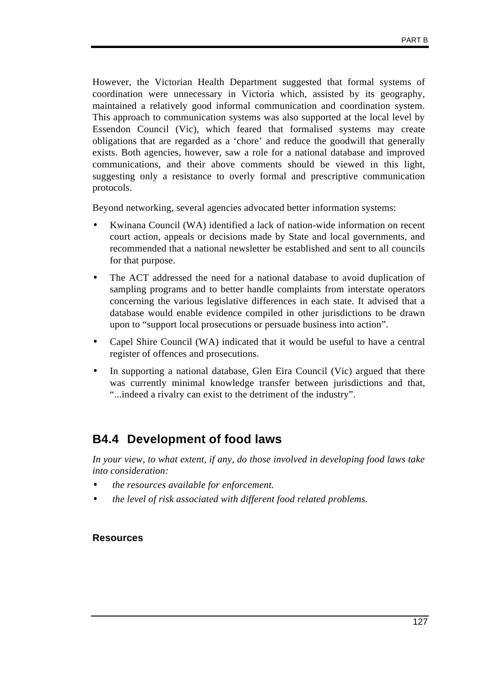However, the Victorian Health Department suggested that formal systems of coordination were unnecessary in Victoria which, assisted by its geography, maintained a relatively good informal communication and coordination system. This approach to communication systems was also supported at the local level by Essendon Council (Vic), which feared that formalised systems may create obligations that are regarded as a 'chore' and reduce the goodwill that generally exists. Both agencies, however, saw a role for a national database and improved communications, and their above comments should be viewed in this light, suggesting only a resistance to overly formal and prescriptive communication protocols.

Beyond networking, several agencies advocated better information systems:

- Kwinana Council (WA) identified a lack of nation-wide information on recent court action, appeals or decisions made by State and local governments, and recommended that a national newsletter be established and sent to all councils for that purpose.
- The ACT addressed the need for a national database to avoid duplication of sampling programs and to better handle complaints from interstate operators concerning the various legislative differences in each state. It advised that a database would enable evidence compiled in other jurisdictions to be drawn upon to "support local prosecutions or persuade business into action".
- Capel Shire Council (WA) indicated that it would be useful to have a central register of offences and prosecutions.
- In supporting a national database, Glen Eira Council (Vic) argued that there was currently minimal knowledge transfer between jurisdictions and that, "...indeed a rivalry can exist to the detriment of the industry".

### **B4.4 Development of food laws**

*In your view, to what extent, if any, do those involved in developing food laws take into consideration:*

- • *the resources available for enforcement.*
- • *the level of risk associated with different food related problems.*

### **Resources**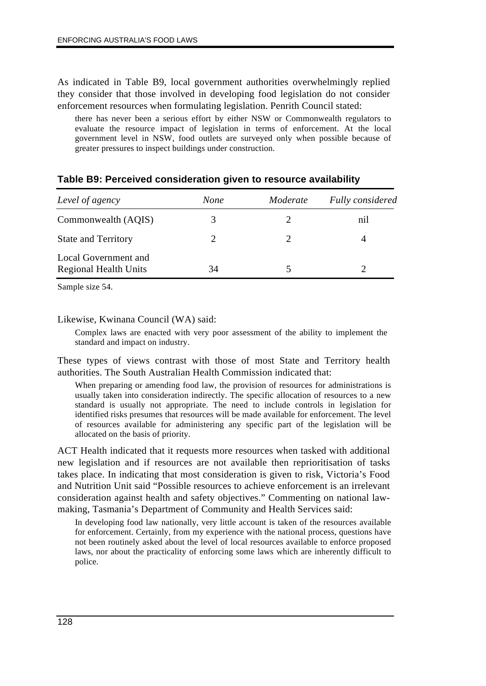As indicated in Table B9, local government authorities overwhelmingly replied they consider that those involved in developing food legislation do not consider enforcement resources when formulating legislation. Penrith Council stated:

there has never been a serious effort by either NSW or Commonwealth regulators to evaluate the resource impact of legislation in terms of enforcement. At the local government level in NSW, food outlets are surveyed only when possible because of greater pressures to inspect buildings under construction.

| Level of agency                                      | <b>None</b> | Moderate | Fully considered |
|------------------------------------------------------|-------------|----------|------------------|
| Commonwealth (AQIS)                                  | 3           |          | nil              |
| <b>State and Territory</b>                           |             |          |                  |
| Local Government and<br><b>Regional Health Units</b> | 34          |          |                  |

### **Table B9: Perceived consideration given to resource availability**

Sample size 54.

#### Likewise, Kwinana Council (WA) said:

Complex laws are enacted with very poor assessment of the ability to implement the standard and impact on industry.

These types of views contrast with those of most State and Territory health authorities. The South Australian Health Commission indicated that:

When preparing or amending food law, the provision of resources for administrations is usually taken into consideration indirectly. The specific allocation of resources to a new standard is usually not appropriate. The need to include controls in legislation for identified risks presumes that resources will be made available for enforcement. The level of resources available for administering any specific part of the legislation will be allocated on the basis of priority.

ACT Health indicated that it requests more resources when tasked with additional new legislation and if resources are not available then reprioritisation of tasks takes place. In indicating that most consideration is given to risk, Victoria's Food and Nutrition Unit said "Possible resources to achieve enforcement is an irrelevant consideration against health and safety objectives." Commenting on national lawmaking, Tasmania's Department of Community and Health Services said:

In developing food law nationally, very little account is taken of the resources available for enforcement. Certainly, from my experience with the national process, questions have not been routinely asked about the level of local resources available to enforce proposed laws, nor about the practicality of enforcing some laws which are inherently difficult to police.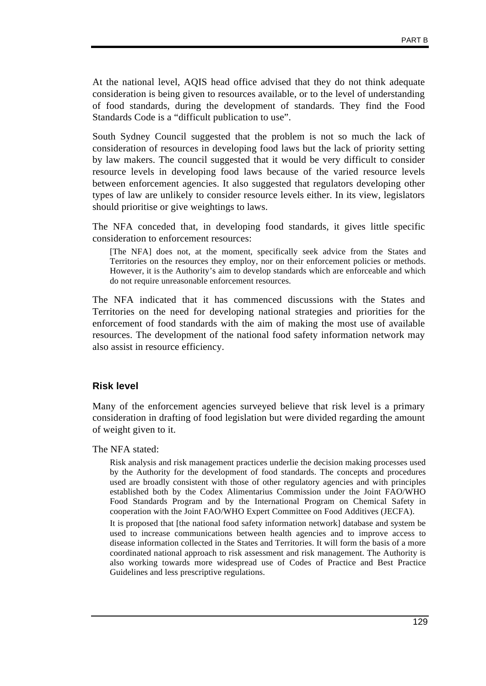At the national level, AQIS head office advised that they do not think adequate consideration is being given to resources available, or to the level of understanding of food standards, during the development of standards. They find the Food Standards Code is a "difficult publication to use".

South Sydney Council suggested that the problem is not so much the lack of consideration of resources in developing food laws but the lack of priority setting by law makers. The council suggested that it would be very difficult to consider resource levels in developing food laws because of the varied resource levels between enforcement agencies. It also suggested that regulators developing other types of law are unlikely to consider resource levels either. In its view, legislators should prioritise or give weightings to laws.

The NFA conceded that, in developing food standards, it gives little specific consideration to enforcement resources:

[The NFA] does not, at the moment, specifically seek advice from the States and Territories on the resources they employ, nor on their enforcement policies or methods. However, it is the Authority's aim to develop standards which are enforceable and which do not require unreasonable enforcement resources.

The NFA indicated that it has commenced discussions with the States and Territories on the need for developing national strategies and priorities for the enforcement of food standards with the aim of making the most use of available resources. The development of the national food safety information network may also assist in resource efficiency.

### **Risk level**

Many of the enforcement agencies surveyed believe that risk level is a primary consideration in drafting of food legislation but were divided regarding the amount of weight given to it.

The NFA stated:

Risk analysis and risk management practices underlie the decision making processes used by the Authority for the development of food standards. The concepts and procedures used are broadly consistent with those of other regulatory agencies and with principles established both by the Codex Alimentarius Commission under the Joint FAO/WHO Food Standards Program and by the International Program on Chemical Safety in cooperation with the Joint FAO/WHO Expert Committee on Food Additives (JECFA).

It is proposed that [the national food safety information network] database and system be used to increase communications between health agencies and to improve access to disease information collected in the States and Territories. It will form the basis of a more coordinated national approach to risk assessment and risk management. The Authority is also working towards more widespread use of Codes of Practice and Best Practice Guidelines and less prescriptive regulations.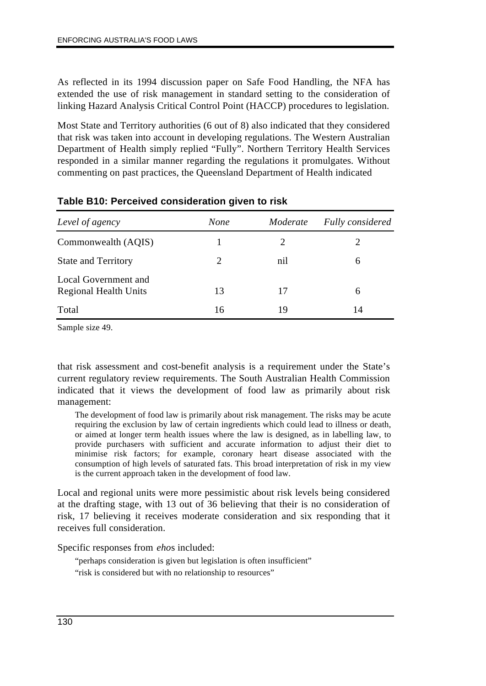As reflected in its 1994 discussion paper on Safe Food Handling, the NFA has extended the use of risk management in standard setting to the consideration of linking Hazard Analysis Critical Control Point (HACCP) procedures to legislation.

Most State and Territory authorities (6 out of 8) also indicated that they considered that risk was taken into account in developing regulations. The Western Australian Department of Health simply replied "Fully". Northern Territory Health Services responded in a similar manner regarding the regulations it promulgates. Without commenting on past practices, the Queensland Department of Health indicated

| Level of agency                                      | None | Moderate | Fully considered |
|------------------------------------------------------|------|----------|------------------|
| Commonwealth (AQIS)                                  |      | 2        |                  |
| <b>State and Territory</b>                           | 2    | nil      | 6                |
| Local Government and<br><b>Regional Health Units</b> | 13   | 17       | 6                |
| Total                                                | 16   | 19       | 14               |

Sample size 49.

that risk assessment and cost-benefit analysis is a requirement under the State's current regulatory review requirements. The South Australian Health Commission indicated that it views the development of food law as primarily about risk management:

The development of food law is primarily about risk management. The risks may be acute requiring the exclusion by law of certain ingredients which could lead to illness or death, or aimed at longer term health issues where the law is designed, as in labelling law, to provide purchasers with sufficient and accurate information to adjust their diet to minimise risk factors; for example, coronary heart disease associated with the consumption of high levels of saturated fats. This broad interpretation of risk in my view is the current approach taken in the development of food law.

Local and regional units were more pessimistic about risk levels being considered at the drafting stage, with 13 out of 36 believing that their is no consideration of risk, 17 believing it receives moderate consideration and six responding that it receives full consideration.

Specific responses from *eho*s included:

"perhaps consideration is given but legislation is often insufficient"

"risk is considered but with no relationship to resources"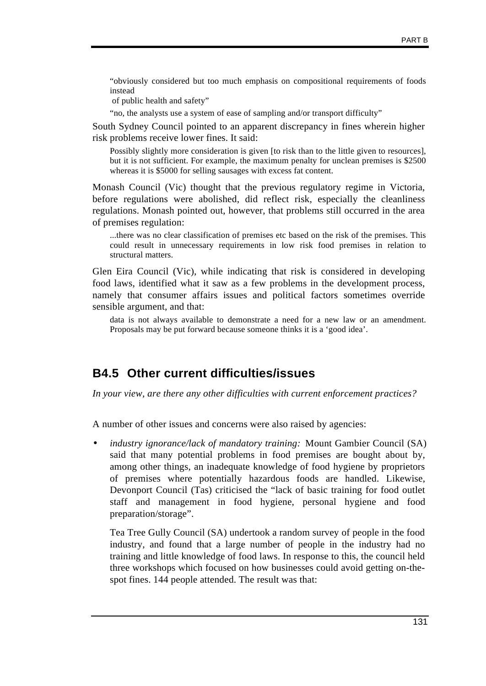"obviously considered but too much emphasis on compositional requirements of foods instead

of public health and safety"

"no, the analysts use a system of ease of sampling and/or transport difficulty"

South Sydney Council pointed to an apparent discrepancy in fines wherein higher risk problems receive lower fines. It said:

Possibly slightly more consideration is given [to risk than to the little given to resources], but it is not sufficient. For example, the maximum penalty for unclean premises is \$2500 whereas it is \$5000 for selling sausages with excess fat content.

Monash Council (Vic) thought that the previous regulatory regime in Victoria, before regulations were abolished, did reflect risk, especially the cleanliness regulations. Monash pointed out, however, that problems still occurred in the area of premises regulation:

...there was no clear classification of premises etc based on the risk of the premises. This could result in unnecessary requirements in low risk food premises in relation to structural matters.

Glen Eira Council (Vic), while indicating that risk is considered in developing food laws, identified what it saw as a few problems in the development process, namely that consumer affairs issues and political factors sometimes override sensible argument, and that:

data is not always available to demonstrate a need for a new law or an amendment. Proposals may be put forward because someone thinks it is a 'good idea'.

### **B4.5 Other current difficulties/issues**

*In your view, are there any other difficulties with current enforcement practices?*

A number of other issues and concerns were also raised by agencies:

• *industry ignorance/lack of mandatory training:* Mount Gambier Council (SA) said that many potential problems in food premises are bought about by, among other things, an inadequate knowledge of food hygiene by proprietors of premises where potentially hazardous foods are handled. Likewise, Devonport Council (Tas) criticised the "lack of basic training for food outlet staff and management in food hygiene, personal hygiene and food preparation/storage".

Tea Tree Gully Council (SA) undertook a random survey of people in the food industry, and found that a large number of people in the industry had no training and little knowledge of food laws. In response to this, the council held three workshops which focused on how businesses could avoid getting on-thespot fines. 144 people attended. The result was that: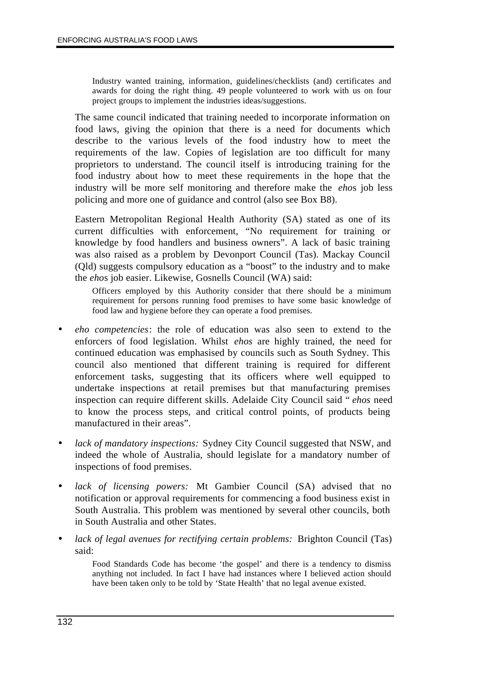Industry wanted training, information, guidelines/checklists (and) certificates and awards for doing the right thing. 49 people volunteered to work with us on four project groups to implement the industries ideas/suggestions.

The same council indicated that training needed to incorporate information on food laws, giving the opinion that there is a need for documents which describe to the various levels of the food industry how to meet the requirements of the law. Copies of legislation are too difficult for many proprietors to understand. The council itself is introducing training for the food industry about how to meet these requirements in the hope that the industry will be more self monitoring and therefore make the *eho*s job less policing and more one of guidance and control (also see Box B8).

Eastern Metropolitan Regional Health Authority (SA) stated as one of its current difficulties with enforcement, "No requirement for training or knowledge by food handlers and business owners". A lack of basic training was also raised as a problem by Devonport Council (Tas). Mackay Council (Qld) suggests compulsory education as a "boost" to the industry and to make the *eho*s job easier. Likewise, Gosnells Council (WA) said:

Officers employed by this Authority consider that there should be a minimum requirement for persons running food premises to have some basic knowledge of food law and hygiene before they can operate a food premises.

- *eho competencies*: the role of education was also seen to extend to the enforcers of food legislation. Whilst *ehos* are highly trained, the need for continued education was emphasised by councils such as South Sydney. This council also mentioned that different training is required for different enforcement tasks, suggesting that its officers where well equipped to undertake inspections at retail premises but that manufacturing premises inspection can require different skills. Adelaide City Council said " *ehos* need to know the process steps, and critical control points, of products being manufactured in their areas".
- *lack of mandatory inspections:* Sydney City Council suggested that NSW, and indeed the whole of Australia, should legislate for a mandatory number of inspections of food premises.
- lack of licensing powers: Mt Gambier Council (SA) advised that no notification or approval requirements for commencing a food business exist in South Australia. This problem was mentioned by several other councils, both in South Australia and other States.
- *lack of legal avenues for rectifying certain problems:* Brighton Council (Tas) said:

Food Standards Code has become 'the gospel' and there is a tendency to dismiss anything not included. In fact I have had instances where I believed action should have been taken only to be told by 'State Health' that no legal avenue existed.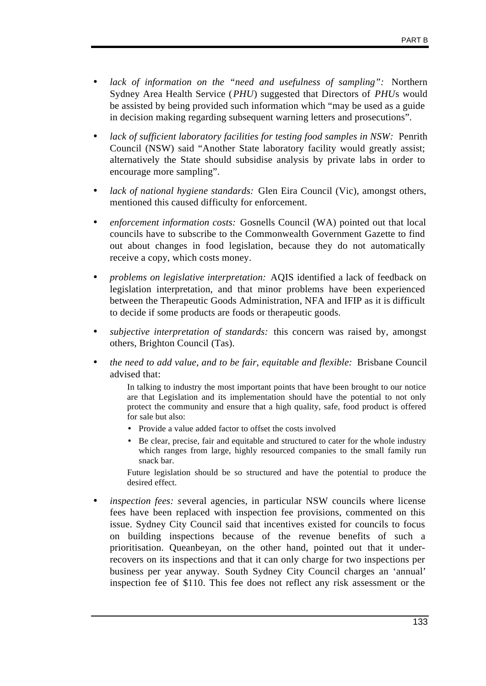- lack of information on the "need and usefulness of sampling": Northern Sydney Area Health Service (*PHU*) suggested that Directors of *PHU*s would be assisted by being provided such information which "may be used as a guide in decision making regarding subsequent warning letters and prosecutions".
- *lack of sufficient laboratory facilities for testing food samples in NSW:* Penrith Council (NSW) said "Another State laboratory facility would greatly assist; alternatively the State should subsidise analysis by private labs in order to encourage more sampling".
- *lack of national hygiene standards:* Glen Eira Council (Vic), amongst others, mentioned this caused difficulty for enforcement.
- *enforcement information costs:* Gosnells Council (WA) pointed out that local councils have to subscribe to the Commonwealth Government Gazette to find out about changes in food legislation, because they do not automatically receive a copy, which costs money.
- *problems on legislative interpretation:* AQIS identified a lack of feedback on legislation interpretation, and that minor problems have been experienced between the Therapeutic Goods Administration, NFA and IFIP as it is difficult to decide if some products are foods or therapeutic goods.
- *subjective interpretation of standards:* this concern was raised by, amongst others, Brighton Council (Tas).
- *the need to add value, and to be fair, equitable and flexible: Brisbane Council* advised that:

In talking to industry the most important points that have been brought to our notice are that Legislation and its implementation should have the potential to not only protect the community and ensure that a high quality, safe, food product is offered for sale but also:

- Provide a value added factor to offset the costs involved
- Be clear, precise, fair and equitable and structured to cater for the whole industry which ranges from large, highly resourced companies to the small family run snack bar.

Future legislation should be so structured and have the potential to produce the desired effect.

• *inspection fees: s*everal agencies, in particular NSW councils where license fees have been replaced with inspection fee provisions, commented on this issue. Sydney City Council said that incentives existed for councils to focus on building inspections because of the revenue benefits of such a prioritisation. Queanbeyan, on the other hand, pointed out that it underrecovers on its inspections and that it can only charge for two inspections per business per year anyway. South Sydney City Council charges an 'annual' inspection fee of \$110. This fee does not reflect any risk assessment or the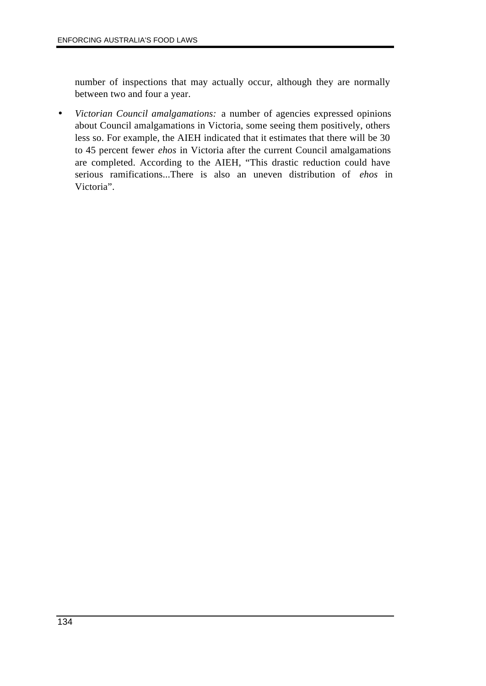number of inspections that may actually occur, although they are normally between two and four a year.

• *Victorian Council amalgamations:* a number of agencies expressed opinions about Council amalgamations in Victoria, some seeing them positively, others less so. For example, the AIEH indicated that it estimates that there will be 30 to 45 percent fewer *ehos* in Victoria after the current Council amalgamations are completed. According to the AIEH, "This drastic reduction could have serious ramifications...There is also an uneven distribution of *ehos* in Victoria".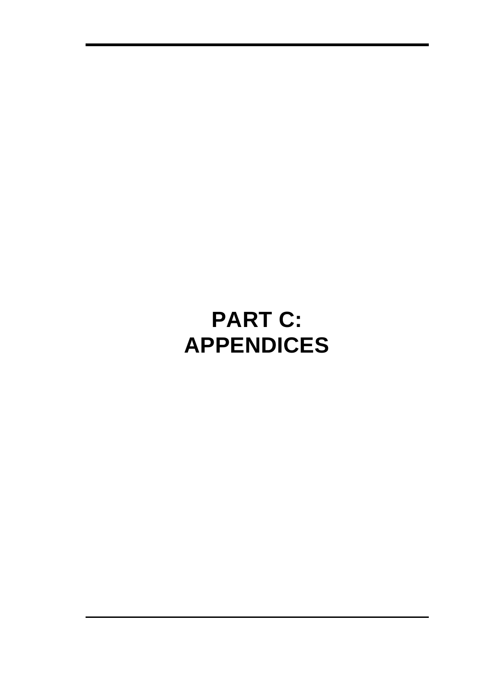# **PART C: APPENDICES**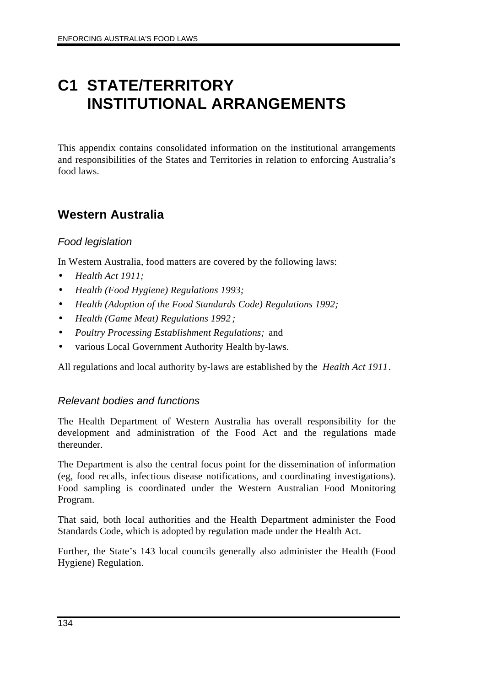# **C1 STATE/TERRITORY INSTITUTIONAL ARRANGEMENTS**

This appendix contains consolidated information on the institutional arrangements and responsibilities of the States and Territories in relation to enforcing Australia's food laws.

# **Western Australia**

### *Food legislation*

In Western Australia, food matters are covered by the following laws:

- *Health Act 1911;*
- *Health (Food Hygiene) Regulations 1993;*
- *Health (Adoption of the Food Standards Code) Regulations 1992;*
- *Health (Game Meat) Regulations 1992 ;*
- *Poultry Processing Establishment Regulations;* and
- various Local Government Authority Health by-laws.

All regulations and local authority by-laws are established by the *Health Act 1911*.

### *Relevant bodies and functions*

The Health Department of Western Australia has overall responsibility for the development and administration of the Food Act and the regulations made thereunder.

The Department is also the central focus point for the dissemination of information (eg, food recalls, infectious disease notifications, and coordinating investigations). Food sampling is coordinated under the Western Australian Food Monitoring Program.

That said, both local authorities and the Health Department administer the Food Standards Code, which is adopted by regulation made under the Health Act.

Further, the State's 143 local councils generally also administer the Health (Food Hygiene) Regulation.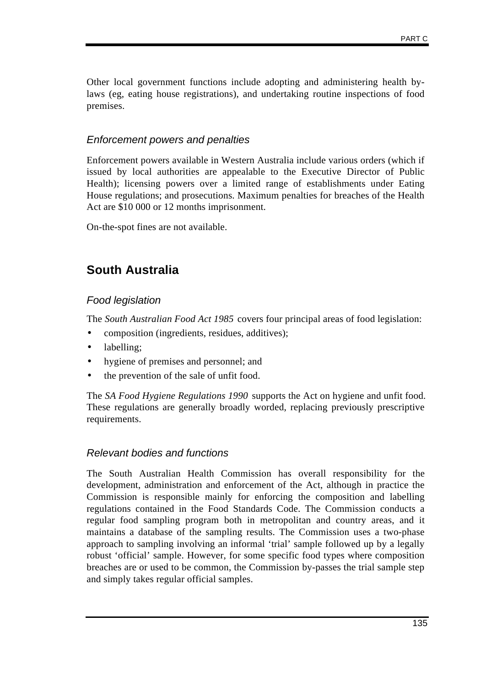Other local government functions include adopting and administering health bylaws (eg, eating house registrations), and undertaking routine inspections of food premises.

### *Enforcement powers and penalties*

Enforcement powers available in Western Australia include various orders (which if issued by local authorities are appealable to the Executive Director of Public Health); licensing powers over a limited range of establishments under Eating House regulations; and prosecutions. Maximum penalties for breaches of the Health Act are \$10 000 or 12 months imprisonment.

On-the-spot fines are not available.

# **South Australia**

### *Food legislation*

The *South Australian Food Act 1985* covers four principal areas of food legislation:

- composition (ingredients, residues, additives);
- labelling;
- hygiene of premises and personnel; and
- the prevention of the sale of unfit food.

The *SA Food Hygiene Regulations 1990* supports the Act on hygiene and unfit food. These regulations are generally broadly worded, replacing previously prescriptive requirements.

### *Relevant bodies and functions*

The South Australian Health Commission has overall responsibility for the development, administration and enforcement of the Act, although in practice the Commission is responsible mainly for enforcing the composition and labelling regulations contained in the Food Standards Code. The Commission conducts a regular food sampling program both in metropolitan and country areas, and it maintains a database of the sampling results. The Commission uses a two-phase approach to sampling involving an informal 'trial' sample followed up by a legally robust 'official' sample. However, for some specific food types where composition breaches are or used to be common, the Commission by-passes the trial sample step and simply takes regular official samples.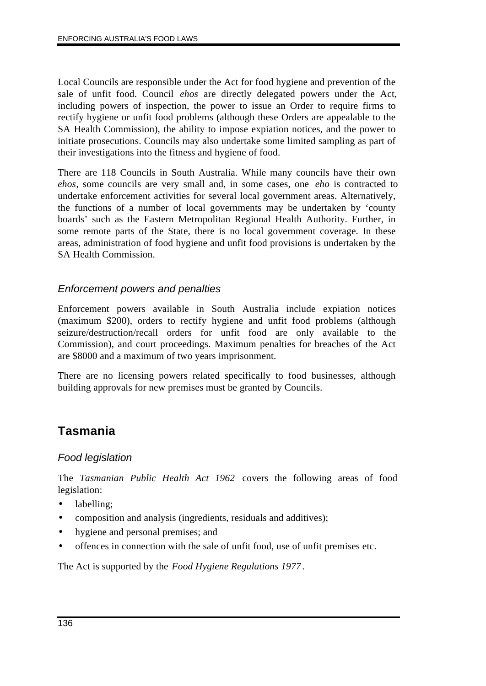Local Councils are responsible under the Act for food hygiene and prevention of the sale of unfit food. Council *ehos* are directly delegated powers under the Act, including powers of inspection, the power to issue an Order to require firms to rectify hygiene or unfit food problems (although these Orders are appealable to the SA Health Commission), the ability to impose expiation notices, and the power to initiate prosecutions. Councils may also undertake some limited sampling as part of their investigations into the fitness and hygiene of food.

There are 118 Councils in South Australia. While many councils have their own *ehos*, some councils are very small and, in some cases, one *eho* is contracted to undertake enforcement activities for several local government areas. Alternatively, the functions of a number of local governments may be undertaken by 'county boards' such as the Eastern Metropolitan Regional Health Authority. Further, in some remote parts of the State, there is no local government coverage. In these areas, administration of food hygiene and unfit food provisions is undertaken by the SA Health Commission.

### *Enforcement powers and penalties*

Enforcement powers available in South Australia include expiation notices (maximum \$200), orders to rectify hygiene and unfit food problems (although seizure/destruction/recall orders for unfit food are only available to the Commission), and court proceedings. Maximum penalties for breaches of the Act are \$8000 and a maximum of two years imprisonment.

There are no licensing powers related specifically to food businesses, although building approvals for new premises must be granted by Councils.

# **Tasmania**

### *Food legislation*

The *Tasmanian Public Health Act 1962* covers the following areas of food legislation:

- labelling:
- composition and analysis (ingredients, residuals and additives);
- hygiene and personal premises; and
- offences in connection with the sale of unfit food, use of unfit premises etc.

The Act is supported by the *Food Hygiene Regulations 1977*.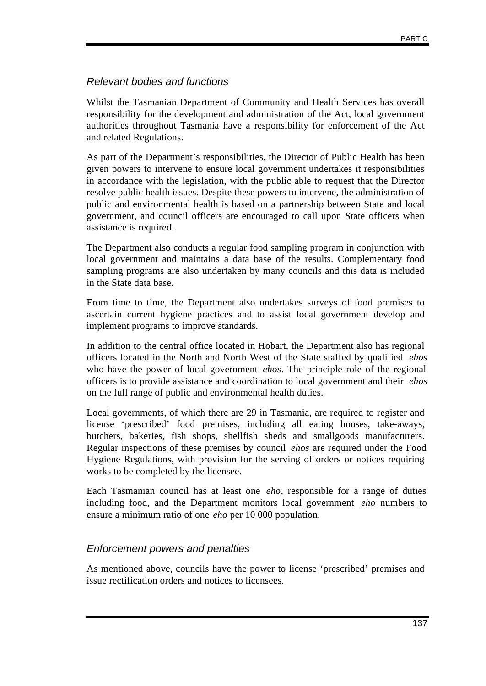### *Relevant bodies and functions*

Whilst the Tasmanian Department of Community and Health Services has overall responsibility for the development and administration of the Act, local government authorities throughout Tasmania have a responsibility for enforcement of the Act and related Regulations.

As part of the Department's responsibilities, the Director of Public Health has been given powers to intervene to ensure local government undertakes it responsibilities in accordance with the legislation, with the public able to request that the Director resolve public health issues. Despite these powers to intervene, the administration of public and environmental health is based on a partnership between State and local government, and council officers are encouraged to call upon State officers when assistance is required.

The Department also conducts a regular food sampling program in conjunction with local government and maintains a data base of the results. Complementary food sampling programs are also undertaken by many councils and this data is included in the State data base.

From time to time, the Department also undertakes surveys of food premises to ascertain current hygiene practices and to assist local government develop and implement programs to improve standards.

In addition to the central office located in Hobart, the Department also has regional officers located in the North and North West of the State staffed by qualified *ehos* who have the power of local government *ehos*. The principle role of the regional officers is to provide assistance and coordination to local government and their *ehos* on the full range of public and environmental health duties.

Local governments, of which there are 29 in Tasmania, are required to register and license 'prescribed' food premises, including all eating houses, take-aways, butchers, bakeries, fish shops, shellfish sheds and smallgoods manufacturers. Regular inspections of these premises by council *ehos* are required under the Food Hygiene Regulations, with provision for the serving of orders or notices requiring works to be completed by the licensee.

Each Tasmanian council has at least one *eho*, responsible for a range of duties including food, and the Department monitors local government *eho* numbers to ensure a minimum ratio of one *eho* per 10 000 population.

### *Enforcement powers and penalties*

As mentioned above, councils have the power to license 'prescribed' premises and issue rectification orders and notices to licensees.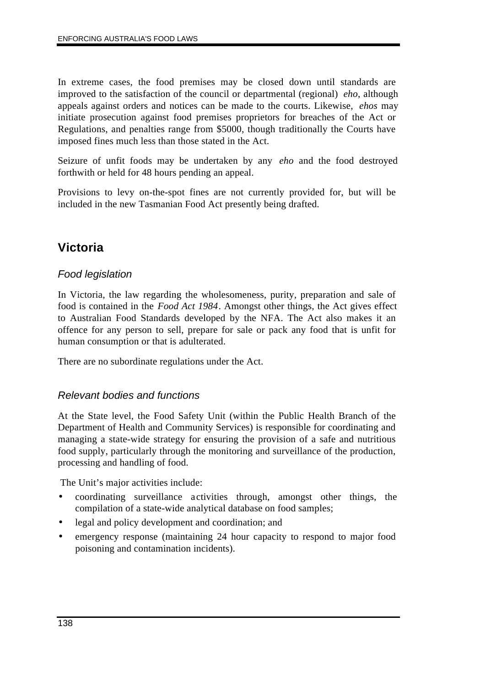In extreme cases, the food premises may be closed down until standards are improved to the satisfaction of the council or departmental (regional) *eho*, although appeals against orders and notices can be made to the courts. Likewise, *ehos* may initiate prosecution against food premises proprietors for breaches of the Act or Regulations, and penalties range from \$5000, though traditionally the Courts have imposed fines much less than those stated in the Act.

Seizure of unfit foods may be undertaken by any *eho* and the food destroyed forthwith or held for 48 hours pending an appeal.

Provisions to levy on-the-spot fines are not currently provided for, but will be included in the new Tasmanian Food Act presently being drafted.

# **Victoria**

### *Food legislation*

In Victoria, the law regarding the wholesomeness, purity, preparation and sale of food is contained in the *Food Act 1984*. Amongst other things, the Act gives effect to Australian Food Standards developed by the NFA. The Act also makes it an offence for any person to sell, prepare for sale or pack any food that is unfit for human consumption or that is adulterated.

There are no subordinate regulations under the Act.

### *Relevant bodies and functions*

At the State level, the Food Safety Unit (within the Public Health Branch of the Department of Health and Community Services) is responsible for coordinating and managing a state-wide strategy for ensuring the provision of a safe and nutritious food supply, particularly through the monitoring and surveillance of the production, processing and handling of food.

The Unit's major activities include:

- coordinating surveillance activities through, amongst other things, the compilation of a state-wide analytical database on food samples;
- legal and policy development and coordination; and
- emergency response (maintaining 24 hour capacity to respond to major food poisoning and contamination incidents).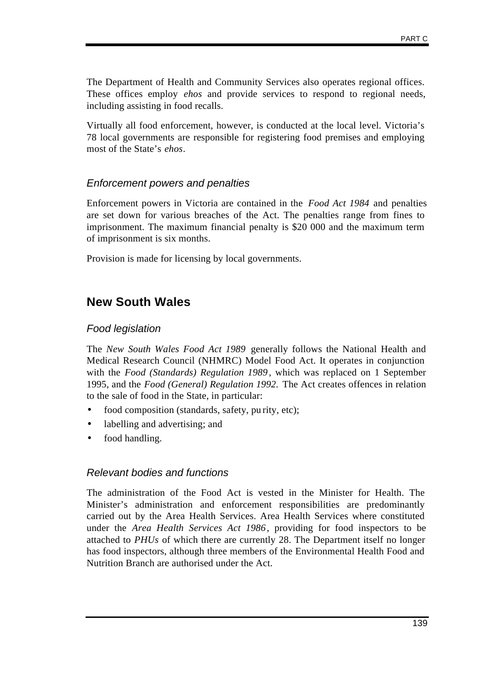The Department of Health and Community Services also operates regional offices. These offices employ *ehos* and provide services to respond to regional needs, including assisting in food recalls.

Virtually all food enforcement, however, is conducted at the local level. Victoria's 78 local governments are responsible for registering food premises and employing most of the State's *ehos*.

#### *Enforcement powers and penalties*

Enforcement powers in Victoria are contained in the *Food Act 1984* and penalties are set down for various breaches of the Act. The penalties range from fines to imprisonment. The maximum financial penalty is \$20 000 and the maximum term of imprisonment is six months.

Provision is made for licensing by local governments.

## **New South Wales**

#### *Food legislation*

The *New South Wales Food Act 1989* generally follows the National Health and Medical Research Council (NHMRC) Model Food Act. It operates in conjunction with the *Food (Standards) Regulation 1989* , which was replaced on 1 September 1995, and the *Food (General) Regulation 1992.* The Act creates offences in relation to the sale of food in the State, in particular:

- food composition (standards, safety, pu rity, etc);
- labelling and advertising; and
- food handling.

#### *Relevant bodies and functions*

The administration of the Food Act is vested in the Minister for Health. The Minister's administration and enforcement responsibilities are predominantly carried out by the Area Health Services. Area Health Services where constituted under the *Area Health Services Act 1986*, providing for food inspectors to be attached to *PHUs* of which there are currently 28. The Department itself no longer has food inspectors, although three members of the Environmental Health Food and Nutrition Branch are authorised under the Act.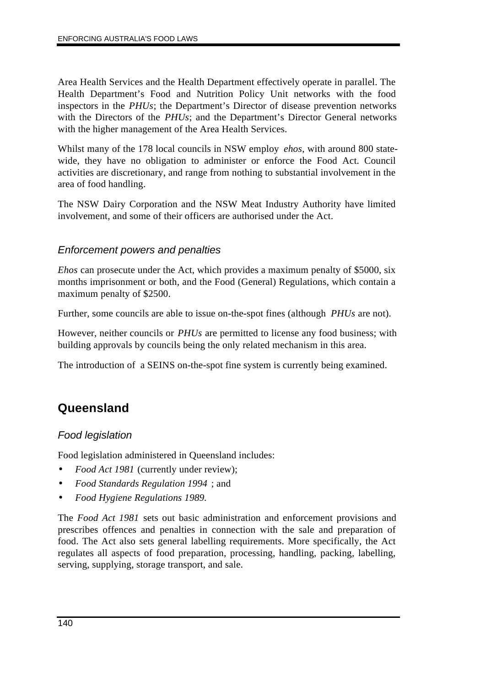Area Health Services and the Health Department effectively operate in parallel. The Health Department's Food and Nutrition Policy Unit networks with the food inspectors in the *PHUs*; the Department's Director of disease prevention networks with the Directors of the *PHUs*; and the Department's Director General networks with the higher management of the Area Health Services.

Whilst many of the 178 local councils in NSW employ *ehos*, with around 800 statewide, they have no obligation to administer or enforce the Food Act. Council activities are discretionary, and range from nothing to substantial involvement in the area of food handling.

The NSW Dairy Corporation and the NSW Meat Industry Authority have limited involvement, and some of their officers are authorised under the Act.

### *Enforcement powers and penalties*

*Ehos* can prosecute under the Act, which provides a maximum penalty of \$5000, six months imprisonment or both, and the Food (General) Regulations, which contain a maximum penalty of \$2500.

Further, some councils are able to issue on-the-spot fines (although *PHUs* are not).

However, neither councils or *PHUs* are permitted to license any food business; with building approvals by councils being the only related mechanism in this area.

The introduction of a SEINS on-the-spot fine system is currently being examined.

## **Queensland**

#### *Food legislation*

Food legislation administered in Queensland includes:

- *Food Act 1981* (currently under review);
- *Food Standards Regulation 1994* ; and
- *Food Hygiene Regulations 1989.*

The *Food Act 1981* sets out basic administration and enforcement provisions and prescribes offences and penalties in connection with the sale and preparation of food. The Act also sets general labelling requirements. More specifically, the Act regulates all aspects of food preparation, processing, handling, packing, labelling, serving, supplying, storage transport, and sale.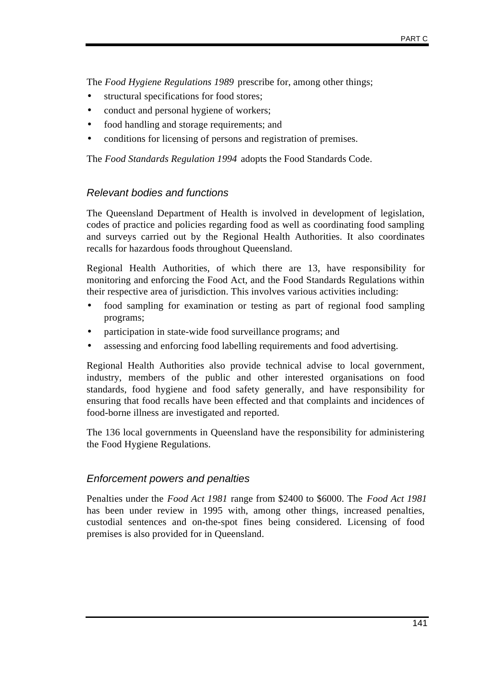The *Food Hygiene Regulations 1989* prescribe for, among other things;

- structural specifications for food stores;
- conduct and personal hygiene of workers;
- food handling and storage requirements; and
- conditions for licensing of persons and registration of premises.

The *Food Standards Regulation 1994* adopts the Food Standards Code.

#### *Relevant bodies and functions*

The Queensland Department of Health is involved in development of legislation, codes of practice and policies regarding food as well as coordinating food sampling and surveys carried out by the Regional Health Authorities. It also coordinates recalls for hazardous foods throughout Queensland.

Regional Health Authorities, of which there are 13, have responsibility for monitoring and enforcing the Food Act, and the Food Standards Regulations within their respective area of jurisdiction. This involves various activities including:

- food sampling for examination or testing as part of regional food sampling programs;
- participation in state-wide food surveillance programs; and
- assessing and enforcing food labelling requirements and food advertising.

Regional Health Authorities also provide technical advise to local government, industry, members of the public and other interested organisations on food standards, food hygiene and food safety generally, and have responsibility for ensuring that food recalls have been effected and that complaints and incidences of food-borne illness are investigated and reported.

The 136 local governments in Queensland have the responsibility for administering the Food Hygiene Regulations.

#### *Enforcement powers and penalties*

Penalties under the *Food Act 1981* range from \$2400 to \$6000. The *Food Act 1981* has been under review in 1995 with, among other things, increased penalties, custodial sentences and on-the-spot fines being considered. Licensing of food premises is also provided for in Queensland.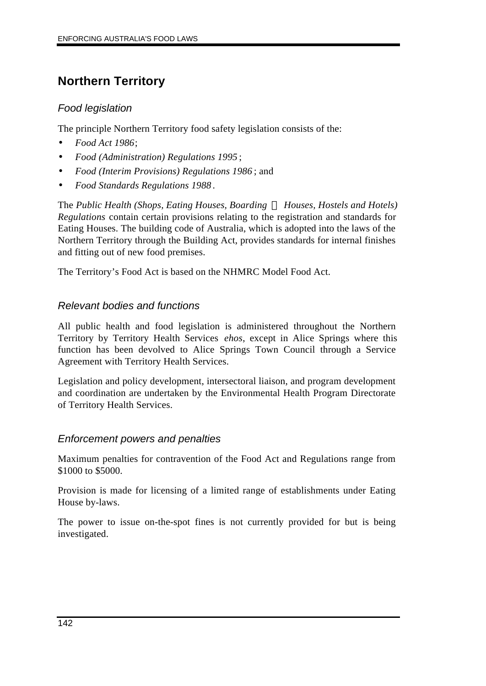# **Northern Territory**

#### *Food legislation*

The principle Northern Territory food safety legislation consists of the:

- *Food Act 1986*;
- *Food (Administration) Regulations 1995* ;
- *Food (Interim Provisions) Regulations 1986* ; and
- *Food Standards Regulations 1988*.

The *Public Health (Shops, Eating Houses, Boarding ¾ Houses, Hostels and Hotels) Regulations* contain certain provisions relating to the registration and standards for Eating Houses. The building code of Australia, which is adopted into the laws of the Northern Territory through the Building Act, provides standards for internal finishes and fitting out of new food premises.

The Territory's Food Act is based on the NHMRC Model Food Act.

#### *Relevant bodies and functions*

All public health and food legislation is administered throughout the Northern Territory by Territory Health Services *ehos*, except in Alice Springs where this function has been devolved to Alice Springs Town Council through a Service Agreement with Territory Health Services.

Legislation and policy development, intersectoral liaison, and program development and coordination are undertaken by the Environmental Health Program Directorate of Territory Health Services.

#### *Enforcement powers and penalties*

Maximum penalties for contravention of the Food Act and Regulations range from \$1000 to \$5000.

Provision is made for licensing of a limited range of establishments under Eating House by-laws.

The power to issue on-the-spot fines is not currently provided for but is being investigated.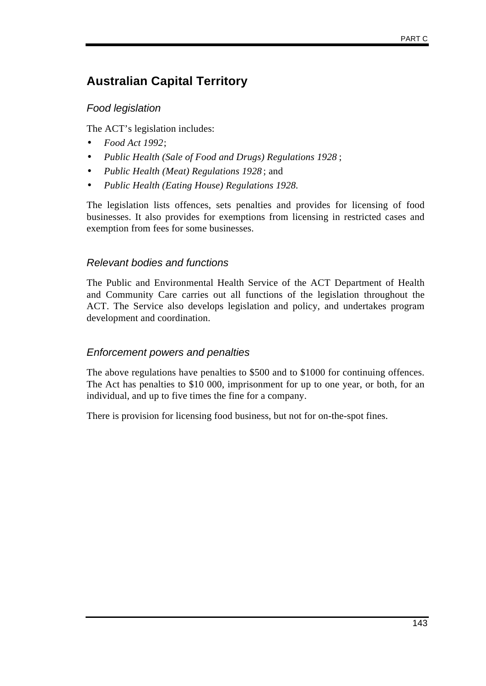# **Australian Capital Territory**

## *Food legislation*

The ACT's legislation includes:

- *Food Act 1992*;
- *Public Health (Sale of Food and Drugs) Regulations 1928* ;
- *Public Health (Meat) Regulations 1928* ; and
- *Public Health (Eating House) Regulations 1928.*

The legislation lists offences, sets penalties and provides for licensing of food businesses. It also provides for exemptions from licensing in restricted cases and exemption from fees for some businesses.

### *Relevant bodies and functions*

The Public and Environmental Health Service of the ACT Department of Health and Community Care carries out all functions of the legislation throughout the ACT. The Service also develops legislation and policy, and undertakes program development and coordination.

#### *Enforcement powers and penalties*

The above regulations have penalties to \$500 and to \$1000 for continuing offences. The Act has penalties to \$10 000, imprisonment for up to one year, or both, for an individual, and up to five times the fine for a company.

There is provision for licensing food business, but not for on-the-spot fines.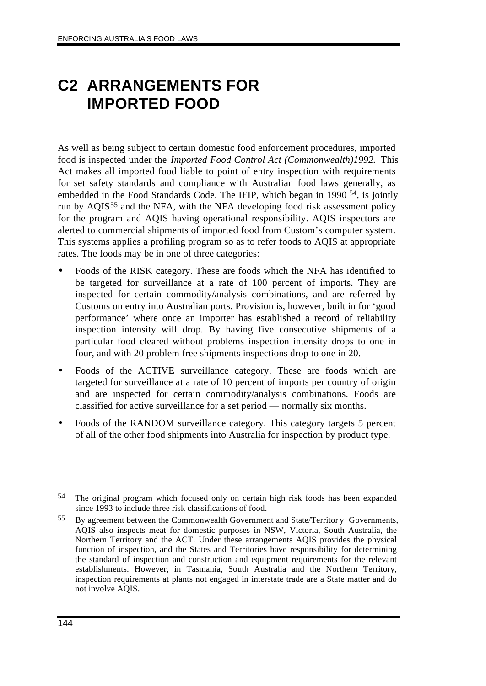# **C2 ARRANGEMENTS FOR IMPORTED FOOD**

As well as being subject to certain domestic food enforcement procedures, imported food is inspected under the *Imported Food Control Act (Commonwealth)1992.* This Act makes all imported food liable to point of entry inspection with requirements for set safety standards and compliance with Australian food laws generally, as embedded in the Food Standards Code. The IFIP, which began in 1990 54, is jointly run by AQIS<sup>55</sup> and the NFA, with the NFA developing food risk assessment policy for the program and AQIS having operational responsibility. AQIS inspectors are alerted to commercial shipments of imported food from Custom's computer system. This systems applies a profiling program so as to refer foods to AQIS at appropriate rates. The foods may be in one of three categories:

- Foods of the RISK category. These are foods which the NFA has identified to be targeted for surveillance at a rate of 100 percent of imports. They are inspected for certain commodity/analysis combinations, and are referred by Customs on entry into Australian ports. Provision is, however, built in for 'good performance' where once an importer has established a record of reliability inspection intensity will drop. By having five consecutive shipments of a particular food cleared without problems inspection intensity drops to one in four, and with 20 problem free shipments inspections drop to one in 20.
- Foods of the ACTIVE surveillance category. These are foods which are targeted for surveillance at a rate of 10 percent of imports per country of origin and are inspected for certain commodity/analysis combinations. Foods are classified for active surveillance for a set period — normally six months.
- Foods of the RANDOM surveillance category. This category targets 5 percent of all of the other food shipments into Australia for inspection by product type.

 $\overline{a}$ 54 The original program which focused only on certain high risk foods has been expanded since 1993 to include three risk classifications of food.

<sup>55</sup> By agreement between the Commonwealth Government and State/Territor y Governments, AQIS also inspects meat for domestic purposes in NSW, Victoria, South Australia, the Northern Territory and the ACT. Under these arrangements AQIS provides the physical function of inspection, and the States and Territories have responsibility for determining the standard of inspection and construction and equipment requirements for the relevant establishments. However, in Tasmania, South Australia and the Northern Territory, inspection requirements at plants not engaged in interstate trade are a State matter and do not involve AQIS.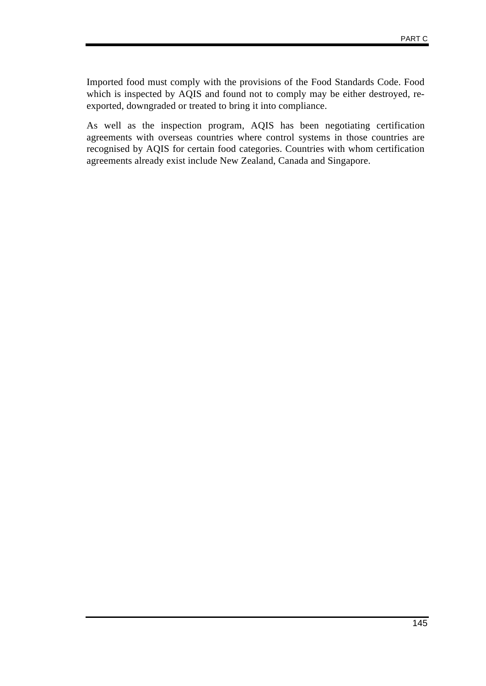Imported food must comply with the provisions of the Food Standards Code. Food which is inspected by AQIS and found not to comply may be either destroyed, reexported, downgraded or treated to bring it into compliance.

As well as the inspection program, AQIS has been negotiating certification agreements with overseas countries where control systems in those countries are recognised by AQIS for certain food categories. Countries with whom certification agreements already exist include New Zealand, Canada and Singapore.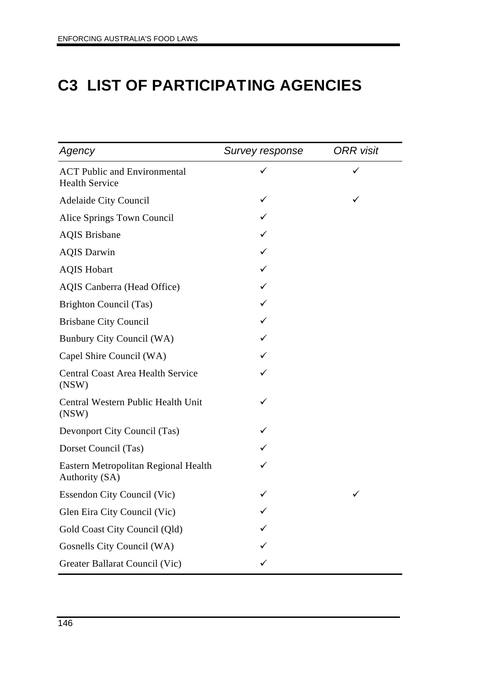# **C3 LIST OF PARTICIPATING AGENCIES**

| Agency                                                       | Survey response | <b>ORR</b> visit |
|--------------------------------------------------------------|-----------------|------------------|
| <b>ACT Public and Environmental</b><br><b>Health Service</b> | ✓               | ✓                |
| <b>Adelaide City Council</b>                                 |                 |                  |
| Alice Springs Town Council                                   |                 |                  |
| <b>AQIS Brisbane</b>                                         |                 |                  |
| <b>AQIS Darwin</b>                                           |                 |                  |
| <b>AQIS Hobart</b>                                           |                 |                  |
| <b>AQIS Canberra (Head Office)</b>                           | ✓               |                  |
| Brighton Council (Tas)                                       | ✓               |                  |
| <b>Brisbane City Council</b>                                 |                 |                  |
| Bunbury City Council (WA)                                    |                 |                  |
| Capel Shire Council (WA)                                     |                 |                  |
| <b>Central Coast Area Health Service</b><br>(NSW)            |                 |                  |
| Central Western Public Health Unit<br>(NSW)                  | ✓               |                  |
| Devonport City Council (Tas)                                 | ✓               |                  |
| Dorset Council (Tas)                                         |                 |                  |
| Eastern Metropolitan Regional Health<br>Authority (SA)       |                 |                  |
| <b>Essendon City Council (Vic)</b>                           |                 | ✓                |
| Glen Eira City Council (Vic)                                 | ✓               |                  |
| Gold Coast City Council (Qld)                                |                 |                  |
| Gosnells City Council (WA)                                   |                 |                  |
| Greater Ballarat Council (Vic)                               |                 |                  |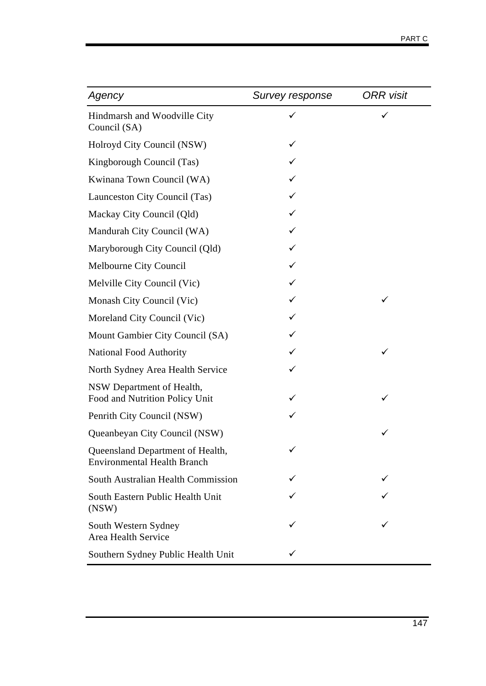| Agency                                                                 | Survey response | <b>ORR</b> visit |
|------------------------------------------------------------------------|-----------------|------------------|
| Hindmarsh and Woodville City<br>Council (SA)                           | ✓               |                  |
| Holroyd City Council (NSW)                                             | ✓               |                  |
| Kingborough Council (Tas)                                              |                 |                  |
| Kwinana Town Council (WA)                                              | ✓               |                  |
| Launceston City Council (Tas)                                          | ✓               |                  |
| Mackay City Council (Qld)                                              |                 |                  |
| Mandurah City Council (WA)                                             |                 |                  |
| Maryborough City Council (Qld)                                         |                 |                  |
| Melbourne City Council                                                 | ✓               |                  |
| Melville City Council (Vic)                                            |                 |                  |
| Monash City Council (Vic)                                              |                 | ✓                |
| Moreland City Council (Vic)                                            | ✓               |                  |
| Mount Gambier City Council (SA)                                        | ✓               |                  |
| <b>National Food Authority</b>                                         |                 |                  |
| North Sydney Area Health Service                                       | ✓               |                  |
| NSW Department of Health,<br>Food and Nutrition Policy Unit            |                 | ✓                |
| Penrith City Council (NSW)                                             |                 |                  |
| Queanbeyan City Council (NSW)                                          |                 |                  |
| Queensland Department of Health,<br><b>Environmental Health Branch</b> | ✓               |                  |
| South Australian Health Commission                                     |                 |                  |
| South Eastern Public Health Unit<br>(NSW)                              |                 |                  |
| South Western Sydney<br>Area Health Service                            |                 |                  |
| Southern Sydney Public Health Unit                                     |                 |                  |